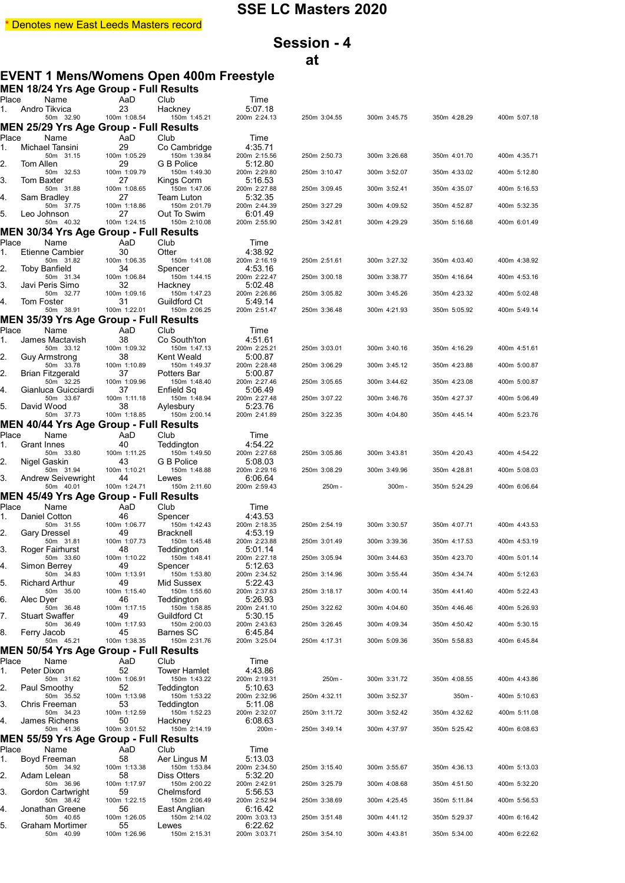## **Session - 4 at**

## **EVENT 1 Mens/Womens Open 400m Freestyle**

|             | MEN 18/24 Yrs Age Group - Full Results        |                    |                                  |                         |              |              |              |              |
|-------------|-----------------------------------------------|--------------------|----------------------------------|-------------------------|--------------|--------------|--------------|--------------|
| Place<br>1. | Name<br>Andro Tikvica                         | AaD<br>23          | Club<br>Hackney                  | Time<br>5:07.18         |              |              |              |              |
|             | 50m 32.90                                     | 100m 1:08.54       | 150m 1:45.21                     | 200m 2:24.13            | 250m 3:04.55 | 300m 3:45.75 | 350m 4:28.29 | 400m 5:07.18 |
|             | MEN 25/29 Yrs Age Group - Full Results        |                    |                                  |                         |              |              |              |              |
| Place<br>1. | Name<br>Michael Tansini                       | AaD<br>29          | Club<br>Co Cambridge             | Time<br>4:35.71         |              |              |              |              |
|             | 50m 31.15                                     | 100m 1:05.29       | 150m 1:39.84                     | 200m 2:15.56            | 250m 2:50.73 | 300m 3:26.68 | 350m 4:01.70 | 400m 4:35.71 |
| 2.          | Tom Allen<br>50m 32.53                        | 29<br>100m 1:09.79 | G B Police<br>150m 1:49.30       | 5:12.80<br>200m 2:29.80 | 250m 3:10.47 | 300m 3:52.07 | 350m 4:33.02 | 400m 5:12.80 |
| 3.          | Tom Baxter                                    | 27                 | Kings Corm                       | 5:16.53                 |              |              |              |              |
| 4.          | 50m 31.88<br>Sam Bradley                      | 100m 1:08.65<br>27 | 150m 1:47.06<br>Team Luton       | 200m 2:27.88<br>5:32.35 | 250m 3:09.45 | 300m 3:52.41 | 350m 4:35.07 | 400m 5:16.53 |
| 5.          | 50m 37.75<br>Leo Johnson                      | 100m 1:18.86       | 150m 2:01.79                     | 200m 2:44.39            | 250m 3:27.29 | 300m 4:09.52 | 350m 4:52.87 | 400m 5:32.35 |
|             | 50m 40.32                                     | 27<br>100m 1:24.15 | Out To Swim<br>150m 2:10.08      | 6:01.49<br>200m 2:55.90 | 250m 3:42.81 | 300m 4:29.29 | 350m 5:16.68 | 400m 6:01.49 |
|             | MEN 30/34 Yrs Age Group - Full Results        |                    |                                  |                         |              |              |              |              |
| Place<br>1. | Name<br><b>Etienne Cambier</b>                | AaD<br>30          | Club<br>Otter                    | Time<br>4:38.92         |              |              |              |              |
|             | 50m 31.82                                     | 100m 1:06.35       | 150m 1:41.08                     | 200m 2:16.19            | 250m 2:51.61 | 300m 3:27.32 | 350m 4:03.40 | 400m 4:38.92 |
| 2.          | <b>Toby Banfield</b><br>50m 31.34             | 34<br>100m 1:06.84 | Spencer<br>150m 1:44.15          | 4:53.16<br>200m 2:22.47 | 250m 3:00.18 | 300m 3:38.77 | 350m 4:16.64 | 400m 4:53.16 |
| 3.          | Javi Peris Simo                               | 32                 | Hackney                          | 5:02.48                 |              |              |              |              |
| 4.          | 50m 32.77<br><b>Tom Foster</b>                | 100m 1:09.16<br>31 | 150m 1:47.23<br>Guildford Ct     | 200m 2:26.86<br>5:49.14 | 250m 3:05.82 | 300m 3:45.26 | 350m 4:23.32 | 400m 5:02.48 |
|             | 50m 38.91                                     | 100m 1:22.01       | 150m 2:06.25                     | 200m 2:51.47            | 250m 3:36.48 | 300m 4:21.93 | 350m 5:05.92 | 400m 5:49.14 |
| Place       | <b>MEN 35/39 Yrs Age Group - Full Results</b> |                    |                                  |                         |              |              |              |              |
| 1.          | Name<br>James Mactavish                       | AaD<br>38          | Club<br>Co South'ton             | Time<br>4:51.61         |              |              |              |              |
|             | 50m 33.12                                     | 100m 1:09.32       | 150m 1:47.13                     | 200m 2:25.21            | 250m 3:03.01 | 300m 3:40.16 | 350m 4:16.29 | 400m 4:51.61 |
| 2.          | Guy Armstrong<br>50m 33.78                    | 38<br>100m 1:10.89 | Kent Weald<br>150m 1:49.37       | 5:00.87<br>200m 2:28.48 | 250m 3:06.29 | 300m 3:45.12 | 350m 4:23.88 | 400m 5:00.87 |
| 2.          | Brian Fitzgerald<br>50m 32.25                 | 37<br>100m 1:09.96 | Potters Bar<br>150m 1:48.40      | 5:00.87<br>200m 2:27.46 | 250m 3:05.65 | 300m 3:44.62 | 350m 4:23.08 | 400m 5:00.87 |
| 4.          | Gianluca Guicciardi                           | 37                 | Enfield Sq                       | 5:06.49                 |              |              |              |              |
| 5.          | 50m 33.67<br>David Wood                       | 100m 1:11.18<br>38 | 150m 1:48.94<br>Aylesbury        | 200m 2:27.48<br>5:23.76 | 250m 3:07.22 | 300m 3:46.76 | 350m 4:27.37 | 400m 5:06.49 |
|             | 50m 37.73                                     | 100m 1:18.85       | 150m 2:00.14                     | 200m 2:41.89            | 250m 3:22.35 | 300m 4:04.80 | 350m 4:45.14 | 400m 5:23.76 |
|             | <b>MEN 40/44 Yrs Age Group - Full Results</b> |                    |                                  |                         |              |              |              |              |
| Place<br>1. | Name<br>Grant Innes                           | AaD<br>40          | Club<br>Teddington               | Time<br>4:54.22         |              |              |              |              |
|             | 50m 33.80                                     | 100m 1:11.25       | 150m 1:49.50<br>G B Police       | 200m 2:27.68            | 250m 3:05.86 | 300m 3:43.81 | 350m 4:20.43 | 400m 4:54.22 |
| 2.          | Nigel Gaskin<br>50m 31.94                     | 43<br>100m 1:10.21 | 150m 1:48.88                     | 5:08.03<br>200m 2:29.16 | 250m 3:08.29 | 300m 3:49.96 | 350m 4:28.81 | 400m 5:08.03 |
| 3.          | Andrew Seivewright<br>50m 40.01               | 44<br>100m 1:24.71 | Lewes<br>150m 2:11.60            | 6:06.64<br>200m 2:59.43 | 250m -       | $300m -$     | 350m 5:24.29 | 400m 6:06.64 |
|             | <b>MEN 45/49 Yrs Age Group - Full Results</b> |                    |                                  |                         |              |              |              |              |
| Place       | Name                                          | AaD                | Club                             | Time                    |              |              |              |              |
| 1.          | Daniel Cotton<br>50m 31.55                    | 46<br>100m 1:06.77 | Spencer<br>150m 1:42.43          | 4:43.53<br>200m 2:18.35 | 250m 2:54.19 | 300m 3:30.57 | 350m 4:07.71 | 400m 4:43.53 |
| 2.          | Gary Dressel                                  | 49                 | <b>Bracknell</b>                 | 4:53.19                 |              |              |              |              |
| 3.          | 50m 31.81<br>Roger Fairhurst                  | 100m 1:07.73<br>48 | 150m 1:45.48<br>Teddington       | 200m 2:23.88<br>5:01.14 | 250m 3:01.49 | 300m 3:39.36 | 350m 4:17.53 | 400m 4:53.19 |
|             | 50m 33.60<br>Simon Berrey                     | 100m 1:10.22<br>49 | 150m 1:48.41                     | 200m 2:27.18<br>5:12.63 | 250m 3:05.94 | 300m 3:44.63 | 350m 4:23.70 | 400m 5:01.14 |
| 4.          | 50m 34.83                                     | 100m 1:13.91       | Spencer<br>150m 1:53.80          | 200m 2:34.52            | 250m 3:14.96 | 300m 3:55.44 | 350m 4:34.74 | 400m 5:12.63 |
| 5.          | Richard Arthur<br>50m 35.00                   | 49<br>100m 1:15.40 | Mid Sussex<br>150m 1:55.60       | 5:22.43<br>200m 2:37.63 | 250m 3:18.17 | 300m 4:00.14 | 350m 4:41.40 | 400m 5:22.43 |
| 6.          | Alec Dyer                                     | 46                 | Teddington                       | 5:26.93                 |              |              |              |              |
| 7.          | 50m 36.48<br><b>Stuart Swaffer</b>            | 100m 1:17.15<br>49 | 150m 1:58.85<br>Guildford Ct     | 200m 2:41.10<br>5:30.15 | 250m 3:22.62 | 300m 4:04.60 | 350m 4:46.46 | 400m 5:26.93 |
|             | 50m 36.49                                     | 100m 1:17.93       | 150m 2:00.03                     | 200m 2:43.63            | 250m 3:26.45 | 300m 4:09.34 | 350m 4:50.42 | 400m 5:30.15 |
| 8.          | Ferry Jacob<br>50m 45.21                      | 45<br>100m 1:38.35 | <b>Barnes SC</b><br>150m 2:31.76 | 6:45.84<br>200m 3:25.04 | 250m 4:17.31 | 300m 5:09.36 | 350m 5:58.83 | 400m 6:45.84 |
|             | MEN 50/54 Yrs Age Group - Full Results        |                    |                                  |                         |              |              |              |              |
| Place       | Name<br>Peter Dixon                           | AaD<br>52          | Club<br><b>Tower Hamlet</b>      | Time<br>4:43.86         |              |              |              |              |
| 1.          | 50m 31.62                                     | 100m 1:06.91       | 150m 1:43.22                     | 200m 2:19.31            | 250m-        | 300m 3:31.72 | 350m 4:08.55 | 400m 4:43.86 |
| 2.          | Paul Smoothy<br>50m 35.52                     | 52<br>100m 1:13.98 | Teddington<br>150m 1:53.22       | 5:10.63<br>200m 2:32.96 | 250m 4:32.11 | 300m 3:52.37 | $350m -$     | 400m 5:10.63 |
| 3.          | Chris Freeman                                 | 53                 | Teddington                       | 5:11.08                 |              |              |              |              |
| 4.          | 50m 34.23<br>James Richens                    | 100m 1:12.59<br>50 | 150m 1:52.23<br>Hackney          | 200m 2:32.07<br>6:08.63 | 250m 3:11.72 | 300m 3:52.42 | 350m 4:32.62 | 400m 5:11.08 |
|             | 50m 41.36                                     | 100m 3:01.52       | 150m 2:14.19                     | 200m-                   | 250m 3:49.14 | 300m 4:37.97 | 350m 5:25.42 | 400m 6:08.63 |
|             | MEN 55/59 Yrs Age Group - Full Results        |                    |                                  |                         |              |              |              |              |
| Place<br>1. | Name<br>Boyd Freeman                          | AaD<br>58          | Club<br>Aer Lingus M             | Time<br>5:13.03         |              |              |              |              |
|             | 50m 34.92                                     | 100m 1:13.38       | 150m 1:53.84                     | 200m 2:34.50            | 250m 3:15.40 | 300m 3:55.67 | 350m 4:36.13 | 400m 5:13.03 |
| 2.          | Adam Lelean<br>50m 36.96                      | 58<br>100m 1:17.97 | Diss Otters<br>150m 2:00.22      | 5:32.20<br>200m 2:42.91 | 250m 3:25.79 | 300m 4:08.68 | 350m 4:51.50 | 400m 5:32.20 |
| 3.          | Gordon Cartwright<br>50m 38.42                | 59<br>100m 1:22.15 | Chelmsford<br>150m 2:06.49       | 5:56.53<br>200m 2:52.94 | 250m 3:38.69 | 300m 4:25.45 | 350m 5:11.84 | 400m 5:56.53 |
| 4.          | Jonathan Greene                               | 56                 | East Anglian                     | 6:16.42                 |              |              |              |              |
| 5.          | 50m 40.65<br>Graham Mortimer                  | 100m 1:26.05<br>55 | 150m 2:14.02<br>Lewes            | 200m 3:03.13<br>6:22.62 | 250m 3:51.48 | 300m 4:41.12 | 350m 5:29.37 | 400m 6:16.42 |
|             | 50m 40.99                                     | 100m 1:26.96       | 150m 2:15.31                     | 200m 3:03.71            | 250m 3:54.10 | 300m 4:43.81 | 350m 5:34.00 | 400m 6:22.62 |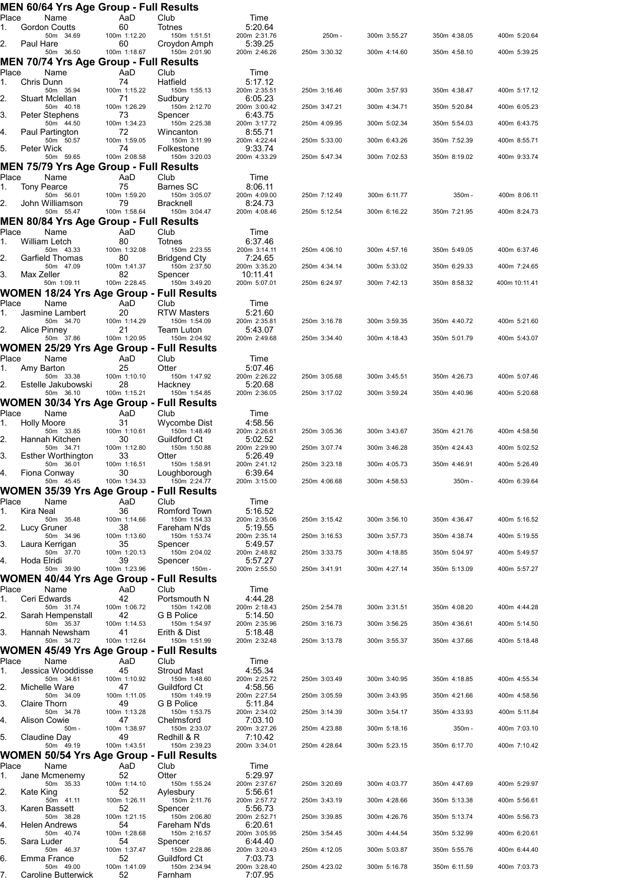|             |                    |                                        | MEN 60/64 Yrs Age Group - Full Results             |                                                          |                          |              |              |              |               |
|-------------|--------------------|----------------------------------------|----------------------------------------------------|----------------------------------------------------------|--------------------------|--------------|--------------|--------------|---------------|
| Place<br>1. |                    | Name<br><b>Gordon Coutts</b>           | AaD<br>60                                          | Club<br>Totnes                                           | Time<br>5:20.64          |              |              |              |               |
|             |                    | 50m 34.69                              | 100m 1:12.20                                       | 150m 1:51.51                                             | 200m 2:31.76             | 250m-        | 300m 3:55.27 | 350m 4:38.05 | 400m 5:20.64  |
| 2.          | Paul Hare          | 50m 36.50                              | 60<br>100m 1:18.67                                 | Croydon Amph<br>150m 2:01.90                             | 5:39.25<br>200m 2:46.26  | 250m 3:30.32 | 300m 4:14.60 | 350m 4:58.10 | 400m 5:39.25  |
|             |                    |                                        | MEN 70/74 Yrs Age Group - Full Results             |                                                          |                          |              |              |              |               |
| Place<br>1. | Chris Dunn         | Name                                   | AaD<br>74                                          | Club<br>Hatfield                                         | Time<br>5:17.12          |              |              |              |               |
|             |                    | 50m 35.94                              | 100m 1:15.22                                       | 150m 1:55.13                                             | 200m 2:35.51             | 250m 3:16.46 | 300m 3:57.93 | 350m 4:38.47 | 400m 5:17.12  |
| 2.          |                    | Stuart Mclellan<br>50m 40.18           | 71<br>100m 1:26.29                                 | Sudbury<br>150m 2:12.70                                  | 6:05.23<br>200m 3:00.42  | 250m 3:47.21 | 300m 4:34.71 | 350m 5:20.84 | 400m 6:05.23  |
| 3.          |                    | Peter Stephens                         | 73                                                 | Spencer                                                  | 6:43.75                  |              |              |              |               |
| 4.          |                    | 50m 44.50<br>Paul Partington           | 100m 1:34.23<br>72                                 | 150m 2:25.38<br>Wincanton                                | 200m 3:17.72<br>8:55.71  | 250m 4:09.95 | 300m 5:02.34 | 350m 5:54.03 | 400m 6:43.75  |
| 5.          | Peter Wick         | 50m 50.57                              | 100m 1:59.05<br>74                                 | 150m 3:11.99<br>Folkestone                               | 200m 4:22.44<br>9:33.74  | 250m 5:33.00 | 300m 6:43.26 | 350m 7:52.39 | 400m 8:55.71  |
|             |                    | 50m 59.65                              | 100m 2:08.58                                       | 150m 3:20.03                                             | 200m 4:33.29             | 250m 5:47.34 | 300m 7:02.53 | 350m 8:19.02 | 400m 9:33.74  |
|             |                    |                                        | <b>MEN 75/79 Yrs Age Group - Full Results</b>      |                                                          |                          |              |              |              |               |
| Place<br>1. |                    | Name<br><b>Tony Pearce</b>             | AaD<br>75                                          | Club<br><b>Barnes SC</b>                                 | Time<br>8:06.11          |              |              |              |               |
| 2.          |                    | 50m 56.01<br>John Williamson           | 100m 1:59.20<br>79                                 | 150m 3:05.07<br><b>Bracknell</b>                         | 200m 4:09.00<br>8:24.73  | 250m 7:12.49 | 300m 6:11.77 | 350m-        | 400m 8:06.11  |
|             |                    | 50m 55.47                              | 100m 1:58.64                                       | 150m 3:04.47                                             | 200m 4:08.46             | 250m 5:12.54 | 300m 6:16.22 | 350m 7:21.95 | 400m 8:24.73  |
|             |                    |                                        | <b>MEN 80/84 Yrs Age Group - Full Results</b>      |                                                          |                          |              |              |              |               |
| Place<br>1. |                    | Name<br>William Letch                  | AaD<br>80                                          | Club<br>Totnes                                           | Time<br>6:37.46          |              |              |              |               |
|             |                    | 50m 43.33                              | 100m 1:32.08                                       | 150m 2:23.55                                             | 200m 3:14.11             | 250m 4:06.10 | 300m 4:57.16 | 350m 5:49.05 | 400m 6:37.46  |
| 2.          |                    | Garfield Thomas<br>50m 47.09           | 80<br>100m 1:41.37                                 | <b>Bridgend Cty</b><br>150m 2:37.50                      | 7:24.65<br>200m 3:35.20  | 250m 4:34.14 | 300m 5:33.02 | 350m 6:29.33 | 400m 7:24.65  |
| 3.          | Max Zeller         | 50m 1:09.11                            | 82<br>100m 2:28.45                                 | Spencer<br>150m 3:49.20                                  | 10:11:41<br>200m 5:07.01 | 250m 6:24.97 | 300m 7:42.13 | 350m 8:58.32 | 400m 10:11.41 |
|             |                    |                                        | <b>WOMEN 18/24 Yrs Age Group -</b>                 | <b>Full Results</b>                                      |                          |              |              |              |               |
| Place       |                    | Name                                   | AaD                                                | Club                                                     | Time                     |              |              |              |               |
| 1.          |                    | Jasmine Lambert<br>50m 34.70           | 20<br>100m 1:14.29                                 | <b>RTW Masters</b><br>150m 1:54.09                       | 5:21.60<br>200m 2:35.81  | 250m 3:16.78 | 300m 3:59.35 | 350m 4:40.72 | 400m 5:21.60  |
| 2.          | Alice Pinney       |                                        | 21<br>100m 1:20.95                                 | Team Luton<br>150m 2:04.92                               | 5:43.07<br>200m 2:49.68  | 250m 3:34.40 | 300m 4:18.43 | 350m 5:01.79 | 400m 5:43.07  |
|             |                    | 50m 37.86                              |                                                    | <b>WOMEN 25/29 Yrs Age Group - Full Results</b>          |                          |              |              |              |               |
| Place       |                    | Name                                   | AaD                                                | Club                                                     | Time                     |              |              |              |               |
| 1.          | Amy Barton         | 50m 33.38                              | 25<br>100m 1:10.10                                 | Otter<br>150m 1:47.92                                    | 5:07.46<br>200m 2:26.22  | 250m 3:05.68 | 300m 3:45.51 | 350m 4:26.73 | 400m 5:07.46  |
| 2.          |                    | Estelle Jakubowski                     | 28                                                 | Hackney                                                  | 5:20.68                  |              |              |              |               |
|             |                    | 50m 36.10                              | 100m 1:15.21                                       | 150m 1:54.85<br>WOMEN 30/34 Yrs Age Group - Full Results | 200m 2:36.05             | 250m 3:17.02 | 300m 3:59.24 | 350m 4:40.96 | 400m 5:20.68  |
| Place       |                    | Name                                   | AaD                                                | Club                                                     | Time                     |              |              |              |               |
| 1.          | <b>Holly Moore</b> | 50m 33.85                              | 31<br>100m 1:10.61                                 | Wycombe Dist<br>150m 1:48.49                             | 4:58.56<br>200m 2:26.61  | 250m 3:05.36 | 300m 3:43.67 | 350m 4:21.76 | 400m 4:58.56  |
| 2.          |                    | Hannah Kitchen                         | 30                                                 | Guildford Ct                                             | 5:02.52                  |              |              |              |               |
| 3.          |                    | 50m 34.71<br><b>Esther Worthington</b> | 100m 1:12.80<br>33                                 | 150m 1:50.88<br>Otter                                    | 200m 2:29.90<br>5:26.49  | 250m 3:07.74 | 300m 3:46.28 | 350m 4:24.43 | 400m 5:02.52  |
| 4.          |                    | 50m 36.01<br>Fiona Conway              | 100m 1:16.51<br>30                                 | 150m 1:58.91                                             | 200m 2:41.12<br>6:39.64  | 250m 3:23.18 | 300m 4:05.73 | 350m 4:46.91 | 400m 5:26.49  |
|             |                    | 50m 45.45                              | 100m 1:34.33                                       | Loughborough<br>150m 2:24.77                             | 200m 3:15.00             | 250m 4:06.68 | 300m 4:58.53 | 350m-        | 400m 6:39.64  |
|             |                    |                                        |                                                    | <b>WOMEN 35/39 Yrs Age Group - Full Results</b>          |                          |              |              |              |               |
| Place<br>1. | Kira Neal          | Name                                   | AaD<br>36                                          | Club<br>Romford Town                                     | Time<br>5:16.52          |              |              |              |               |
|             | Lucy Gruner        | 50m 35.48                              | 100m 1:14.66                                       | 150m 1:54.33                                             | 200m 2:35.06<br>5:19.55  | 250m 3:15.42 | 300m 3:56.10 | 350m 4:36.47 | 400m 5:16.52  |
| 2.          |                    | 50m 34.96                              | 38<br>100m 1:13.60                                 | Fareham N'ds<br>150m 1:53.74                             | 200m 2:35.14             | 250m 3:16.53 | 300m 3:57.73 | 350m 4:38.74 | 400m 5:19.55  |
| 3.          |                    | Laura Kerrigan<br>50m 37.70            | 35<br>100m 1:20.13                                 | Spencer<br>150m 2:04.02                                  | 5:49.57<br>200m 2:48.82  | 250m 3:33.75 | 300m 4:18.85 | 350m 5:04.97 | 400m 5:49.57  |
| 4.          | Hoda Elridi        |                                        | 39                                                 | Spencer                                                  | 5:57.27                  |              |              |              |               |
|             |                    | 50m 39.90                              | 100m 1:23.96<br><b>WOMEN 40/44 Yrs Age Group -</b> | 150m -<br><b>Full Results</b>                            | 200m 2:55.50             | 250m 3:41.91 | 300m 4:27.14 | 350m 5:13.09 | 400m 5:57.27  |
| Place       |                    | Name                                   | AaD                                                | Club                                                     | Time                     |              |              |              |               |
| 1.          |                    | Ceri Edwards<br>50m 31.74              | 42<br>100m 1:06.72                                 | Portsmouth N<br>150m 1:42.08                             | 4:44.28<br>200m 2:18.43  | 250m 2:54.78 | 300m 3:31.51 | 350m 4:08.20 | 400m 4:44.28  |
| 2.          |                    | Sarah Hempenstall                      | 42                                                 | G B Police                                               | 5:14.50                  |              |              |              |               |
| 3.          |                    | 50m 35.37<br>Hannah Newsham            | 100m 1:14.53<br>41                                 | 150m 1:54.97<br>Erith & Dist                             | 200m 2:35.96<br>5:18.48  | 250m 3:16.73 | 300m 3:56.25 | 350m 4:36.61 | 400m 5:14.50  |
|             |                    | 50m 34.72                              | 100m 1:12.64                                       | 150m 1:51.99<br>WOMEN 45/49 Yrs Age Group - Full Results | 200m 2:32.48             | 250m 3:13.78 | 300m 3:55.37 | 350m 4:37.66 | 400m 5:18.48  |
| Place       |                    | Name                                   | AaD                                                | Club                                                     | Time                     |              |              |              |               |
| 1.          |                    | Jessica Wooddisse                      | 45                                                 | <b>Stroud Mast</b>                                       | 4:55.34                  |              |              |              |               |
| 2.          |                    | 50m 34.61<br>Michelle Ware             | 100m 1:10.92<br>47                                 | 150m 1:48.60<br>Guildford Ct                             | 200m 2:25.72<br>4:58.56  | 250m 3:03.49 | 300m 3:40.95 | 350m 4:18.85 | 400m 4:55.34  |
| 3.          | Claire Thorn       | 50m 34.09                              | 100m 1:11.05<br>49                                 | 150m 1:49.19<br>G B Police                               | 200m 2:27.54<br>5:11.84  | 250m 3:05.59 | 300m 3:43.95 | 350m 4:21.66 | 400m 4:58.56  |
|             |                    | 50m 34.78                              | 100m 1:13.28                                       | 150m 1:53.75                                             | 200m 2:34.02             | 250m 3:14.39 | 300m 3:54.17 | 350m 4:33.93 | 400m 5:11.84  |
| 4.          |                    | Alison Cowie<br>$50m -$                | 47<br>100m 1:38.97                                 | Chelmsford<br>150m 2:33.07                               | 7:03.10<br>200m 3:27.26  | 250m 4:23.88 | 300m 5:18.16 | 350m-        | 400m 7:03.10  |
| 5.          |                    | Claudine Day                           | 49                                                 | Redhill & R                                              | 7:10.42                  |              |              |              |               |
|             |                    | 50m 49.19                              | 100m 1:43.51<br><b>WOMEN 50/54 Yrs Age Group -</b> | 150m 2:39.23<br><b>Full Results</b>                      | 200m 3:34.01             | 250m 4:28.64 | 300m 5:23.15 | 350m 6:17.70 | 400m 7:10.42  |
| Place       |                    | Name                                   | AaD                                                | Club                                                     | Time                     |              |              |              |               |
| 1.          |                    | Jane Mcmenemy<br>50m 35.33             | 52<br>100m 1:14.10                                 | Otter<br>150m 1:55.24                                    | 5:29.97<br>200m 2:37.67  | 250m 3:20.69 | 300m 4:03.77 | 350m 4:47.69 | 400m 5:29.97  |
| 2.          | Kate King          |                                        | 52                                                 | Aylesbury                                                | 5:56.61                  |              |              |              |               |
| 3.          |                    | 50m 41.11<br>Karen Bassett             | 100m 1:26.11<br>52                                 | 150m 2:11.76<br>Spencer                                  | 200m 2:57.72<br>5:56.73  | 250m 3:43.19 | 300m 4:28.66 | 350m 5:13.38 | 400m 5:56.61  |
| 4.          |                    | 50m 38.28<br><b>Helen Andrews</b>      | 100m 1:21.15<br>54                                 | 150m 2:06.80<br>Fareham N'ds                             | 200m 2:52.71<br>6:20.61  | 250m 3:39.85 | 300m 4:26.76 | 350m 5:13.74 | 400m 5:56.73  |
|             |                    | 50m 40.74                              | 100m 1:28.68                                       | 150m 2:16.57                                             | 200m 3:05.95             | 250m 3:54.45 | 300m 4:44.54 | 350m 5:32.99 | 400m 6:20.61  |
| 5.          | Sara Luder         | 50m 46.37                              | 54<br>100m 1:37.47                                 | Spencer<br>150m 2:28.86                                  | 6:44.40<br>200m 3:20.43  | 250m 4:12.05 | 300m 5:03.87 | 350m 5:55.76 | 400m 6:44.40  |
| 6.          |                    | Emma France<br>50m 49.00               | 52<br>100m 1:41.09                                 | Guildford Ct<br>150m 2:34.94                             | 7:03.73<br>200m 3:28.40  | 250m 4:23.02 | 300m 5:16.78 | 350m 6:11.59 | 400m 7:03.73  |
| 7.          |                    | Caroline Butterwick                    | 52                                                 | Farnham                                                  | 7:07.95                  |              |              |              |               |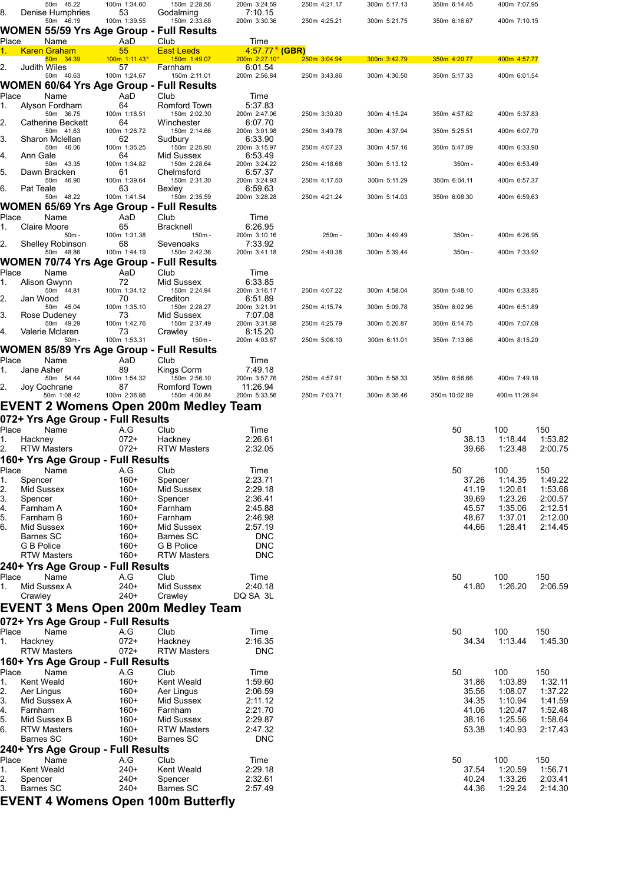|              |                      | 50m 45.22                        | 100m 1:34.60                      | 150m 2:28.56                                    | 200m 3:24.59             | 250m 4:21.17 | 300m 5:17.13 | 350m 6:14.45   | 400m 7:07.95       |                    |
|--------------|----------------------|----------------------------------|-----------------------------------|-------------------------------------------------|--------------------------|--------------|--------------|----------------|--------------------|--------------------|
| 8.           |                      | Denise Humphries<br>50m 46.19    | 53<br>100m 1:39.55                | Godalming<br>150m 2:33.68                       | 7:10.15<br>200m 3:30.36  | 250m 4:25.21 | 300m 5:21.75 | 350m 6:16.67   | 400m 7:10.15       |                    |
|              |                      |                                  |                                   | WOMEN 55/59 Yrs Age Group - Full Results        |                          |              |              |                |                    |                    |
| <u>Place</u> |                      | <u>Name</u>                      | AaD                               | <b>Club</b>                                     | <u>Time</u>              |              |              |                |                    |                    |
|              |                      | <b>Karen Graham</b>              | 55                                | <b>East Leeds</b>                               | 4.57.77* (GBR)           |              |              |                |                    |                    |
| 2.           |                      | 50m 34.39<br><b>Judith Wiles</b> | 100m 1:11.43*<br>57               | 150m 1:49.07<br>Farnham                         | 200m 2:27.10*<br>6:01.54 | 250m 3:04.94 | 300m 3:42.79 | 350m 4:20.77   | 400m 4:57.77       |                    |
|              |                      | 50m 40.63                        | 100m 1:24.67                      | 150m 2:11.01                                    | 200m 2:56.84             | 250m 3:43.86 | 300m 4:30.50 | 350m 5:17.33   | 400m 6:01.54       |                    |
|              |                      |                                  |                                   | WOMEN 60/64 Yrs Age Group - Full Results        |                          |              |              |                |                    |                    |
| Place<br>1.  |                      | Name<br>Alyson Fordham           | AaD<br>64                         | Club<br><b>Romford Town</b>                     | Time<br>5:37.83          |              |              |                |                    |                    |
|              |                      | 50m 36.75                        | 100m 1:18.51                      | 150m 2:02.30                                    | 200m 2:47.06             | 250m 3:30.80 | 300m 4:15.24 | 350m 4:57.62   | 400m 5:37.83       |                    |
| 2.           |                      | Catherine Beckett                | 64                                | Winchester                                      | 6:07.70                  |              |              |                |                    |                    |
| 3.           |                      | 50m 41.63<br>Sharon Mclellan     | 100m 1:26.72<br>62                | 150m 2:14.66<br>Sudbury                         | 200m 3:01.98<br>6:33.90  | 250m 3:49.78 | 300m 4:37.94 | 350m 5:25.51   | 400m 6:07.70       |                    |
|              |                      | 50m 46.06                        | 100m 1:35.25                      | 150m 2:25.90                                    | 200m 3:15.97             | 250m 4:07.23 | 300m 4:57.16 | 350m 5:47.09   | 400m 6:33.90       |                    |
| 4.           | Ann Gale             | 50m 43.35                        | 64<br>100m 1:34.82                | Mid Sussex<br>150m 2:28.64                      | 6:53.49<br>200m 3:24.22  | 250m 4:18.68 | 300m 5:13.12 | 350m-          | 400m 6:53.49       |                    |
| 5.           |                      | Dawn Bracken                     | 61                                | Chelmsford                                      | 6:57.37                  |              |              |                |                    |                    |
| 6.           | Pat Teale            | 50m 46.90                        | 100m 1:39.64<br>63                | 150m 2:31.30<br>Bexley                          | 200m 3:24.93<br>6:59.63  | 250m 4:17.50 | 300m 5:11.29 | 350m 6:04.11   | 400m 6:57.37       |                    |
|              |                      | 50m 48.22                        | 100m 1:41.54                      | 150m 2:35.59                                    | 200m 3:28.28             | 250m 4:21.24 | 300m 5:14.03 | 350m 6:08.30   | 400m 6:59.63       |                    |
|              |                      |                                  |                                   | WOMEN 65/69 Yrs Age Group - Full Results        |                          |              |              |                |                    |                    |
| Place        |                      | Name                             | AaD                               | Club                                            | Time                     |              |              |                |                    |                    |
| 1.           |                      | Claire Moore<br>$50m -$          | 65<br>100m 1:31.38                | Bracknell<br>$150m -$                           | 6:26.95<br>200m 3:10.16  | 250m-        | 300m 4:49.49 | 350m-          | 400m 6:26.95       |                    |
| 2.           |                      | <b>Shelley Robinson</b>          | 68                                | Sevenoaks                                       | 7:33.92                  |              |              |                |                    |                    |
|              |                      | 50m 48.86                        | 100m 1:44.19                      | 150m 2:42.36                                    | 200m 3:41.18             | 250m 4:40.38 | 300m 5:39.44 | $350m -$       | 400m 7:33.92       |                    |
|              |                      |                                  |                                   | <b>WOMEN 70/74 Yrs Age Group - Full Results</b> |                          |              |              |                |                    |                    |
| Place<br>1.  |                      | Name<br>Alison Gwynn             | AaD<br>72                         | Club<br>Mid Sussex                              | Time<br>6:33.85          |              |              |                |                    |                    |
|              |                      | 50m 44.81                        | 100m 1:34.12                      | 150m 2:24.94                                    | 200m 3:16.17             | 250m 4:07.22 | 300m 4:58.04 | 350m 5:48.10   | 400m 6:33.85       |                    |
| 2.           | Jan Wood             |                                  | 70                                | Crediton                                        | 6:51.89                  |              |              |                |                    |                    |
| 3.           |                      | 50m 45.04<br>Rose Dudeney        | 100m 1:35.10<br>73                | 150m 2:28.27<br>Mid Sussex                      | 200m 3:21.91<br>7:07.08  | 250m 4:15.74 | 300m 5:09.78 | 350m 6:02.96   | 400m 6:51.89       |                    |
|              |                      | 50m 49.29                        | 100m 1:42.76                      | 150m 2:37.49                                    | 200m 3:31.68             | 250m 4:25.79 | 300m 5:20.87 | 350m 6:14.75   | 400m 7:07.08       |                    |
| 4.           |                      | Valerie Mclaren<br>$50m -$       | 73<br>100m 1:53.31                | Crawley<br>150m -                               | 8:15.20<br>200m 4:03.87  | 250m 5:06.10 | 300m 6:11.01 | 350m 7:13.66   | 400m 8:15.20       |                    |
|              |                      |                                  | WOMEN 85/89 Yrs Age Group -       | <b>Full Results</b>                             |                          |              |              |                |                    |                    |
| Place        |                      | Name                             | AaD                               | Club                                            | Time                     |              |              |                |                    |                    |
| 1.           | Jane Asher           |                                  | 89                                | Kings Corm                                      | 7:49.18                  |              |              |                |                    |                    |
| 2.           |                      | 50m 54.44<br>Joy Cochrane        | 100m 1:54.32<br>87                | 150m 2:56.10<br>Romford Town                    | 200m 3:57.76<br>11:26.94 | 250m 4:57.91 | 300m 5:58.33 | 350m 6:56.66   | 400m 7:49.18       |                    |
|              |                      | 50m 1:08.42                      | 100m 2:36.86                      | 150m 4:00.84                                    | 200m 5:33.56             | 250m 7:03.71 | 300m 8:35.46 | 350m 10:02.89  | 400m 11:26.94      |                    |
|              |                      |                                  |                                   | EVENT 2 Womens Open 200m Medley Team            |                          |              |              |                |                    |                    |
|              |                      |                                  | 072+ Yrs Age Group - Full Results |                                                 |                          |              |              |                |                    |                    |
| Place        |                      | Name                             | A.G                               | Club                                            | Time                     |              |              | 50             | 100                | 150                |
| 1.           | Hackney              | <b>RTW Masters</b>               | 072+<br>$072+$                    | Hackney<br><b>RTW Masters</b>                   | 2:26.61<br>2:32.05       |              |              | 38.13<br>39.66 | 1:18.44<br>1:23.48 | 1:53.82<br>2:00.75 |
|              |                      |                                  | 160+ Yrs Age Group - Full Results |                                                 |                          |              |              |                |                    |                    |
| Place        |                      | Name                             | A.G                               | Club                                            | Time                     |              |              | 50             | 100                | 150                |
| 1.           | Spencer              |                                  | $160+$                            | Spencer                                         | 2:23.71                  |              |              | 37.26          | 1:14.35            | 1:49.22            |
| 2.           |                      | <b>Mid Sussex</b>                | $160+$                            | Mid Sussex                                      | 2:29.18                  |              |              | 41.19          | 1:20.61            | 1:53.68            |
| 3.           | Spencer              |                                  | $160+$                            | Spencer                                         | 2:36.41                  |              |              | 39.69          | 1:23.26            | 2:00.57            |
| 4.<br>5.     | Farnham A            |                                  | $160+$                            | Farnham                                         | 2:45.88<br>2:46.98       |              |              | 45.57          | 1:35.06            | 2:12.51            |
| 6.           | Farnham B            | Mid Sussex                       | $160+$<br>$160+$                  | Farnham<br>Mid Sussex                           | 2:57.19                  |              |              | 48.67<br>44.66 | 1:37.01<br>1:28.41 | 2:12.00<br>2:14.45 |
|              | <b>Barnes SC</b>     |                                  | $160+$                            | <b>Barnes SC</b>                                | <b>DNC</b>               |              |              |                |                    |                    |
|              | G B Police           |                                  | $160+$                            | G B Police                                      | <b>DNC</b>               |              |              |                |                    |                    |
|              |                      | <b>RTW Masters</b>               | $160+$                            | <b>RTW Masters</b>                              | <b>DNC</b>               |              |              |                |                    |                    |
|              |                      |                                  | 240+ Yrs Age Group - Full Results |                                                 |                          |              |              |                |                    |                    |
| Place        |                      | Name                             | A.G                               | Club                                            | Time                     |              |              | 50             | 100                | 150                |
| 1.           | Crawley              | Mid Sussex A                     | $240+$<br>$240+$                  | Mid Sussex<br>Crawley                           | 2:40.18<br>DQ SA 3L      |              |              | 41.80          | 1:26.20            | 2:06.59            |
|              |                      |                                  |                                   | <b>EVENT 3 Mens Open 200m Medley Team</b>       |                          |              |              |                |                    |                    |
|              |                      |                                  |                                   |                                                 |                          |              |              |                |                    |                    |
|              |                      |                                  | 072+ Yrs Age Group - Full Results |                                                 |                          |              |              |                |                    |                    |
| Place<br>1.  | Hackney              | Name                             | A.G<br>$072+$                     | Club<br>Hackney                                 | Time<br>2:16.35          |              |              | 50<br>34.34    | 100<br>1:13.44     | 150<br>1:45.30     |
|              |                      | <b>RTW Masters</b>               | $072+$                            | <b>RTW Masters</b>                              | <b>DNC</b>               |              |              |                |                    |                    |
|              |                      |                                  | 160+ Yrs Age Group - Full Results |                                                 |                          |              |              |                |                    |                    |
| Place        |                      | Name                             | A.G                               | Club                                            | Time                     |              |              | 50             | 100                | 150                |
| 1.           |                      | Kent Weald                       | $160+$                            | Kent Weald                                      | 1:59.60                  |              |              | 31.86          | 1:03.89            | 1:32.11            |
| 2.           | Aer Lingus           |                                  | $160+$                            | Aer Lingus                                      | 2:06.59                  |              |              | 35.56          | 1:08.07            | 1:37.22            |
| 3.<br>4.     | Farnham              | Mid Sussex A                     | $160+$<br>$160+$                  | Mid Sussex<br>Farnham                           | 2:11.12<br>2:21.70       |              |              | 34.35<br>41.06 | 1:10.94<br>1:20.47 | 1:41.59<br>1:52.48 |
| 5.           |                      | Mid Sussex B                     | $160+$                            | Mid Sussex                                      | 2:29.87                  |              |              | 38.16          | 1:25.56            | 1:58.64            |
| 6.           |                      | <b>RTW Masters</b>               | $160+$                            | <b>RTW Masters</b>                              | 2:47.32                  |              |              | 53.38          | 1:40.93            | 2:17.43            |
|              | Barnes SC            |                                  | $160+$                            | Barnes SC                                       | <b>DNC</b>               |              |              |                |                    |                    |
|              |                      |                                  | 240+ Yrs Age Group - Full Results |                                                 |                          |              |              |                |                    |                    |
| Place        |                      | Name                             | A.G                               | Club                                            | Time                     |              |              | 50             | 100                | 150                |
| 1.           |                      | Kent Weald                       | 240+<br>240+                      | Kent Weald                                      | 2:29.18                  |              |              | 37.54          | 1:20.59            | 1:56.71            |
| 2.<br>3.     | Spencer<br>Barnes SC |                                  | $240+$                            | Spencer<br>Barnes SC                            | 2:32.61<br>2:57.49       |              |              | 40.24<br>44.36 | 1:33.26<br>1:29.24 | 2:03.41<br>2:14.30 |
|              |                      |                                  |                                   | <b>EVENT 4 Womens Open 100m Butterfly</b>       |                          |              |              |                |                    |                    |
|              |                      |                                  |                                   |                                                 |                          |              |              |                |                    |                    |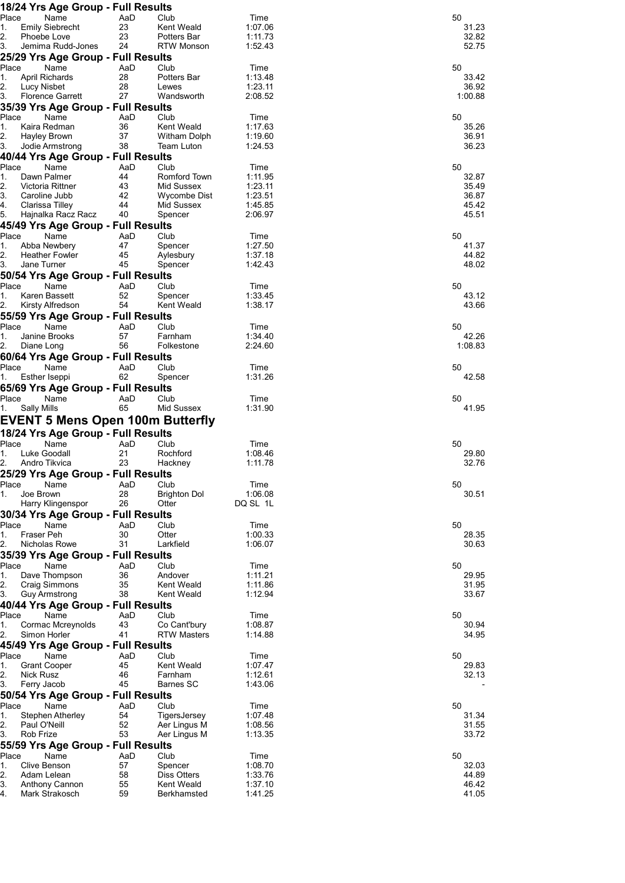| 18/24 Yrs Age Group - Full Results                        |           |                                    |                    |                |
|-----------------------------------------------------------|-----------|------------------------------------|--------------------|----------------|
| Place<br>Name<br>1.<br><b>Emily Siebrecht</b>             | AaD<br>23 | Club<br>Kent Weald                 | Time<br>1:07.06    | 50<br>31.23    |
| 2.<br>Phoebe Love                                         | 23        | Potters Bar                        | 1:11.73            | 32.82          |
| 3.<br>Jemima Rudd-Jones                                   | 24        | <b>RTW Monson</b>                  | 1:52.43            | 52.75          |
| 25/29 Yrs Age Group - Full Results                        |           |                                    |                    |                |
| Place<br>Name                                             | AaD       | Club                               | Time               | 50             |
| 1.<br><b>April Richards</b><br>2.<br>Lucy Nisbet          | 28<br>28  | Potters Bar<br>Lewes               | 1:13.48<br>1:23.11 | 33.42<br>36.92 |
| 3.<br><b>Florence Garrett</b>                             | 27        | Wandsworth                         | 2:08.52            | 1:00.88        |
| 35/39 Yrs Age Group - Full Results                        |           |                                    |                    |                |
| Place<br>Name                                             | AaD       | Club                               | Time               | 50             |
| 1.<br>Kaira Redman                                        | 36        | Kent Weald                         | 1:17.63            | 35.26          |
| 2.<br>Hayley Brown<br>3.<br>Jodie Armstrong               | 37<br>38  | Witham Dolph<br><b>Team Luton</b>  | 1:19.60<br>1:24.53 | 36.91<br>36.23 |
| 40/44 Yrs Age Group - Full Results                        |           |                                    |                    |                |
| Place<br>Name                                             | AaD       | Club                               | Time               | 50             |
| 1.<br>Dawn Palmer                                         | 44        | Romford Town                       | 1:11.95            | 32.87          |
| 2.<br>Victoria Rittner                                    | 43        | Mid Sussex                         | 1:23.11            | 35.49          |
| 3.<br>Caroline Jubb                                       | 42        | Wycombe Dist                       | 1:23.51            | 36.87<br>45.42 |
| Clarissa Tilley<br>4.<br>5.<br>Hajnalka Racz Racz         | 44<br>40  | Mid Sussex<br>Spencer              | 1:45.85<br>2:06.97 | 45.51          |
| 45/49 Yrs Age Group - Full Results                        |           |                                    |                    |                |
| Place<br>Name                                             | AaD       | Club                               | Time               | 50             |
| 1.<br>Abba Newbery                                        | 47        | Spencer                            | 1:27.50            | 41.37          |
| 2.<br><b>Heather Fowler</b>                               | 45        | Aylesbury                          | 1:37.18            | 44.82          |
| 3.<br>Jane Turner                                         | 45        | Spencer                            | 1:42.43            | 48.02          |
| 50/54 Yrs Age Group - Full Results<br>Place<br>Name       | AaD       | Club                               |                    | 50             |
| Karen Bassett<br>1.                                       | 52        | Spencer                            | Time<br>1:33.45    | 43.12          |
| 2.<br>Kirsty Alfredson                                    | 54        | Kent Weald                         | 1:38.17            | 43.66          |
| 55/59 Yrs Age Group - Full Results                        |           |                                    |                    |                |
| Place<br>Name                                             | AaD       | Club                               | Time               | 50             |
| 1.<br>Janine Brooks                                       | 57        | Farnham                            | 1:34.40            | 42.26          |
| 2.<br>Diane Long<br>60/64 Yrs Age Group - Full Results    | 56        | Folkestone                         | 2:24.60            | 1:08.83        |
| Place<br>Name                                             | AaD       | Club                               | Time               | 50             |
| Esther Iseppi<br>1.                                       | 62        | Spencer                            | 1:31.26            | 42.58          |
| 65/69 Yrs Age Group - Full Results                        |           |                                    |                    |                |
| Place<br>Name                                             | AaD       | Club                               | Time               | 50             |
| <b>Sally Mills</b><br>1.                                  | 65        | Mid Sussex                         | 1:31.90            | 41.95          |
| EVENT 5 Mens Open 100m Butterfly                          |           |                                    |                    |                |
| 18/24 Yrs Age Group - Full Results                        |           |                                    |                    |                |
| Place<br>Name                                             | AaD       | Club                               | Time               | 50             |
| 1.<br>Luke Goodall                                        | 21        | Rochford                           | 1:08.46            | 29.80          |
| 2.<br>Andro Tikvica                                       | 23        | Hackney                            | 1:11.78            | 32.76          |
| 25/29 Yrs Age Group - Full Results<br>Place<br>Name       | AaD       | Club                               | Time               | 50             |
| 1.<br>Joe Brown                                           | 28        | <b>Brighton Dol</b>                | 1:06.08            | 30.51          |
| Harry Klingenspor                                         | 26        | Otter                              | DQ SL 1L           |                |
| 30/34 Yrs Age Group - Full Results                        |           |                                    |                    |                |
| Place<br>Name                                             | AaD       | Club                               | Time               | 50             |
| Fraser Peh<br>1.                                          | 30        | Otter                              | 1:00.33            | 28.35          |
| 2.<br>Nicholas Rowe<br>35/39 Yrs Age Group - Full Results | 31        | Larkfield                          | 1:06.07            | 30.63          |
| Place<br>Name                                             | AaD       | Club                               | Time               | 50             |
| Dave Thompson<br>1.                                       | 36        | Andover                            | 1:11.21            | 29.95          |
| 2.<br>Craig Simmons                                       | 35        | Kent Weald                         | 1:11.86            | 31.95          |
| 3.<br><b>Guy Armstrong</b>                                | 38        | Kent Weald                         | 1:12.94            | 33.67          |
| 40/44 Yrs Age Group - Full Results                        |           |                                    |                    |                |
| Place<br>Name                                             | AaD       | Club                               | Time               | 50             |
| Cormac Mcreynolds<br>1.<br>2.<br>Simon Horler             | 43<br>41  | Co Cant'bury<br><b>RTW Masters</b> | 1:08.87<br>1:14.88 | 30.94<br>34.95 |
| 45/49 Yrs Age Group - Full Results                        |           |                                    |                    |                |
| Place<br>Name                                             | AaD       | Club                               | Time               | 50             |
| 1.<br><b>Grant Cooper</b>                                 | 45        | Kent Weald                         | 1:07.47            | 29.83          |
| 2.<br>Nick Rusz                                           |           |                                    |                    | 32.13          |
| 3.<br>Ferry Jacob                                         | 46        | Farnham                            | 1:12.61            |                |
|                                                           | 45        | Barnes SC                          | 1:43.06            |                |
| 50/54 Yrs Age Group - Full Results                        |           |                                    |                    |                |
| Place<br>Name                                             | AaD       | Club                               | Time               | 50             |
| 1.<br>Stephen Atherley<br>2.<br>Paul O'Neill              | 54<br>52  | TigersJersey<br>Aer Lingus M       | 1:07.48<br>1:08.56 | 31.34<br>31.55 |
| 3.<br>Rob Frize                                           | 53        | Aer Lingus M                       | 1:13.35            | 33.72          |
| 55/59 Yrs Age Group - Full Results                        |           |                                    |                    |                |
| Place<br>Name                                             | AaD       | Club                               | Time               | 50             |
| 1.<br>Clive Benson                                        | 57        | Spencer                            | 1:08.70            | 32.03          |
| 2.<br>Adam Lelean<br>3.<br>Anthony Cannon                 | 58<br>55  | Diss Otters<br>Kent Weald          | 1:33.76<br>1:37.10 | 44.89<br>46.42 |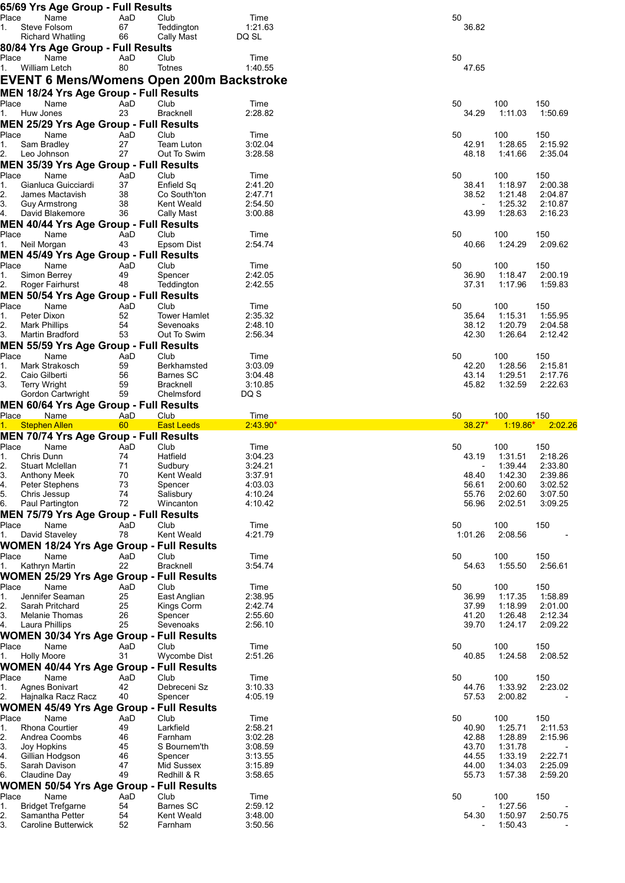|             |                                     | 65/69 Yrs Age Group - Full Results                                 |           |                                                 |                    |                          |                    |                    |
|-------------|-------------------------------------|--------------------------------------------------------------------|-----------|-------------------------------------------------|--------------------|--------------------------|--------------------|--------------------|
| Place<br>1. |                                     | Name<br>Steve Folsom                                               | AaD<br>67 | Club<br>Teddington                              | Time<br>1:21.63    | 50<br>36.82              |                    |                    |
|             |                                     | <b>Richard Whatling</b>                                            | 66        | Cally Mast                                      | DQ SL              |                          |                    |                    |
|             |                                     | 80/84 Yrs Age Group - Full Results                                 |           |                                                 |                    |                          |                    |                    |
| Place       |                                     | Name                                                               | AaD       | Club                                            | Time               | 50                       |                    |                    |
| 1.          |                                     | William Letch                                                      | 80        | Totnes                                          | 1:40.55            | 47.65                    |                    |                    |
|             |                                     | MEN 18/24 Yrs Age Group - Full Results                             |           | <b>EVENT 6 Mens/Womens Open 200m Backstroke</b> |                    |                          |                    |                    |
| Place       |                                     | Name                                                               | AaD       | Club                                            | Time               | 50                       | 100                | 150                |
| 1.          | Huw Jones                           |                                                                    | 23        | <b>Bracknell</b>                                | 2:28.82            | 34.29                    | 1:11.03            | 1:50.69            |
|             |                                     | MEN 25/29 Yrs Age Group - Full Results                             |           |                                                 |                    |                          |                    |                    |
| Place<br>1. | Sam Bradley                         | Name                                                               | AaD<br>27 | Club<br>Team Luton                              | Time<br>3:02.04    | 50<br>42.91              | 100<br>1:28.65     | 150<br>2:15.92     |
| 2.          | Leo Johnson                         |                                                                    | 27        | Out To Swim                                     | 3:28.58            | 48.18                    | 1:41.66            | 2:35.04            |
|             |                                     | MEN 35/39 Yrs Age Group - Full Results                             |           |                                                 |                    |                          |                    |                    |
| Place<br>1. |                                     | Name<br>Gianluca Guicciardi                                        | AaD<br>37 | Club<br>Enfield Sq                              | Time<br>2:41.20    | 50<br>38.41              | 100<br>1:18.97     | 150<br>2:00.38     |
| 2.          |                                     | James Mactavish                                                    | 38        | Co South'ton                                    | 2:47.71            | 38.52                    | 1:21.48            | 2:04.87            |
| 3.          |                                     | Guy Armstrong                                                      | 38        | Kent Weald                                      | 2:54.50            |                          | 1:25.32            | 2:10.87            |
| 4.          |                                     | David Blakemore                                                    | 36        | Cally Mast                                      | 3:00.88            | 43.99                    | 1:28.63            | 2:16.23            |
| Place       |                                     | <b>MEN 40/44 Yrs Age Group - Full Results</b><br>Name              | AaD       | Club                                            | Time               | 50                       | 100                | 150                |
| 1.          | Neil Morgan                         |                                                                    | 43        | Epsom Dist                                      | 2:54.74            | 40.66                    | 1:24.29            | 2:09.62            |
|             |                                     | <b>MEN 45/49 Yrs Age Group - Full Results</b>                      |           |                                                 |                    |                          |                    |                    |
| Place       |                                     | Name                                                               | AaD<br>49 | Club                                            | Time<br>2:42.05    | 50<br>36.90              | 100<br>1:18.47     | 150<br>2:00.19     |
| 1.<br>2.    |                                     | Simon Berrey<br>Roger Fairhurst                                    | 48        | Spencer<br>Teddington                           | 2:42.55            | 37.31                    | 1:17.96            | 1:59.83            |
|             |                                     | <b>MEN 50/54 Yrs Age Group - Full Results</b>                      |           |                                                 |                    |                          |                    |                    |
| Place       |                                     | Name                                                               | AaD       | Club                                            | Time               | 50                       | 100                | 150                |
| 1.<br>2.    | Peter Dixon<br><b>Mark Phillips</b> |                                                                    | 52<br>54  | <b>Tower Hamlet</b><br>Sevenoaks                | 2:35.32<br>2:48.10 | 35.64<br>38.12           | 1:15.31<br>1:20.79 | 1:55.95<br>2:04.58 |
| 3.          |                                     | Martin Bradford                                                    | 53        | Out To Swim                                     | 2:56.34            | 42.30                    | 1:26.64            | 2:12.42            |
|             |                                     | <b>MEN 55/59 Yrs Age Group - Full Results</b>                      |           |                                                 |                    |                          |                    |                    |
| Place<br>1. |                                     | Name<br>Mark Strakosch                                             | AaD<br>59 | Club<br>Berkhamsted                             | Time<br>3:03.09    | 50<br>42.20              | 100<br>1:28.56     | 150<br>2:15.81     |
| 2.          | Caio Gilberti                       |                                                                    | 56        | Barnes SC                                       | 3:04.48            | 43.14                    | 1:29.51            | 2:17.76            |
| 3.          | <b>Terry Wright</b>                 |                                                                    | 59        | <b>Bracknell</b>                                | 3:10.85            | 45.82                    | 1:32.59            | 2:22.63            |
|             |                                     | Gordon Cartwright<br><b>MEN 60/64 Yrs Age Group - Full Results</b> | 59        | Chelmsford                                      | DQ S               |                          |                    |                    |
| Place       |                                     | Name                                                               | AaD       |                                                 |                    |                          |                    |                    |
|             |                                     |                                                                    |           | Club                                            | Time               | 50                       | 100                | 150                |
| $1 -$       |                                     | <b>Stephen Allen</b>                                               | 60        | <b>East Leeds</b>                               | $2:43.90*$         | $38.27*$                 | $1:19.86*$         | 2:02.26            |
|             |                                     | <b>MEN 70/74 Yrs Age Group - Full Results</b>                      |           |                                                 |                    |                          |                    |                    |
| Place<br>1. | Chris Dunn                          | Name                                                               | AaD<br>74 | Club<br>Hatfield                                | Time<br>3:04.23    | 50<br>43.19              | 100<br>1:31.51     | 150<br>2:18.26     |
| 2           |                                     | <b>Stuart Mclellan</b>                                             | 71        | Sudbury                                         | 3:24.21            |                          | 1:39.44            | 2:33.80            |
| 3.          |                                     | <b>Anthony Meek</b>                                                | 70        | Kent Weald                                      | 3:37.91            | 48.40                    | 1:42.30            | 2:39.86            |
| 4.<br>5.    | Chris Jessup                        | Peter Stephens                                                     | 73<br>74  | Spencer<br>Salisbury                            | 4:03.03<br>4:10.24 | 56.61<br>55.76           | 2:00.60<br>2:02.60 | 3:02.52<br>3:07.50 |
| 6.          |                                     | Paul Partington                                                    | 72        | Wincanton                                       | 4:10.42            | 56.96                    | 2:02.51            | 3:09.25            |
|             |                                     | <b>MEN 75/79 Yrs Age Group - Full Results</b>                      |           |                                                 |                    |                          |                    |                    |
| Place       |                                     | Name<br>David Staveley                                             | AaD<br>78 | Club<br>Kent Weald                              | Time<br>4:21.79    | 50<br>1:01.26            | 100<br>2:08.56     | 150                |
|             |                                     | <b>WOMEN 18/24 Yrs Age Group - Full Results</b>                    |           |                                                 |                    |                          |                    |                    |
| Place       |                                     | Name                                                               | AaD       | Club                                            | Time               | 50                       | 100                | 150                |
| 1.          |                                     | Kathryn Martin                                                     | 22        | <b>Bracknell</b>                                | 3:54.74            | 54.63                    | 1:55.50            | 2:56.61            |
| Place       |                                     | <b>WOMEN 25/29 Yrs Age Group - Full Results</b><br>Name            | AaD       | Club                                            | Time               | 50                       | 100                | 150                |
| 1.          |                                     | Jennifer Seaman                                                    | 25        | East Anglian                                    | 2:38.95            | 36.99                    | 1:17.35            | 1:58.89            |
| 2.          |                                     | Sarah Pritchard                                                    | 25        | Kings Corm                                      | 2:42.74            | 37.99                    | 1:18.99            | 2:01.00            |
| 3.<br>4.    |                                     | Melanie Thomas<br>Laura Phillips                                   | 26<br>25  | Spencer<br>Sevenoaks                            | 2:55.60<br>2:56.10 | 41.20<br>39.70           | 1:26.48<br>1:24.17 | 2:12.34<br>2:09.22 |
|             |                                     | <b>WOMEN 30/34 Yrs Age Group - Full Results</b>                    |           |                                                 |                    |                          |                    |                    |
| Place       |                                     | Name                                                               | AaD       | Club                                            | Time               | 50                       | 100                | 150                |
|             | <b>Holly Moore</b>                  |                                                                    | 31        | <b>Wycombe Dist</b>                             | 2:51.26            | 40.85                    | 1:24.58            | 2:08.52            |
| Place       |                                     | WOMEN 40/44 Yrs Age Group - Full Results<br>Name                   | AaD       | Club                                            | Time               | 50                       | 100                | 150                |
| Ι.          |                                     | <b>Agnes Bonivart</b>                                              | 42        | Debreceni Sz                                    | 3:10.33            | 44.76                    | 1:33.92            | 2:23.02            |
| 2.          |                                     | Hajnalka Racz Racz                                                 | 40        | Spencer                                         | 4:05.19            | 57.53                    | 2:00.82            |                    |
| Place       |                                     | <b>WOMEN 45/49 Yrs Age Group - Full Results</b><br>Name            | AaD       | Club                                            | Time               | 50                       | 100                | 150                |
| 1.          |                                     | <b>Rhona Courtier</b>                                              | 49        | Larkfield                                       | 2:58.21            | 40.90                    | 1:25.71            | 2:11.53            |
| 2.          |                                     | Andrea Coombs                                                      | 46        | Farnham                                         | 3:02.28            | 42.88                    | 1:28.89            | 2:15.96            |
| 3.<br>4.    | Joy Hopkins                         | Gillian Hodgson                                                    | 45<br>46  | S Bournem'th<br>Spencer                         | 3:08.59<br>3:13.55 | 43.70<br>44.55           | 1:31.78<br>1:33.19 | 2:22.71            |
| 5.          |                                     | Sarah Davison                                                      | 47        | Mid Sussex                                      | 3:15.89            | 44.00                    | 1:34.03            | 2:25.09            |
| 6.          |                                     | Claudine Day                                                       | 49        | Redhill & R                                     | 3:58.65            | 55.73                    | 1:57.38            | 2:59.20            |
| Place       |                                     | WOMEN 50/54 Yrs Age Group - Full Results<br>Name                   | AaD       | Club                                            | Time               | 50                       | 100                | 150                |
| 1.          |                                     | <b>Bridget Trefgarne</b>                                           | 54        | Barnes SC                                       | 2:59.12            | $\overline{\phantom{a}}$ | 1:27.56            |                    |
| 2.<br>З.    |                                     | Samantha Petter<br>Caroline Butterwick                             | 54<br>52  | Kent Weald<br>Farnham                           | 3:48.00<br>3:50.56 | 54.30                    | 1:50.97<br>1:50.43 | 2:50.75            |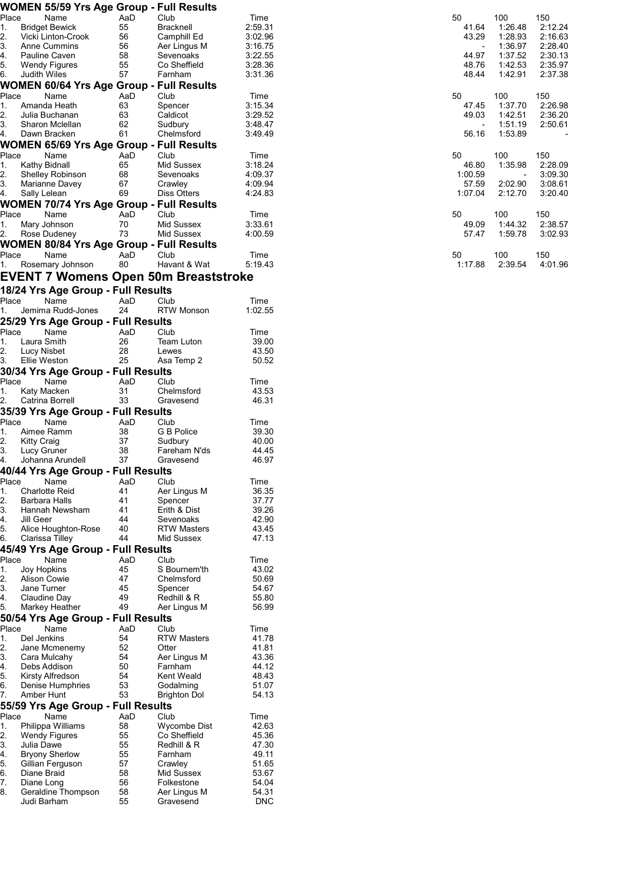|          |                    | WOMEN 55/59 Yrs Age Group - Full Results |           |                                      |                    |                          |                    |                    |
|----------|--------------------|------------------------------------------|-----------|--------------------------------------|--------------------|--------------------------|--------------------|--------------------|
| Place    |                    | Name                                     | AaD       | Club                                 | Time               | 50                       | 100                | 150                |
| 1.       |                    | <b>Bridget Bewick</b>                    | 55        | <b>Bracknell</b>                     | 2:59.31            | 41.64                    | 1:26.48            | 2:12.24            |
| 2.       |                    | Vicki Linton-Crook                       | 56        | Camphill Ed                          | 3:02.96            | 43.29                    | 1:28.93            | 2:16.63            |
| 3.       |                    | Anne Cummins                             | 56        | Aer Lingus M                         | 3:16.75            | $\overline{\phantom{a}}$ | 1:36.97            | 2:28.40            |
| 4.<br>5. |                    | Pauline Caven<br>Wendy Figures           | 58<br>55  | Sevenoaks<br>Co Sheffield            | 3:22.55<br>3:28.36 | 44.97<br>48.76           | 1:37.52<br>1:42.53 | 2:30.13<br>2:35.97 |
| 6.       | Judith Wiles       |                                          | 57        | Farnham                              | 3:31.36            | 48.44                    | 1:42.91            | 2:37.38            |
|          |                    | WOMEN 60/64 Yrs Age Group - Full Results |           |                                      |                    |                          |                    |                    |
| Place    |                    | Name                                     | AaD       | Club                                 |                    | 50                       | 100                | 150                |
| 1.       |                    | Amanda Heath                             | 63        | Spencer                              | Time<br>3:15.34    | 47.45                    | 1:37.70            | 2:26.98            |
| 2.       |                    | Julia Buchanan                           | 63        | Caldicot                             | 3:29.52            | 49.03                    | 1:42.51            | 2:36.20            |
| 3.       |                    | Sharon Mclellan                          | 62        | Sudbury                              | 3:48.47            |                          | 1:51.19            | 2:50.61            |
| 4.       |                    | Dawn Bracken                             | 61        | Chelmsford                           | 3:49.49            | 56.16                    | 1:53.89            |                    |
|          |                    | WOMEN 65/69 Yrs Age Group - Full Results |           |                                      |                    |                          |                    |                    |
| Place    |                    | Name                                     | AaD       | Club                                 | Time               | 50                       | 100                | 150                |
| 1.       |                    | Kathy Bidnall                            | 65        | Mid Sussex                           | 3:18.24            | 46.80                    | 1:35.98            | 2:28.09            |
| 2.       |                    | <b>Shelley Robinson</b>                  | 68        | Sevenoaks                            | 4:09.37            | 1:00.59                  |                    | 3:09.30            |
| 3.       |                    | Marianne Davey                           | 67        | Crawley                              | 4:09.94            | 57.59                    | 2:02.90            | 3:08.61            |
| 4.       | Sally Lelean       |                                          | 69        | Diss Otters                          | 4:24.83            | 1:07.04                  | 2:12.70            | 3:20.40            |
|          |                    | WOMEN 70/74 Yrs Age Group - Full Results |           |                                      |                    |                          |                    |                    |
| Place    |                    | Name                                     | AaD       | Club                                 | Time               | 50                       | 100                | 150                |
| 1.       |                    | Mary Johnson                             | 70        | Mid Sussex                           | 3:33.61            | 49.09                    | 1:44.32            | 2:38.57            |
| 2.       |                    | Rose Dudeney                             | 73        | Mid Sussex                           | 4:00.59            | 57.47                    | 1:59.78            | 3:02.93            |
|          |                    | WOMEN 80/84 Yrs Age Group - Full Results |           |                                      |                    |                          |                    |                    |
| Place    |                    | Name                                     | AaD       | Club                                 | Time               | 50                       | 100                | 150                |
| 1.       |                    | Rosemary Johnson                         | 80        | Havant & Wat                         | 5:19.43            | 1:17.88                  | 2:39.54            | 4:01.96            |
|          |                    |                                          |           | EVENT 7 Womens Open 50m Breaststroke |                    |                          |                    |                    |
|          |                    |                                          |           |                                      |                    |                          |                    |                    |
|          |                    | 18/24 Yrs Age Group - Full Results       |           |                                      |                    |                          |                    |                    |
| Place    |                    | Name                                     | AaD       | Club                                 | Time               |                          |                    |                    |
| 1.       |                    | Jemima Rudd-Jones                        | 24        | <b>RTW Monson</b>                    | 1:02.55            |                          |                    |                    |
|          |                    | 25/29 Yrs Age Group - Full Results       |           |                                      |                    |                          |                    |                    |
| Place    |                    | Name                                     | AaD       | Club                                 | Time               |                          |                    |                    |
| 1.       | Laura Smith        |                                          | 26        | Team Luton                           | 39.00              |                          |                    |                    |
| 2.       | Lucy Nisbet        |                                          | 28        | Lewes                                | 43.50              |                          |                    |                    |
| 3.       | Ellie Weston       |                                          | 25        | Asa Temp 2                           | 50.52              |                          |                    |                    |
|          |                    | 30/34 Yrs Age Group - Full Results       |           |                                      |                    |                          |                    |                    |
| Place    |                    | Name                                     | AaD       | Club                                 | Time               |                          |                    |                    |
| 1.       | Katy Macken        |                                          | 31        | Chelmsford                           | 43.53              |                          |                    |                    |
| 2.       |                    | Catrina Borrell                          | 33        | Gravesend                            | 46.31              |                          |                    |                    |
|          |                    | 35/39 Yrs Age Group - Full Results       |           |                                      |                    |                          |                    |                    |
| Place    |                    | Name                                     | AaD       | Club                                 | Time               |                          |                    |                    |
| 1.       |                    | Aimee Ramm                               | 38        | G B Police                           | 39.30              |                          |                    |                    |
| 2.       | <b>Kitty Craig</b> |                                          | 37        | Sudbury                              | 40.00              |                          |                    |                    |
| 3.       | Lucy Gruner        |                                          | 38        | Fareham N'ds                         | 44.45              |                          |                    |                    |
| 4.       |                    | Johanna Arundell                         | 37        | Gravesend                            | 46.97              |                          |                    |                    |
|          |                    | 40/44 Yrs Age Group - Full Results       |           |                                      |                    |                          |                    |                    |
| Place    |                    | Name                                     | AaD       | Club                                 | Time               |                          |                    |                    |
| 1.       |                    | <b>Charlotte Reid</b>                    | 41        | Aer Lingus M                         | 36.35              |                          |                    |                    |
| 2.       |                    | Barbara Halls                            | 41        | Spencer                              | 37.77              |                          |                    |                    |
| 3.       |                    | Hannah Newsham                           | 41        | Erith & Dist                         | 39.26              |                          |                    |                    |
| 4.       | Jill Geer          |                                          | 44        | Sevenoaks                            | 42.90              |                          |                    |                    |
| 5.       |                    | Alice Houghton-Rose                      | 40<br>44  | <b>RTW Masters</b>                   | 43.45<br>47.13     |                          |                    |                    |
| 6.       |                    | Clarissa Tilley                          |           | Mid Sussex                           |                    |                          |                    |                    |
|          |                    | 45/49 Yrs Age Group - Full Results       |           |                                      |                    |                          |                    |                    |
| Place    | Joy Hopkins        | Name                                     | AaD<br>45 | Club<br>S Bournem'th                 | Time<br>43.02      |                          |                    |                    |
| 1.<br>2. | Alison Cowie       |                                          | 47        | Chelmsford                           | 50.69              |                          |                    |                    |
| 3.       | Jane Turner        |                                          | 45        | Spencer                              | 54.67              |                          |                    |                    |
| 4.       |                    | Claudine Day                             | 49        | Redhill & R                          | 55.80              |                          |                    |                    |
| 5.       |                    | Markey Heather                           | 49        | Aer Lingus M                         | 56.99              |                          |                    |                    |
|          |                    | 50/54 Yrs Age Group - Full Results       |           |                                      |                    |                          |                    |                    |
| Place    |                    | Name                                     | AaD       | Club                                 | Time               |                          |                    |                    |
| 1.       | Del Jenkins        |                                          | 54        | <b>RTW Masters</b>                   | 41.78              |                          |                    |                    |
| 2.       |                    | Jane Mcmenemy                            | 52        | Otter                                | 41.81              |                          |                    |                    |
| 3.       |                    | Cara Mulcahy                             | 54        | Aer Lingus M                         | 43.36              |                          |                    |                    |
| 4.       |                    | Debs Addison                             | 50        | Farnham                              | 44.12              |                          |                    |                    |
| 5.       |                    | Kirsty Alfredson                         | 54        | Kent Weald                           | 48.43              |                          |                    |                    |
| 6.       |                    | Denise Humphries                         | 53        | Godalming                            | 51.07              |                          |                    |                    |
| 7.       | Amber Hunt         |                                          | 53        | <b>Brighton Dol</b>                  | 54.13              |                          |                    |                    |
|          |                    | 55/59 Yrs Age Group - Full Results       |           |                                      |                    |                          |                    |                    |
| Place    |                    | Name                                     | AaD       | Club                                 | Time               |                          |                    |                    |
| 1.       |                    | Philippa Williams                        | 58        | Wycombe Dist                         | 42.63              |                          |                    |                    |
| 2.       |                    | <b>Wendy Figures</b>                     | 55        | Co Sheffield                         | 45.36              |                          |                    |                    |
| 3.       | Julia Dawe         |                                          | 55        | Redhill & R                          | 47.30              |                          |                    |                    |
| 4.       |                    | <b>Bryony Sherlow</b>                    | 55        | Farnham                              | 49.11              |                          |                    |                    |
| 5.       |                    | Gillian Ferguson                         | 57        | Crawley                              | 51.65              |                          |                    |                    |
| 6.       | Diane Braid        |                                          | 58        | Mid Sussex                           | 53.67              |                          |                    |                    |
| 7.       | Diane Long         |                                          | 56        | Folkestone                           | 54.04              |                          |                    |                    |
| 8.       |                    | Geraldine Thompson                       | 58        | Aer Lingus M                         | 54.31              |                          |                    |                    |
|          | Judi Barham        |                                          | 55        | Gravesend                            | <b>DNC</b>         |                          |                    |                    |

| 50<br>41.64<br>43.29<br>44.97<br>48.76<br>48 44 | 100<br>1:26.48<br>1:28.93<br>1:36.97<br>1:37.52<br>1:42.53<br>1.4291 | 150<br>2:12.24<br>2:16.63<br>2:28.40<br>2:30.13<br>2:35.97<br>2:37.38 |
|-------------------------------------------------|----------------------------------------------------------------------|-----------------------------------------------------------------------|
| 50<br>47.45<br>49.03<br>56.16                   | 100<br>1:37.70<br>1:42.51<br>1:51.19<br>1.53.89                      | 150<br>2:26.98<br>2:36.20<br>2:50.61                                  |
| 50<br>46.80<br>1:00.59<br>57.59<br>1:07.04      | 100<br>1:35.98<br>2:02.90<br>2:12.70                                 | 150<br>2:28.09<br>3:09.30<br>3:08.61<br>3:20.40                       |
| 50<br>49.09<br>5747                             | 100<br>1:44.32<br>1.59.78                                            | 150<br>2:38.57<br>3.0293                                              |
| 50<br>1:17.88                                   | 100<br>2:39.54                                                       | 150<br>4:01.96                                                        |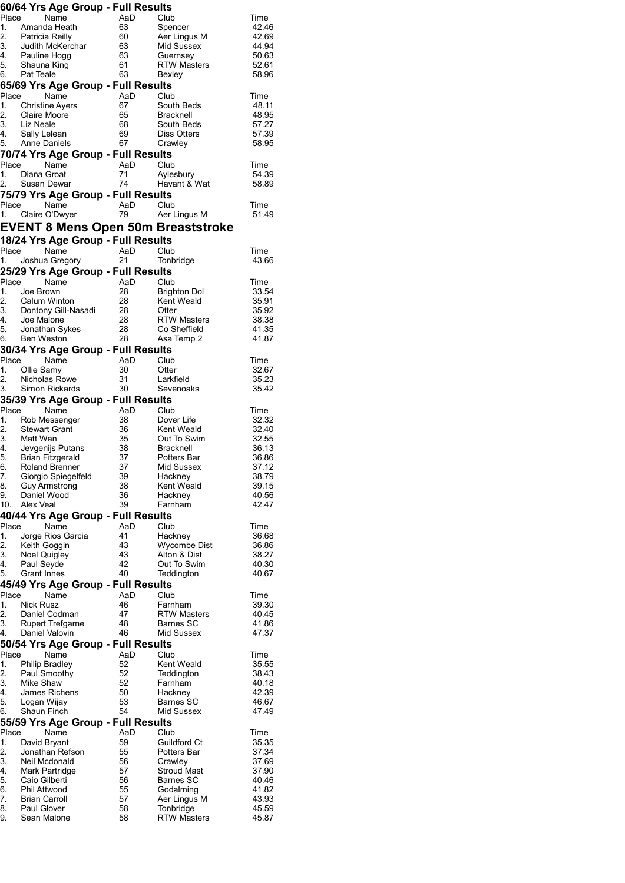|                      | 60/64 Yrs Age Group - Full Results                                                               |                |                             |                |
|----------------------|--------------------------------------------------------------------------------------------------|----------------|-----------------------------|----------------|
| Place                | Name                                                                                             | AaD            | Club                        | Time           |
|                      | 1. Amanda Heath                                                                                  | 63             | Spencer                     | 42.46          |
|                      | 2. Patricia Reilly<br>3.     Judith McKerc                                                       | 60             | Aer Lingus M                | 42.69          |
| 4.                   | Judith McKerchar                                                                                 | 63<br>63       | Mid Sussex<br>Guernsey      | 44.94<br>50.63 |
| 5.                   | Pauline Hogg<br>Shauna King<br>Shauna King                                                       | 61             | <b>RTW Masters</b>          | 52.61          |
|                      | 6. Pat Teale                                                                                     | 63             | Bexley                      | 58.96          |
|                      | 65/69 Yrs Age Group - Full Results                                                               |                |                             |                |
| Place                | Name                                                                                             | AaD            | Club                        | Time           |
|                      | 1. Christine Ayers                                                                               | 67             | South Beds                  | 48.11          |
|                      | 2. Claire Moore<br>3. Liz Neale                                                                  | 65             | <b>Bracknell</b>            | 48.95          |
| 4.                   |                                                                                                  | 68<br>69       | South Beds                  | 57.27<br>57.39 |
|                      | Sally Lelean<br>5. Anne Daniels                                                                  | 67             | Diss Otters<br>Crawley      | 58.95          |
|                      | 70/74 Yrs Age Group - Full Results                                                               |                |                             |                |
| Place                | Name                                                                                             | AaD            | Club                        | Time           |
| 1.                   | Diana Groat                                                                                      | 71             | Aylesbury                   | 54.39          |
|                      | Susan Dewar                                                                                      | 74             | Havant & Wat                | 58.89          |
|                      | 75/79 Yrs Age Group - Full Results                                                               |                |                             |                |
|                      | Place<br>Name                                                                                    | AaD            | Club                        | Time           |
| 1.                   | Claire O'Dwyer                                                                                   | 79             | Aer Lingus M                | 51.49          |
|                      | <b>EVENT 8 Mens Open 50m Breaststroke</b>                                                        |                |                             |                |
|                      | 18/24 Yrs Age Group - Full Results                                                               |                |                             |                |
| Place                | Name                                                                                             | AaD            | Club                        | Time           |
| 1.                   | Joshua Gregory<br>Q Y                                                                            | 21             | Tonbridge                   | 43.66          |
|                      | 25/29 Yrs Age Group - Full Results                                                               |                |                             |                |
| Place                | Name                                                                                             | AaD            | Club                        | Time           |
| 1.                   | Joe Brown                                                                                        | 28             | Brighton Dol                | 33.54          |
|                      |                                                                                                  | 28<br>28       | Kent Weald                  | 35.91          |
|                      |                                                                                                  |                | Otter<br><b>RTW Masters</b> | 35.92<br>38.38 |
|                      |                                                                                                  | 28<br>28<br>28 | Co Sheffield                | 41.35          |
|                      | 2. Calum Winton<br>3. Dontony Gill-Nasadi<br>4. Joe Malone<br>5. Jonathan Sykes<br>6. Ben Weston | 28             | Asa Temp 2                  | 41.87          |
|                      | 30/34 Yrs Age Group - Full Results                                                               |                |                             |                |
| Place                | Name                                                                                             | AaD            | Club                        | Time           |
| 1.                   | Ollie Samy                                                                                       | 30             | Otter                       | 32.67          |
| 2.                   | Nicholas Rowe                                                                                    | 31             | Larkfield                   | 35.23          |
|                      | 3. Simon Rickards                                                                                | 30             | Sevenoaks                   | 35.42          |
| Place                | 35/39 Yrs Age Group - Full Results<br>Name                                                       | AaD            | Club                        |                |
| 1.                   | Rob Messenger                                                                                    | 38             | Dover Life                  | Time<br>32.32  |
|                      | <b>Stewart Grant</b>                                                                             | 36             | Kent Weald                  | 32.40          |
| 2.<br>3.<br>4.<br>5. | Matt Wan                                                                                         | 35             | Out To Swim                 | 32.55          |
|                      | Jevgenijs Putans                                                                                 | 38             | <b>Bracknell</b>            | 36.13          |
| 5.                   | <b>Brian Fitzgerald</b>                                                                          | 37             | Potters Bar                 | 36.86          |
| 6.<br>7.             | Roland Brenner<br>Giorgio Spiegelfeld                                                            | 37<br>39       | Mid Sussex<br>Hackney       | 37.12<br>38.79 |
| 8.                   | <b>Guy Armstrong</b>                                                                             | 38             | Kent Weald                  | 39.15          |
| 9.                   | Daniel Wood                                                                                      | 36             | Hackney                     | 40.56          |
| 10.                  | Alex Veal                                                                                        | 39             | Farnham                     | 42.47          |
|                      | 40/44 Yrs Age Group - Full Results                                                               |                |                             |                |
| Place                | Name                                                                                             | AaD            | Club                        | Time           |
| 1.<br>2.             | Jorge Rios Garcia<br>Keith Goggin                                                                | 41<br>43       | Hackney<br>Wycombe Dist     | 36.68<br>36.86 |
| 3.                   | Noel Quigley                                                                                     | 43             | Alton & Dist                | 38.27          |
| 4.                   | Paul Seyde                                                                                       | 42             | Out To Swim                 | 40.30          |
| 5.                   | Grant Innes                                                                                      | 40             | Teddington                  | 40.67          |
|                      | 45/49 Yrs Age Group - Full Results                                                               |                |                             |                |
| Place                | Name                                                                                             | AaD            | Club                        | Time           |
| 1.                   | <b>Nick Rusz</b>                                                                                 | 46             | Farnham                     | 39.30          |
| 2.<br>3.             | Daniel Codman                                                                                    | 47<br>48       | <b>RTW Masters</b>          | 40.45          |
| 4.                   | <b>Rupert Trefgarne</b><br>Daniel Valovin                                                        | 46             | Barnes SC<br>Mid Sussex     | 41.86<br>47.37 |
|                      | 50/54 Yrs Age Group - Full Results                                                               |                |                             |                |
| Place                | Name                                                                                             | AaD            | Club                        | Time           |
| 1.                   | <b>Philip Bradley</b>                                                                            | 52             | Kent Weald                  | 35.55          |
| 2.                   | Paul Smoothy                                                                                     | 52             | Teddington                  | 38.43          |
| 3.                   | Mike Shaw                                                                                        | 52             | Farnham                     | 40.18          |
| 4.                   | James Richens                                                                                    | 50             | Hackney                     | 42.39          |
| 5.                   | Logan Wijay                                                                                      | 53             | <b>Barnes SC</b>            | 46.67          |
| 6.                   | Shaun Finch<br>55/59 Yrs Age Group - Full Results                                                | 54             | Mid Sussex                  | 47.49          |
| Place                | Name                                                                                             | AaD            | Club                        | Time           |
| 1.                   | David Bryant                                                                                     | 59             | Guildford Ct                | 35.35          |
| 2.                   | Jonathan Refson                                                                                  | 55             | Potters Bar                 | 37.34          |
| 3.                   | Neil Mcdonald                                                                                    | 56             | Crawley                     | 37.69          |
| 4.                   | Mark Partridge                                                                                   | 57             | <b>Stroud Mast</b>          | 37.90          |
| 5.                   | Caio Gilberti                                                                                    | 56             | Barnes SC                   | 40.46          |
| 6.<br>7.             | Phil Attwood<br>Brian Carroll                                                                    | 55<br>57       | Godalming<br>Aer Lingus M   | 41.82<br>43.93 |
| 8.                   | <b>Paul Glover</b>                                                                               | 58             | Tonbridge                   | 45.59          |
| 9.                   | Sean Malone                                                                                      | 58             | RTW Masters                 | 45.87          |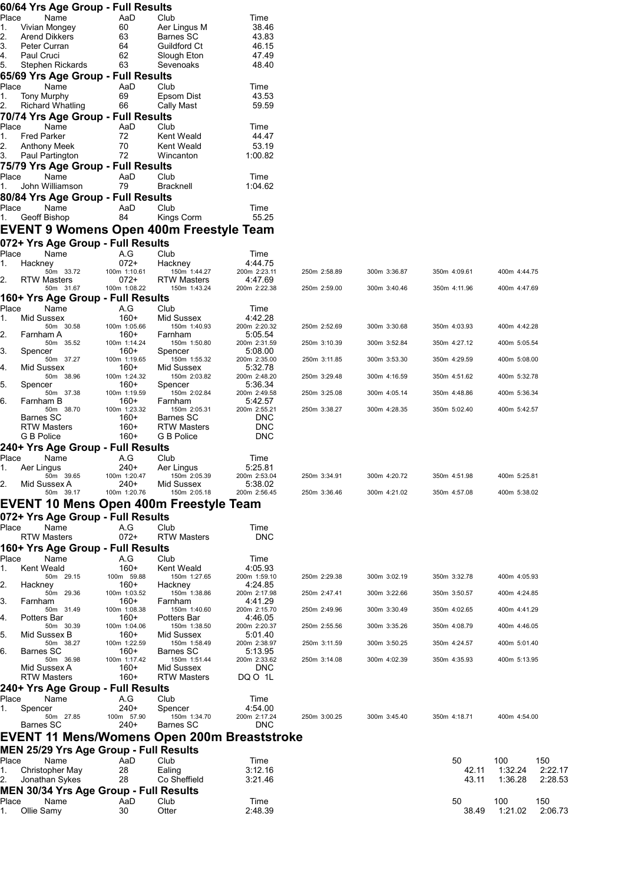|             | 60/64 Yrs Age Group - Full Results             |                        |                                  |                            |              |              |              |              |         |
|-------------|------------------------------------------------|------------------------|----------------------------------|----------------------------|--------------|--------------|--------------|--------------|---------|
| Place       | Name                                           | AaD                    | Club                             | Time                       |              |              |              |              |         |
| 1.          | Vivian Mongey                                  | 60                     | Aer Lingus M                     | 38.46                      |              |              |              |              |         |
| 2.          | Arend Dikkers                                  | 63                     | Barnes SC                        | 43.83                      |              |              |              |              |         |
| 3.<br>4.    | Peter Curran                                   | 64                     | Guildford Ct                     | 46.15                      |              |              |              |              |         |
| 5.          | Paul Cruci<br>Stephen Rickards                 | 62<br>63               | Slough Eton<br>Sevenoaks         | 47.49<br>48.40             |              |              |              |              |         |
|             | 65/69 Yrs Age Group - Full Results             |                        |                                  |                            |              |              |              |              |         |
| Place       | Name                                           | AaD                    | Club                             | Time                       |              |              |              |              |         |
| 1.          | Tony Murphy                                    | 69                     | Epsom Dist                       | 43.53                      |              |              |              |              |         |
| 2.          | <b>Richard Whatling</b>                        | 66                     | <b>Cally Mast</b>                | 59.59                      |              |              |              |              |         |
|             | 70/74 Yrs Age Group - Full Results             |                        |                                  |                            |              |              |              |              |         |
| Place       | Name                                           | AaD                    | Club                             | Time                       |              |              |              |              |         |
| 1.          | <b>Fred Parker</b>                             | 72                     | Kent Weald                       | 44.47                      |              |              |              |              |         |
| 2.          | Anthony Meek                                   | 70                     | <b>Kent Weald</b>                | 53.19                      |              |              |              |              |         |
| 3.          | Paul Partington                                | 72                     | Wincanton                        | 1:00.82                    |              |              |              |              |         |
|             | 75/79 Yrs Age Group - Full Results             |                        |                                  |                            |              |              |              |              |         |
| Place       | Name                                           | AaD                    | Club                             | Time                       |              |              |              |              |         |
| 1.          | John Williamson                                | 79                     | <b>Bracknell</b>                 | 1:04.62                    |              |              |              |              |         |
|             | 80/84 Yrs Age Group - Full Results             |                        |                                  |                            |              |              |              |              |         |
| Place       | Name                                           | AaD                    | Club                             | Time                       |              |              |              |              |         |
| 1.          | Geoff Bishop                                   | 84                     | Kings Corm                       | 55.25                      |              |              |              |              |         |
|             | <b>EVENT 9 Womens Open 400m Freestyle Team</b> |                        |                                  |                            |              |              |              |              |         |
|             | 072+ Yrs Age Group - Full Results              |                        |                                  |                            |              |              |              |              |         |
| Place       | Name                                           | A.G                    | Club                             | Time                       |              |              |              |              |         |
| 1.          | Hackney                                        | $072+$                 | Hackney                          | 4:44.75                    |              |              |              |              |         |
|             | 50m 33.72                                      | 100m 1:10.61           | 150m 1:44.27                     | 200m 2:23.11               | 250m 2:58.89 | 300m 3:36.87 | 350m 4:09.61 | 400m 4:44.75 |         |
| 2.          | <b>RTW Masters</b>                             | 072+                   | <b>RTW Masters</b>               | 4:47.69                    |              |              |              |              |         |
|             | 50m 31.67                                      | 100m 1:08.22           | 150m 1:43.24                     | 200m 2:22.38               | 250m 2:59.00 | 300m 3:40.46 | 350m 4:11.96 | 400m 4:47.69 |         |
|             | 160+ Yrs Age Group - Full Results              |                        |                                  |                            |              |              |              |              |         |
| Place<br>1. | Name<br>Mid Sussex                             | A.G<br>$160+$          | Club<br>Mid Sussex               | Time<br>4:42.28            |              |              |              |              |         |
|             | 50m 30.58                                      | 100m 1:05.66           | 150m 1:40.93                     | 200m 2:20.32               | 250m 2:52.69 | 300m 3:30.68 | 350m 4:03.93 | 400m 4:42.28 |         |
| 2.          | Farnham A                                      | $160+$                 | Farnham                          | 5:05.54                    |              |              |              |              |         |
|             | 50m 35.52                                      | 100m 1:14.24           | 150m 1:50.80                     | 200m 2:31.59               | 250m 3:10.39 | 300m 3:52.84 | 350m 4:27.12 | 400m 5:05.54 |         |
| 3.          | Spencer<br>50m 37.27                           | 160+<br>100m 1:19.65   | Spencer<br>150m 1:55.32          | 5:08.00<br>200m 2:35.00    | 250m 3:11.85 | 300m 3:53.30 | 350m 4:29.59 | 400m 5:08.00 |         |
| 4.          | Mid Sussex                                     | 160+                   | Mid Sussex                       | 5:32.78                    |              |              |              |              |         |
|             | 50m 38.96                                      | 100m 1:24.32           | 150m 2:03.82                     | 200m 2:48.20               | 250m 3:29.48 | 300m 4:16.59 | 350m 4:51.62 | 400m 5:32.78 |         |
| 5.          | Spencer                                        | 160+                   | Spencer                          | 5:36.34                    |              |              |              |              |         |
| 6.          | 50m 37.38<br>Farnham B                         | 100m 1:19.59<br>$160+$ | 150m 2:02.84<br>Farnham          | 200m 2:49.58<br>5:42.57    | 250m 3:25.08 | 300m 4:05.14 | 350m 4:48.86 | 400m 5:36.34 |         |
|             | 50m 38.70                                      | 100m 1:23.32           | 150m 2:05.31                     | 200m 2:55.21               | 250m 3:38.27 | 300m 4:28.35 | 350m 5:02.40 | 400m 5:42.57 |         |
|             | Barnes SC                                      | 160+                   | Barnes SC                        | <b>DNC</b>                 |              |              |              |              |         |
|             | <b>RTW Masters</b>                             | $160+$                 | <b>RTW Masters</b>               | <b>DNC</b>                 |              |              |              |              |         |
|             | G B Police                                     | 160+                   | G B Police                       | <b>DNC</b>                 |              |              |              |              |         |
|             | 240+ Yrs Age Group - Full Results              |                        |                                  |                            |              |              |              |              |         |
| Place       | Name                                           | A.G                    | Club                             | Time                       |              |              |              |              |         |
|             | Aer Lingus                                     | 240+                   | Aer Lingus                       | 5:25.81                    |              |              |              |              |         |
| 2.          | 50m 39.65<br>Mid Sussex A                      | 100m 1:20.47<br>240+   | 150m 2:05.39<br>Mid Sussex       | 200m 2:53.04<br>5:38.02    | 250m 3:34.91 | 300m 4:20.72 | 350m 4:51.98 | 400m 5:25.81 |         |
|             | 50m 39.17                                      | 100m 1:20.76           | 150m 2:05.18                     | 200m 2:56.45               | 250m 3:36.46 | 300m 4:21.02 | 350m 4:57.08 | 400m 5:38.02 |         |
|             | EVENT 10 Mens Open 400m Freestyle Team         |                        |                                  |                            |              |              |              |              |         |
|             | 072+ Yrs Age Group - Full Results              |                        |                                  |                            |              |              |              |              |         |
| Place       | Name                                           | A.G                    | Club                             | Time                       |              |              |              |              |         |
|             | <b>RTW Masters</b>                             | $072+$                 | <b>RTW Masters</b>               | <b>DNC</b>                 |              |              |              |              |         |
|             | 160+ Yrs Age Group - Full Results              |                        |                                  |                            |              |              |              |              |         |
| Place       | Name                                           | A.G                    | Club                             | Time                       |              |              |              |              |         |
| 1.          | Kent Weald                                     | $160+$                 | Kent Weald                       | 4:05.93                    |              |              |              |              |         |
|             | 50m 29.15                                      | 100m 59.88             | 150m 1:27.65                     | 200m 1:59.10               | 250m 2:29.38 | 300m 3:02.19 | 350m 3:32.78 | 400m 4:05.93 |         |
| 2.          | Hackney                                        | 160+                   | Hackney                          | 4:24.85                    |              |              |              |              |         |
| 3.          | 50m 29.36                                      | 100m 1:03.52           | 150m 1:38.86                     | 200m 2:17.98               | 250m 2:47.41 | 300m 3:22.66 | 350m 3:50.57 | 400m 4:24.85 |         |
|             | Farnham<br>50m 31.49                           | 160+<br>100m 1:08.38   | Farnham<br>150m 1:40.60          | 4:41.29<br>200m 2:15.70    | 250m 2:49.96 | 300m 3:30.49 | 350m 4:02.65 | 400m 4:41.29 |         |
| 4.          | Potters Bar                                    | $160+$                 | Potters Bar                      | 4:46.05                    |              |              |              |              |         |
|             | 50m 30.39                                      | 100m 1:04.06           | 150m 1:38.50                     | 200m 2:20.37               | 250m 2:55.56 | 300m 3:35.26 | 350m 4:08.79 | 400m 4:46.05 |         |
| 5.          | Mid Sussex B                                   | 160+                   | Mid Sussex                       | 5:01.40                    |              |              |              |              |         |
| 6.          | 50m 38.27<br>Barnes SC                         | 100m 1:22.59<br>160+   | 150m 1:58.49<br><b>Barnes SC</b> | 200m 2:38.97<br>5:13.95    | 250m 3:11.59 | 300m 3:50.25 | 350m 4:24.57 | 400m 5:01.40 |         |
|             | 50m 36.98                                      | 100m 1:17.42           | 150m 1:51.44                     | 200m 2:33.62               | 250m 3:14.08 | 300m 4:02.39 | 350m 4:35.93 | 400m 5:13.95 |         |
|             | Mid Sussex A                                   | 160+                   | Mid Sussex                       | <b>DNC</b>                 |              |              |              |              |         |
|             | <b>RTW Masters</b>                             | $160+$                 | <b>RTW Masters</b>               | DQ O 1L                    |              |              |              |              |         |
|             | 240+ Yrs Age Group - Full Results              |                        |                                  |                            |              |              |              |              |         |
| Place       | Name                                           | A.G                    | Club                             | Time                       |              |              |              |              |         |
| 1.          | Spencer                                        | 240+                   | Spencer                          | 4:54.00                    |              |              |              |              |         |
|             | 50m 27.85<br>Barnes SC                         | 100m 57.90<br>240+     | 150m 1:34.70<br>Barnes SC        | 200m 2:17.24<br><b>DNC</b> | 250m 3:00.25 | 300m 3:45.40 | 350m 4:18.71 | 400m 4:54.00 |         |
|             |                                                |                        |                                  |                            |              |              |              |              |         |
|             | EVENT 11 Mens/Womens Open 200m Breaststroke    |                        |                                  |                            |              |              |              |              |         |
|             | <b>MEN 25/29 Yrs Age Group - Full Results</b>  |                        |                                  |                            |              |              |              |              |         |
| Place       | Name                                           | AaD                    | Club                             | Time                       |              |              | 50           | 100          | 150     |
| 1.          | Christopher May                                | 28                     | Ealing                           | 3:12.16                    |              |              | 42.11        | 1:32.24      | 2:22.17 |
| 2.          | Jonathan Sykes                                 | 28                     | Co Sheffield                     | 3:21.46                    |              |              | 43.11        | 1:36.28      | 2:28.53 |
|             | <b>MEN 30/34 Yrs Age Group - Full Results</b>  |                        |                                  |                            |              |              |              |              |         |
| Place       | Name                                           | AaD                    | Club                             | Time                       |              |              | 50           | 100          | 150     |

1. Ollie Samy 30 Otter 2:48.39 38.49 1:21.02 2:06.73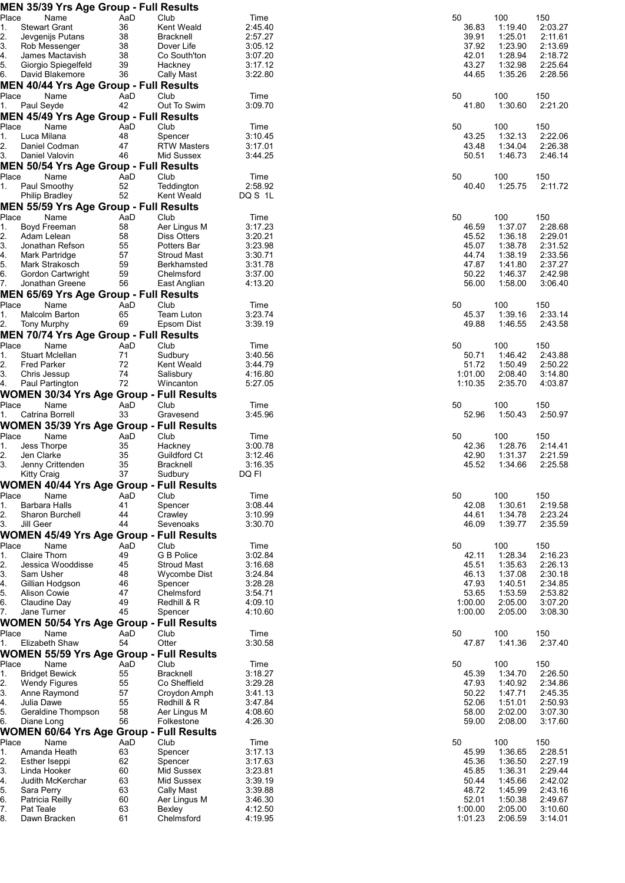|               | <b>MEN 35/39 Yrs Age Group - Full Results</b>   |           |                                  |                    |                |                    |                    |
|---------------|-------------------------------------------------|-----------|----------------------------------|--------------------|----------------|--------------------|--------------------|
| Place         | Name                                            | AaD       | Club                             | Time               | 50             | 100                | 150                |
| 1.            | <b>Stewart Grant</b>                            | 36        | Kent Weald                       | 2:45.40            | 36.83          | 1:19.40            | 2:03.27            |
| 2.<br>3.      | Jevgenijs Putans<br>Rob Messenger               | 38<br>38  | <b>Bracknell</b><br>Dover Life   | 2:57.27<br>3:05.12 | 39.91<br>37.92 | 1:25.01<br>1:23.90 | 2:11.61<br>2:13.69 |
| 4.            | James Mactavish                                 | 38        | Co South'ton                     | 3:07.20            | 42.01          | 1:28.94            | 2:18.72            |
| 5.            | Giorgio Spiegelfeld                             | 39        | Hackney                          | 3:17.12            | 43.27          | 1:32.98            | 2:25.64            |
| 6.            | David Blakemore                                 | 36        | <b>Cally Mast</b>                | 3:22.80            | 44.65          | 1:35.26            | 2:28.56            |
|               | <b>MEN 40/44 Yrs Age Group - Full Results</b>   |           |                                  |                    |                |                    |                    |
| Place         | Name                                            | AaD       | Club                             | Time               | 50             | 100                | 150                |
| 1.            | Paul Seyde                                      | 42        | Out To Swim                      | 3:09.70            | 41.80          | 1:30.60            | 2:21.20            |
|               | MEN 45/49 Yrs Age Group - Full Results          |           |                                  |                    |                |                    |                    |
| Place         | Name                                            | AaD       | Club                             | Time               | 50             | 100                | 150                |
| 1.            | Luca Milana                                     | 48        | Spencer                          | 3:10.45            | 43.25          | 1:32.13            | 2:22.06            |
| 2.<br>3.      | Daniel Codman<br>Daniel Valovin                 | 47<br>46  | <b>RTW Masters</b><br>Mid Sussex | 3:17.01<br>3:44.25 | 43.48<br>50.51 | 1:34.04<br>1:46.73 | 2:26.38<br>2:46.14 |
|               | <b>MEN 50/54 Yrs Age Group - Full Results</b>   |           |                                  |                    |                |                    |                    |
| Place         | Name                                            | AaD       | Club                             | Time               | 50             | 100                | 150                |
| 1.            | Paul Smoothy                                    | 52        | Teddington                       | 2:58.92            | 40.40          | 1:25.75            | 2:11.72            |
|               | <b>Philip Bradley</b>                           | 52        | Kent Weald                       | DQ S 1L            |                |                    |                    |
|               | <b>MEN 55/59 Yrs Age Group - Full Results</b>   |           |                                  |                    |                |                    |                    |
| Place         | Name                                            | AaD       | Club                             | Time               | 50             | 100                | 150                |
| 1.            | Boyd Freeman                                    | 58        | Aer Lingus M                     | 3:17.23            | 46.59          | 1:37.07            | 2:28.68            |
| 2.            | Adam Lelean                                     | 58        | <b>Diss Otters</b>               | 3:20.21            | 45.52          | 1:36.18            | 2:29.01            |
| 3.            | Jonathan Refson                                 | 55        | Potters Bar                      | 3:23.98            | 45.07          | 1:38.78            | 2:31.52            |
| $\frac{4}{5}$ | Mark Partridge                                  | 57        | <b>Stroud Mast</b>               | 3:30.71            | 44.74          | 1:38.19            | 2:33.56            |
| 6.            | Mark Strakosch<br>Gordon Cartwright             | 59<br>59  | Berkhamsted<br>Chelmsford        | 3:31.78<br>3:37.00 | 47.87<br>50.22 | 1:41.80<br>1:46.37 | 2:37.27<br>2:42.98 |
| 7.            | Jonathan Greene                                 | 56        | East Anglian                     | 4:13.20            | 56.00          | 1:58.00            | 3:06.40            |
|               | <b>MEN 65/69 Yrs Age Group - Full Results</b>   |           |                                  |                    |                |                    |                    |
| Place         | Name                                            | AaD       | Club                             | Time               | 50             | 100                | 150                |
| 1.            | Malcolm Barton                                  | 65        | Team Luton                       | 3:23.74            | 45.37          | 1:39.16            | 2:33.14            |
| 2.            | <b>Tony Murphy</b>                              | 69        | Epsom Dist                       | 3:39.19            | 49.88          | 1:46.55            | 2:43.58            |
|               | <b>MEN 70/74 Yrs Age Group - Full Results</b>   |           |                                  |                    |                |                    |                    |
| Place         | Name                                            | AaD       | Club                             | Time               | 50             | 100                | 150                |
| 1.            | <b>Stuart Mclellan</b>                          | 71        | Sudbury                          | 3:40.56            | 50.71          | 1:46.42            | 2:43.88            |
| 2.            | <b>Fred Parker</b>                              | 72        | <b>Kent Weald</b>                | 3:44.79            | 51.72          | 1:50.49            | 2:50.22            |
| 3.            | Chris Jessup                                    | 74<br>72  | Salisbury                        | 4:16.80            | 1:01.00        | 2:08.40            | 3:14.80            |
| 4.            | Paul Partington                                 |           | Wincanton                        | 5:27.05            | 1:10.35        | 2:35.70            | 4:03.87            |
| Place         | <b>WOMEN 30/34 Yrs Age Group - Full Results</b> |           | Club                             |                    |                |                    |                    |
| 1.            | Name<br>Catrina Borrell                         | AaD<br>33 | Gravesend                        | Time<br>3:45.96    | 50<br>52.96    | 100<br>1:50.43     | 150<br>2:50.97     |
|               | <b>WOMEN 35/39 Yrs Age Group - Full Results</b> |           |                                  |                    |                |                    |                    |
| Place         | Name                                            | AaD       | Club                             | Time               | 50             | 100                | 150                |
| 1.            | Jess Thorpe                                     | 35        | Hackney                          | 3:00.78            | 42.36          | 1:28.76            | 2:14.41            |
| 2.            | Jen Clarke                                      | 35        | Guildford Ct                     | 3:12.46            | 42.90          | 1:31.37            | 2:21.59            |
| 3.            | Jenny Crittenden                                | 35        | <b>Bracknell</b>                 | 3:16.35            | 45.52          | 1:34.66            | 2:25.58            |
|               | Kitty Craig                                     | 37        | Sudbury                          | DQ FI              |                |                    |                    |
|               | <b>WOMEN 40/44 Yrs Age Group - Full Results</b> |           |                                  |                    |                |                    |                    |
| Place         | Name                                            | AaD       | Club                             | Time               | 50             | 100                | 150                |
| 1.            | Barbara Halls                                   | 41        | Spencer                          | 3:08.44            | 42.08          | 1:30.61            | 2:19.58            |
| 2.            | <b>Sharon Burchell</b>                          | 44        | Crawley                          | 3:10.99            | 44.61          | 1:34.78            | 2:23.24            |
| 3.            | Jill Geer                                       | 44        | Sevenoaks                        | 3:30.70            | 46.09          | 1:39.77            | 2:35.59            |
|               | <b>WOMEN 45/49 Yrs Age Group - Full Results</b> |           |                                  |                    |                |                    |                    |
| Place<br>1.   | Name<br><b>Claire Thorn</b>                     | AaD<br>49 | Club<br>G B Police               | Time<br>3:02.84    | 50<br>42.11    | 100<br>1:28.34     | 150<br>2:16.23     |
| 2.            | Jessica Wooddisse                               | 45        | <b>Stroud Mast</b>               | 3:16.68            | 45.51          | 1:35.63            | 2:26.13            |
| 3.            | Sam Usher                                       | 48        | Wycombe Dist                     | 3:24.84            | 46.13          | 1:37.08            | 2:30.18            |
| 4.            | Gillian Hodgson                                 | 46        | Spencer                          | 3:28.28            | 47.93          | 1:40.51            | 2:34.85            |
| 5.            | <b>Alison Cowie</b>                             | 47        | Chelmsford                       | 3:54.71            | 53.65          | 1:53.59            | 2:53.82            |
| 6.            | Claudine Day                                    | 49        | Redhill & R                      | 4:09.10            | 1:00.00        | 2:05.00            | 3:07.20            |
| 7.            | Jane Turner                                     | 45        | Spencer                          | 4:10.60            | 1:00.00        | 2:05.00            | 3:08.30            |
|               | <b>WOMEN 50/54 Yrs Age Group - Full Results</b> |           |                                  |                    |                |                    |                    |
| Place         | Name                                            | AaD       | Club                             | Time               | 50             | 100                | 150                |
| 1.            | Elizabeth Shaw                                  | 54        | Otter                            | 3:30.58            | 47.87          | 1:41.36            | 2:37.40            |
|               | <b>WOMEN 55/59 Yrs Age Group - Full Results</b> |           |                                  |                    |                |                    |                    |
| Place         | Name                                            | AaD       | Club                             | Time               | 50             | 100                | 150                |
| 1.<br>2.      | <b>Bridget Bewick</b><br><b>Wendy Figures</b>   | 55<br>55  | <b>Bracknell</b><br>Co Sheffield | 3:18.27<br>3:29.28 | 45.39<br>47.93 | 1:34.70<br>1:40.92 | 2:26.50<br>2:34.86 |
| 3.            | Anne Raymond                                    | 57        | Croydon Amph                     | 3:41.13            | 50.22          | 1:47.71            | 2:45.35            |
| 4.            | Julia Dawe                                      | 55        | Redhill & R                      | 3:47.84            | 52.06          | 1:51.01            | 2:50.93            |
| 5.            | Geraldine Thompson                              | 58        | Aer Lingus M                     | 4:08.60            | 58.00          | 2:02.00            | 3:07.30            |
| 6.            | Diane Long                                      | 56        | Folkestone                       | 4:26.30            | 59.00          | 2:08.00            | 3:17.60            |
|               | <b>WOMEN 60/64 Yrs Age Group - Full Results</b> |           |                                  |                    |                |                    |                    |
| Place         | Name                                            | AaD       | Club                             | Time               | 50             | 100                | 150                |
| 1.            | Amanda Heath                                    | 63        | Spencer                          | 3:17.13            | 45.99          | 1:36.65            | 2:28.51            |
| 2.            | Esther Iseppi                                   | 62        | Spencer                          | 3:17.63            | 45.36          | 1:36.50            | 2:27.19            |
| 3.            | Linda Hooker                                    | 60        | Mid Sussex                       | 3:23.81            | 45.85          | 1:36.31            | 2:29.44            |
| 4.<br>5.      | Judith McKerchar<br>Sara Perry                  | 63<br>63  | Mid Sussex<br>Cally Mast         | 3:39.19<br>3:39.88 | 50.44<br>48.72 | 1:45.66<br>1:45.99 | 2:42.02<br>2:43.16 |
| 6.            | Patricia Reilly                                 | 60        | Aer Lingus M                     | 3:46.30            | 52.01          | 1:50.38            | 2:49.67            |
| 7.            | Pat Teale                                       | 63        | Bexley                           | 4:12.50            | 1:00.00        | 2:05.00            | 3:10.60            |
| 8.            | Dawn Bracken                                    | 61        | Chelmsford                       | 4:19.95            | 1:01.23        | 2:06.59            | 3:14.01            |
|               |                                                 |           |                                  |                    |                |                    |                    |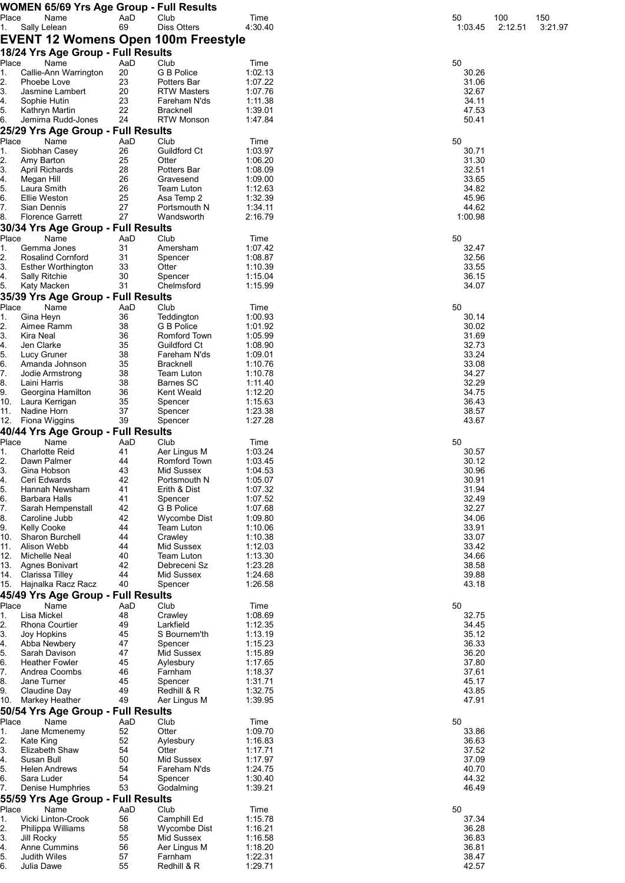|             |                     | <b>WOMEN 65/69 Yrs Age Group - Full Results</b> |           |                                            |                    |                  |         |         |
|-------------|---------------------|-------------------------------------------------|-----------|--------------------------------------------|--------------------|------------------|---------|---------|
| Place       |                     | Name                                            | AaD       | Club                                       | Time               | 50               | 100     | 150     |
| 1.          | Sally Lelean        |                                                 | 69        | <b>Diss Otters</b>                         | 4:30.40            | 1:03.45          | 2:12.51 | 3:21.97 |
|             |                     |                                                 |           | <b>EVENT 12 Womens Open 100m Freestyle</b> |                    |                  |         |         |
|             |                     | 18/24 Yrs Age Group - Full Results              |           |                                            |                    |                  |         |         |
| Place       |                     | Name                                            | AaD       | Club                                       | Time               | 50               |         |         |
| 1.<br>2.    |                     | Callie-Ann Warrington<br>Phoebe Love            | 20<br>23  | <b>G B Police</b><br>Potters Bar           | 1:02.13<br>1:07.22 | 30.26<br>31.06   |         |         |
| 3.          |                     | Jasmine Lambert                                 | 20        | <b>RTW Masters</b>                         | 1:07.76            | 32.67            |         |         |
| 4.          |                     | Sophie Hutin                                    | 23        | Fareham N'ds                               | 1:11.38            | 34.11            |         |         |
| 5.          |                     | Kathryn Martin                                  | 22        | <b>Bracknell</b>                           | 1:39.01            | 47.53            |         |         |
| 6.          |                     | Jemima Rudd-Jones                               | 24        | <b>RTW Monson</b>                          | 1:47.84            | 50.41            |         |         |
|             |                     | 25/29 Yrs Age Group - Full Results              |           |                                            |                    |                  |         |         |
| Place       |                     | Name                                            | AaD       | Club                                       | Time               | 50               |         |         |
| 1.<br>2.    | Amy Barton          | Siobhan Casey                                   | 26<br>25  | <b>Guildford Ct</b><br>Otter               | 1:03.97<br>1:06.20 | 30.71<br>31.30   |         |         |
| 3.          |                     | April Richards                                  | 28        | Potters Bar                                | 1:08.09            | 32.51            |         |         |
| 4.          | Megan Hill          |                                                 | 26        | Gravesend                                  | 1:09.00            | 33.65            |         |         |
| 5.          | Laura Smith         |                                                 | 26        | <b>Team Luton</b>                          | 1:12.63            | 34.82            |         |         |
| 6.          | Ellie Weston        |                                                 | 25        | Asa Temp 2                                 | 1:32.39            | 45.96            |         |         |
| 7.<br>8.    | Sian Dennis         | <b>Florence Garrett</b>                         | 27<br>27  | Portsmouth N<br>Wandsworth                 | 1:34.11<br>2:16.79 | 44.62<br>1:00.98 |         |         |
|             |                     | 30/34 Yrs Age Group - Full Results              |           |                                            |                    |                  |         |         |
| Place       |                     | Name                                            | AaD       | Club                                       | Time               | 50               |         |         |
| 1.          |                     | Gemma Jones                                     | 31        | Amersham                                   | 1:07.42            | 32.47            |         |         |
| 2.          |                     | <b>Rosalind Cornford</b>                        | 31        | Spencer                                    | 1:08.87            | 32.56            |         |         |
| 3.          |                     | <b>Esther Worthington</b>                       | 33        | Otter                                      | 1:10.39            | 33.55            |         |         |
| 4.          | Sally Ritchie       |                                                 | 30        | Spencer                                    | 1:15.04            | 36.15            |         |         |
| 5.          |                     | Katy Macken                                     | 31        | Chelmsford                                 | 1:15.99            | 34.07            |         |         |
|             |                     | 35/39 Yrs Age Group - Full Results              |           |                                            |                    |                  |         |         |
| Place<br>1. | Gina Heyn           | Name                                            | AaD<br>36 | Club<br>Teddington                         | Time<br>1:00.93    | 50<br>30.14      |         |         |
| 2.          |                     | Aimee Ramm                                      | 38        | G B Police                                 | 1:01.92            | 30.02            |         |         |
| 3.          | Kira Neal           |                                                 | 36        | Romford Town                               | 1:05.99            | 31.69            |         |         |
| 4.          | Jen Clarke          |                                                 | 35        | Guildford Ct                               | 1:08.90            | 32.73            |         |         |
| 5.          | Lucy Gruner         |                                                 | 38        | Fareham N'ds                               | 1:09.01            | 33.24            |         |         |
| 6.          |                     | Amanda Johnson                                  | 35        | <b>Bracknell</b>                           | 1:10.76            | 33.08            |         |         |
| 7.          |                     | Jodie Armstrong                                 | 38        | <b>Team Luton</b>                          | 1:10.78            | 34.27            |         |         |
| 8.<br>9.    | Laini Harris        | Georgina Hamilton                               | 38<br>36  | Barnes SC<br>Kent Weald                    | 1:11.40<br>1:12.20 | 32.29<br>34.75   |         |         |
| 10.         |                     | Laura Kerrigan                                  | 35        | Spencer                                    | 1:15.63            | 36.43            |         |         |
| 11.         | Nadine Horn         |                                                 | 37        | Spencer                                    | 1:23.38            | 38.57            |         |         |
| 12.         |                     | Fiona Wiggins                                   | 39        | Spencer                                    | 1:27.28            | 43.67            |         |         |
|             |                     | 40/44 Yrs Age Group - Full Results              |           |                                            |                    |                  |         |         |
| Place       |                     | Name                                            | AaD       | Club                                       | Time               | 50               |         |         |
| 1.          |                     | <b>Charlotte Reid</b><br>Dawn Palmer            | 41<br>44  | Aer Lingus M<br>Romford Town               | 1:03.24            | 30.57            |         |         |
| 2.<br>3.    |                     | Gina Hobson                                     | 43        | Mid Sussex                                 | 1:03.45<br>1:04.53 | 30.12<br>30.96   |         |         |
| 4.          |                     | Ceri Edwards                                    | 42        | Portsmouth N                               | 1:05.07            | 30.91            |         |         |
| 5.          |                     | Hannah Newsham                                  | 41        | Erith & Dist                               | 1:07.32            | 31.94            |         |         |
| 6.          |                     | Barbara Halls                                   | 41        | Spencer                                    | 1:07.52            | 32.49            |         |         |
| 7.          |                     | Sarah Hempenstall                               | 42        | G B Police                                 | 1:07.68            | 32.27            |         |         |
| 8.          |                     | Caroline Jubb                                   | 42        | Wycombe Dist                               | 1:09.80            | 34.06            |         |         |
| 9.<br>10.   | <b>Kelly Cooke</b>  | Sharon Burchell                                 | 44<br>44  | Team Luton<br>Crawley                      | 1:10.06<br>1:10.38 | 33.91<br>33.07   |         |         |
| 11.         | Alison Webb         |                                                 | 44        | Mid Sussex                                 | 1:12.03            | 33.42            |         |         |
| 12.         |                     | Michelle Neal                                   | 40        | Team Luton                                 | 1:13.30            | 34.66            |         |         |
| 13.         |                     | Agnes Bonivart                                  | 42        | Debreceni Sz                               | 1:23.28            | 38.58            |         |         |
| 14.         |                     | Clarissa Tilley                                 | 44        | Mid Sussex                                 | 1:24.68            | 39.88            |         |         |
| 15.         |                     | Hajnalka Racz Racz                              | 40        | Spencer                                    | 1:26.58            | 43.18            |         |         |
|             |                     | 45/49 Yrs Age Group - Full Results              |           |                                            |                    |                  |         |         |
| Place<br>1. | Lisa Mickel         | Name                                            | AaD<br>48 | Club<br>Crawley                            | Time<br>1:08.69    | 50<br>32.75      |         |         |
| 2.          |                     | <b>Rhona Courtier</b>                           | 49        | Larkfield                                  | 1:12.35            | 34.45            |         |         |
| 3.          | Joy Hopkins         |                                                 | 45        | S Bournem'th                               | 1:13.19            | 35.12            |         |         |
| 4.          |                     | Abba Newbery                                    | 47        | Spencer                                    | 1:15.23            | 36.33            |         |         |
| 5.          |                     | Sarah Davison                                   | 47        | Mid Sussex                                 | 1:15.89            | 36.20            |         |         |
| 6.          |                     | <b>Heather Fowler</b>                           | 45        | Aylesbury                                  | 1:17.65            | 37.80            |         |         |
| 7.<br>8.    | Jane Turner         | Andrea Coombs                                   | 46<br>45  | Farnham<br>Spencer                         | 1:18.37<br>1:31.71 | 37.61<br>45.17   |         |         |
| 9.          |                     | Claudine Day                                    | 49        | Redhill & R                                | 1:32.75            | 43.85            |         |         |
| 10.         |                     | Markey Heather                                  | 49        | Aer Lingus M                               | 1:39.95            | 47.91            |         |         |
|             |                     | 50/54 Yrs Age Group - Full Results              |           |                                            |                    |                  |         |         |
| Place       |                     | Name                                            | AaD       | Club                                       | Time               | 50               |         |         |
| 1.          |                     | Jane Mcmenemy                                   | 52        | Otter                                      | 1:09.70            | 33.86            |         |         |
| 2.<br>3.    | Kate King           | Elizabeth Shaw                                  | 52<br>54  | Aylesbury<br>Otter                         | 1:16.83<br>1:17.71 | 36.63<br>37.52   |         |         |
| 4.          | Susan Bull          |                                                 | 50        | Mid Sussex                                 | 1:17.97            | 37.09            |         |         |
| 5.          |                     | <b>Helen Andrews</b>                            | 54        | Fareham N'ds                               | 1:24.75            | 40.70            |         |         |
| 6.          | Sara Luder          |                                                 | 54        | Spencer                                    | 1:30.40            | 44.32            |         |         |
| 7.          |                     | Denise Humphries                                | 53        | Godalming                                  | 1:39.21            | 46.49            |         |         |
|             |                     | 55/59 Yrs Age Group - Full Results              |           |                                            |                    |                  |         |         |
| Place       |                     | Name                                            | AaD       | Club                                       | Time               | 50               |         |         |
| 1.<br>2.    |                     | Vicki Linton-Crook<br>Philippa Williams         | 56<br>58  | Camphill Ed<br>Wycombe Dist                | 1:15.78<br>1:16.21 | 37.34<br>36.28   |         |         |
| 3.          | Jill Rocky          |                                                 | 55        | Mid Sussex                                 | 1:16.58            | 36.83            |         |         |
| 4.          |                     | Anne Cummins                                    | 56        | Aer Lingus M                               | 1:18.20            | 36.81            |         |         |
| 5.          | <b>Judith Wiles</b> |                                                 | 57        | Farnham                                    | 1:22.31            | 38.47            |         |         |
| 6.          | Julia Dawe          |                                                 | 55        | Redhill & R                                | 1:29.71            | 42.57            |         |         |

| 50<br>1:03.45                                                                                                                             | 100<br>2:12.51 |
|-------------------------------------------------------------------------------------------------------------------------------------------|----------------|
| 50<br>30.26<br>31.06<br>32.67<br>34.11<br>47.53<br>50.41                                                                                  |                |
| 50<br>30.71<br>31.30<br>32.51<br>33.65<br>34.82<br>45.96<br>44.62<br>1:00.98                                                              |                |
| 50<br>32.47<br>32.56<br>33.55<br>36.15<br>34.07                                                                                           |                |
| 50<br>30.14<br>30.02<br>31.69<br>32.73<br>33.24<br>33.08<br>34.27<br>32.29<br>34.75<br>36.43<br>38.57<br>43.67                            |                |
| 50<br>30.57<br>30.12<br>30.96<br>30.91<br>31.94<br>32.49<br>32.27<br>34.06<br>33.91<br>33.07<br>33.42<br>34.66<br>38.58<br>39.88<br>43.18 |                |
| 50<br>32.75<br>34.45<br>35.12<br>36.33<br>36.20<br>37.80<br>37.61<br>45.17<br>43.85<br>47.91                                              |                |
| 50<br>33.86<br>36.63<br>37.52<br>37.09<br>40.70<br>44.32<br>46.49                                                                         |                |
| 50<br>37.34<br>36.28<br>36.83<br>36.81<br>3847                                                                                            |                |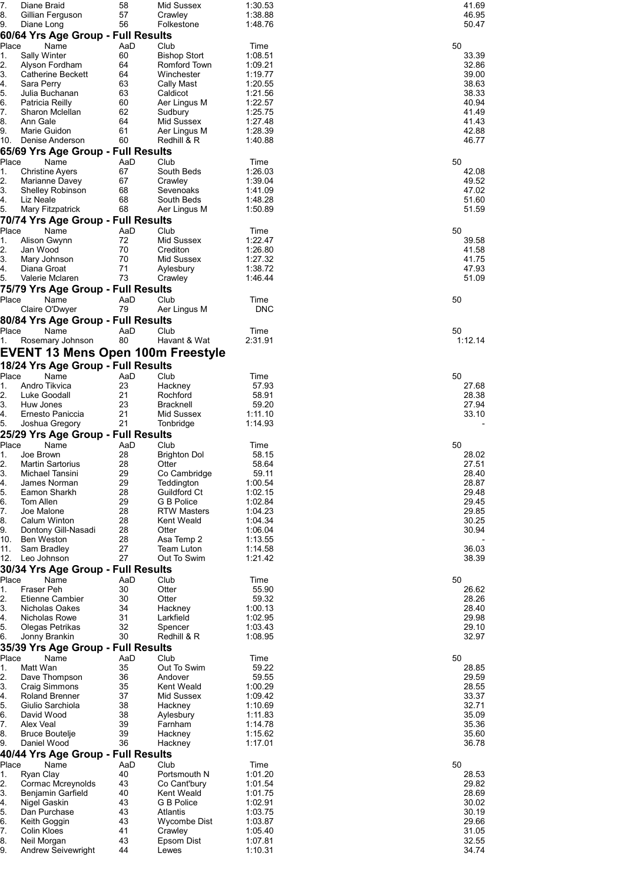| 7.<br>Diane Braid                                | 58        | Mid Sussex                      | 1:30.53            | 41.69          |
|--------------------------------------------------|-----------|---------------------------------|--------------------|----------------|
| 8.<br>Gillian Ferguson<br>9.<br>Diane Long       | 57<br>56  | Crawley<br>Folkestone           | 1:38.88<br>1:48.76 | 46.95<br>50.47 |
| 60/64 Yrs Age Group - Full Results               |           |                                 |                    |                |
| Place<br>Name                                    | AaD       | Club                            | Time               | 50             |
| Sally Winter<br>1.                               | 60        | <b>Bishop Stort</b>             | 1:08.51            | 33.39          |
| 2.<br>Alyson Fordham                             | 64        | Romford Town                    | 1:09.21            | 32.86          |
| 3.<br>Catherine Beckett                          | 64        | Winchester                      | 1:19.77            | 39.00          |
| 4.<br>Sara Perry                                 | 63        | Cally Mast                      | 1:20.55            | 38.63          |
| 5.<br>Julia Buchanan                             | 63        | Caldicot                        | 1:21.56            | 38.33          |
| 6.<br>Patricia Reilly<br>7.<br>Sharon Mclellan   | 60<br>62  | Aer Lingus M<br>Sudbury         | 1:22.57<br>1:25.75 | 40.94<br>41.49 |
| 8.<br>Ann Gale                                   | 64        | Mid Sussex                      | 1:27.48            | 41.43          |
| 9.<br>Marie Guidon                               | 61        | Aer Lingus M                    | 1:28.39            | 42.88          |
| 10.<br>Denise Anderson                           | 60        | Redhill & R                     | 1:40.88            | 46.77          |
| 65/69 Yrs Age Group - Full Results               |           |                                 |                    |                |
| Place<br>Name                                    | AaD       | Club                            | Time               | 50             |
| <b>Christine Ayers</b><br>1.                     | 67        | South Beds                      | 1:26.03            | 42.08          |
| $\overline{2}$ .<br>Marianne Davey               | 67        | Crawley                         | 1:39.04            | 49.52          |
| 3.<br><b>Shelley Robinson</b><br>4.<br>Liz Neale | 68<br>68  | Sevenoaks<br>South Beds         | 1:41.09<br>1:48.28 | 47.02<br>51.60 |
| 5.<br>Mary Fitzpatrick                           | 68        | Aer Lingus M                    | 1:50.89            | 51.59          |
| 70/74 Yrs Age Group - Full Results               |           |                                 |                    |                |
| Place<br>Name                                    | AaD       | Club                            | Time               | 50             |
| Alison Gwynn<br>1.                               | 72        | Mid Sussex                      | 1:22.47            | 39.58          |
| 2.<br>Jan Wood                                   | 70        | Crediton                        | 1:26.80            | 41.58          |
| 3.<br>Mary Johnson                               | 70        | Mid Sussex                      | 1:27.32            | 41.75          |
| 4.<br>Diana Groat                                | 71        | Aylesbury                       | 1:38.72            | 47.93          |
| 5.<br>Valerie Mclaren                            | 73        | Crawley                         | 1:46.44            | 51.09          |
| 75/79 Yrs Age Group - Full Results               |           |                                 |                    |                |
| Place<br>Name                                    | AaD       | Club                            | Time               | 50             |
| Claire O'Dwyer                                   | 79        | Aer Lingus M                    | <b>DNC</b>         |                |
| 80/84 Yrs Age Group - Full Results               | AaD       |                                 |                    |                |
| Place<br>Name<br>Rosemary Johnson<br>1.          | 80        | Club<br>Havant & Wat            | Time<br>2:31.91    | 50<br>1:12.14  |
|                                                  |           |                                 |                    |                |
| EVENT 13 Mens Open 100m Freestyle                |           |                                 |                    |                |
| 18/24 Yrs Age Group - Full Results               |           |                                 |                    |                |
| Place<br>Name                                    | AaD       | Club                            | Time               | 50             |
| Andro Tikvica<br>1.<br>2.<br>Luke Goodall        | 23<br>21  | Hackney<br>Rochford             | 57.93<br>58.91     | 27.68<br>28.38 |
| 3.<br>Huw Jones                                  | 23        | <b>Bracknell</b>                | 59.20              | 27.94          |
| 4.<br>Ernesto Paniccia                           | 21        | Mid Sussex                      | 1:11.10            | 33.10          |
| 5.<br>Joshua Gregory                             | 21        | Tonbridge                       | 1:14.93            |                |
| 25/29 Yrs Age Group - Full Results               |           |                                 |                    |                |
| Name<br>Place                                    | AaD       | Club                            | Time               | 50             |
| Joe Brown<br>1.                                  | 28        | <b>Brighton Dol</b>             | 58.15              | 28.02          |
| 2.<br><b>Martin Sartorius</b><br>Michael Tansini | 28<br>29  | Otter<br>Co Cambridge           | 58.64<br>59.11     | 27.51<br>28.40 |
| ان.<br>4.<br>James Norman                        | 29        | Teddington                      | 1:00.54            | 28.87          |
| Eamon Sharkh<br>5.                               | 28        | Guildford Ct                    | 1:02.15            | 29.48          |
| 6.<br>Tom Allen                                  | 29        | G B Police                      | 1:02.84            | 29.45          |
| 7.<br>Joe Malone                                 | 28        | <b>RTW Masters</b>              | 1:04.23            | 29.85          |
| 8.<br>Calum Winton                               | 28        | <b>Kent Weald</b>               | 1:04.34            | 30.25          |
| 9.<br>Dontony Gill-Nasadi                        | 28        | Otter                           | 1:06.04            | 30.94          |
| 10.<br><b>Ben Weston</b><br>11.<br>Sam Bradley   | 28<br>27  | Asa Temp 2<br><b>Team Luton</b> | 1:13.55<br>1:14.58 | 36.03          |
| 12.<br>Leo Johnson                               | 27        | Out To Swim                     | 1:21.42            | 38.39          |
| 30/34 Yrs Age Group - Full Results               |           |                                 |                    |                |
| Place<br>Name                                    | AaD       | Club                            | Time               | 50             |
| Fraser Peh<br>1.                                 | 30        | Otter                           | 55.90              | 26.62          |
| 2.<br><b>Etienne Cambier</b>                     | 30        | Otter                           | 59.32              | 28.26          |
| 3.<br>Nicholas Oakes                             | 34        | Hackney                         | 1:00.13            | 28.40          |
| 4.<br>Nicholas Rowe                              | 31        | Larkfield                       | 1:02.95            | 29.98          |
| 5.<br>Olegas Petrikas                            | 32<br>30  | Spencer<br>Redhill & R          | 1:03.43<br>1:08.95 | 29.10<br>32.97 |
| Jonny Brankin<br>6.                              |           |                                 |                    |                |
| 35/39 Yrs Age Group - Full Results               |           |                                 |                    |                |
| Place<br>Name<br>Matt Wan<br>1.                  | AaD<br>35 | Club<br>Out To Swim             | Time<br>59.22      | 50<br>28.85    |
| 2.<br>Dave Thompson                              | 36        | Andover                         | 59.55              | 29.59          |
| 3.<br><b>Craig Simmons</b>                       | 35        | Kent Weald                      | 1:00.29            | 28.55          |
| 4.<br><b>Roland Brenner</b>                      | 37        | Mid Sussex                      | 1:09.42            | 33.37          |
| 5.<br>Giulio Sarchiola                           | 38        | Hackney                         | 1:10.69            | 32.71          |
| 6.<br>David Wood                                 | 38        | Aylesbury                       | 1:11.83            | 35.09          |
| 7.<br>Alex Veal                                  | 39        | Farnham                         | 1:14.78            | 35.36          |
| 8.<br><b>Bruce Boutelje</b><br>Daniel Wood<br>9. | 39<br>36  | Hackney<br>Hackney              | 1:15.62<br>1:17.01 | 35.60<br>36.78 |
| 40/44 Yrs Age Group - Full Results               |           |                                 |                    |                |
| Place<br>Name                                    | AaD       | Club                            | Time               | 50             |
| Ryan Clay<br>1.                                  | 40        | Portsmouth N                    | 1:01.20            | 28.53          |
| 2.<br>Cormac Mcreynolds                          | 43        | Co Cant'bury                    | 1:01.54            | 29.82          |
| 3.<br>Benjamin Garfield                          | 40        | Kent Weald                      | 1:01.75            | 28.69          |
| 4.<br>Nigel Gaskin                               | 43        | G B Police                      | 1:02.91            | 30.02          |
| 5.<br>Dan Purchase                               | 43        | Atlantis                        | 1:03.75            | 30.19          |
| 6.<br>Keith Goggin                               | 43        | <b>Wycombe Dist</b>             | 1:03.87            | 29.66          |
| 7.<br>Colin Kloes<br>8.<br>Neil Morgan           | 41<br>43  | Crawley<br>Epsom Dist           | 1:05.40<br>1:07.81 | 31.05<br>32.55 |
| 9.<br><b>Andrew Seivewright</b>                  | 44        | Lewes                           | 1:10.31            | 34.74          |
|                                                  |           |                                 |                    |                |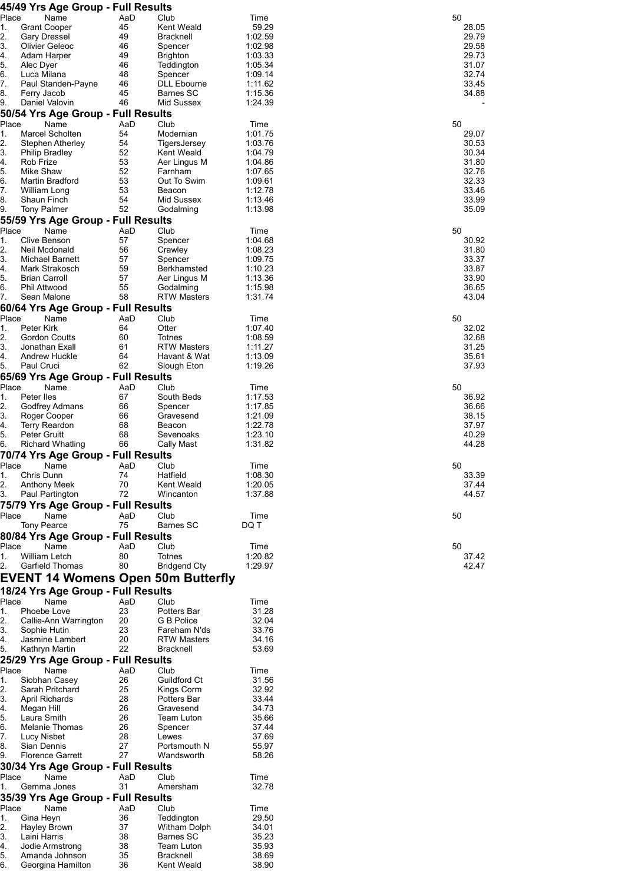|             | 45/49 Yrs Age Group - Full Results         |           |                                        |                    |                |
|-------------|--------------------------------------------|-----------|----------------------------------------|--------------------|----------------|
| Place<br>1. | Name<br><b>Grant Cooper</b>                | AaD<br>45 | Club<br><b>Kent Weald</b>              | Time<br>59.29      | 50<br>28.05    |
| 2.          | <b>Gary Dressel</b>                        | 49        | <b>Bracknell</b>                       | 1:02.59            | 29.79          |
| 3.          | Olivier Geleoc                             | 46        | Spencer                                | 1:02.98            | 29.58          |
| 4.          | Adam Harper                                | 49        | <b>Brighton</b>                        | 1:03.33            | 29.73          |
| 5.          | Alec Dyer                                  | 46        | Teddington                             | 1:05.34            | 31.07          |
| 6.          | Luca Milana                                | 48        | Spencer                                | 1:09.14            | 32.74          |
| 7.<br>8.    | Paul Standen-Payne<br>Ferry Jacob          | 46<br>45  | <b>DLL Ebourne</b><br><b>Barnes SC</b> | 1:11.62<br>1:15.36 | 33.45<br>34.88 |
| 9.          | Daniel Valovin                             | 46        | Mid Sussex                             | 1:24.39            |                |
|             | 50/54 Yrs Age Group - Full Results         |           |                                        |                    |                |
| Place       | Name                                       | AaD       | Club                                   | Time               | 50             |
| 1.          | Marcel Scholten                            | 54        | Modernian                              | 1:01.75            | 29.07          |
| 2.          | Stephen Atherley                           | 54        | TigersJersey                           | 1:03.76            | 30.53          |
| 3.          | <b>Philip Bradley</b>                      | 52        | Kent Weald                             | 1:04.79            | 30.34          |
| 4.          | Rob Frize                                  | 53<br>52  | Aer Lingus M                           | 1:04.86            | 31.80          |
| 5.<br>6.    | Mike Shaw<br>Martin Bradford               | 53        | Farnham<br>Out To Swim                 | 1:07.65<br>1:09.61 | 32.76<br>32.33 |
| 7.          | William Long                               | 53        | Beacon                                 | 1:12.78            | 33.46          |
| 8.          | Shaun Finch                                | 54        | Mid Sussex                             | 1:13.46            | 33.99          |
| 9.          | <b>Tony Palmer</b>                         | 52        | Godalming                              | 1:13.98            | 35.09          |
|             | 55/59 Yrs Age Group - Full Results         |           |                                        |                    |                |
| Place       | Name                                       | AaD       | Club                                   | Time               | 50             |
| 1.          | Clive Benson                               | 57        | Spencer                                | 1:04.68            | 30.92          |
| 2.          | Neil Mcdonald                              | 56        | Crawley                                | 1:08.23            | 31.80          |
| 3.<br>4.    | Michael Barnett<br>Mark Strakosch          | 57<br>59  | Spencer<br>Berkhamsted                 | 1:09.75<br>1:10.23 | 33.37<br>33.87 |
| 5.          | <b>Brian Carroll</b>                       | 57        | Aer Lingus M                           | 1:13.36            | 33.90          |
| 6.          | <b>Phil Attwood</b>                        | 55        | Godalming                              | 1:15.98            | 36.65          |
| 7.          | Sean Malone                                | 58        | <b>RTW Masters</b>                     | 1:31.74            | 43.04          |
|             | 60/64 Yrs Age Group - Full Results         |           |                                        |                    |                |
| Place       | Name                                       | AaD       | Club                                   | Time               | 50             |
| 1.          | Peter Kirk                                 | 64        | Otter                                  | 1:07.40            | 32.02          |
| 2.          | Gordon Coutts                              | 60        | Totnes                                 | 1:08.59            | 32.68          |
| 3.          | Jonathan Exall                             | 61        | <b>RTW Masters</b>                     | 1:11.27            | 31.25          |
| 4.<br>5.    | Andrew Huckle<br>Paul Cruci                | 64<br>62  | Havant & Wat<br>Slough Eton            | 1:13.09<br>1:19.26 | 35.61<br>37.93 |
|             | 65/69 Yrs Age Group - Full Results         |           |                                        |                    |                |
| Place       | Name                                       | AaD       | Club                                   | Time               | 50             |
| 1.          | Peter Iles                                 | 67        | South Beds                             | 1:17.53            | 36.92          |
| 2.          | Godfrey Admans                             | 66        | Spencer                                | 1:17.85            | 36.66          |
| 3.          | Roger Cooper                               | 66        | Gravesend                              | 1:21.09            | 38.15          |
| 4.          | <b>Terry Reardon</b>                       | 68        | Beacon                                 | 1:22.78            | 37.97          |
| 5.          | Peter Gruitt<br><b>Richard Whatling</b>    | 68<br>66  | Sevenoaks                              | 1:23.10<br>1:31.82 | 40.29<br>44.28 |
| 6.          | 70/74 Yrs Age Group - Full Results         |           | Cally Mast                             |                    |                |
| Place       | Name                                       | AaD       | Club                                   | Time               | 50             |
| 1.          | Chris Dunn                                 | 74        | Hatfield                               | 1:08.30            | 33.39          |
| 2.          | Anthony Meek                               | 70        | <b>Kent Weald</b>                      | 1:20.05            | 37.44          |
| 3.          | Paul Partington                            | 72        | Wincanton                              | 1:37.88            | 44.57          |
|             | 75/79 Yrs Age Group - Full Results         |           |                                        |                    |                |
| Place       | Name                                       | AaD       | Club                                   | Time               | 50             |
|             | Tony Pearce                                | 75        | <b>Barnes SC</b>                       | DQ T               |                |
|             | 80/84 Yrs Age Group - Full Results         |           |                                        |                    |                |
| Place       | Name                                       | AaD       | Club                                   | Time               | 50             |
| 1.<br>2.    | William Letch<br><b>Garfield Thomas</b>    | 80<br>80  | <b>Totnes</b><br><b>Bridgend Cty</b>   | 1:20.82<br>1:29.97 | 37.42<br>42.47 |
|             |                                            |           |                                        |                    |                |
|             | EVENT 14 Womens Open 50m Butterfly         |           |                                        |                    |                |
|             | 18/24 Yrs Age Group - Full Results         |           |                                        |                    |                |
| Place       | Name<br>Phoebe Love                        | AaD<br>23 | Club                                   | Time<br>31.28      |                |
| 1.<br>2.    | Callie-Ann Warrington                      | 20        | Potters Bar<br>G B Police              | 32.04              |                |
| 3.          | Sophie Hutin                               | 23        | Fareham N'ds                           | 33.76              |                |
| 4.          | Jasmine Lambert                            | 20        | <b>RTW Masters</b>                     | 34.16              |                |
| 5.          | Kathryn Martin                             | 22        | <b>Bracknell</b>                       | 53.69              |                |
|             | 25/29 Yrs Age Group - Full Results         |           |                                        |                    |                |
| Place       | Name                                       | AaD       | Club                                   | Time               |                |
| 1.          | Siobhan Casey                              | 26        | Guildford Ct                           | 31.56              |                |
| 2.<br>3.    | Sarah Pritchard<br>April Richards          | 25<br>28  | Kings Corm<br>Potters Bar              | 32.92<br>33.44     |                |
| 4.          | Megan Hill                                 | 26        | Gravesend                              | 34.73              |                |
| 5.          | Laura Smith                                | 26        | Team Luton                             | 35.66              |                |
| 6.          | Melanie Thomas                             | 26        | Spencer                                | 37.44              |                |
| 7.          | <b>Lucy Nisbet</b>                         | 28        | Lewes                                  | 37.69              |                |
| 8.          | Sian Dennis                                | 27        | Portsmouth N                           | 55.97              |                |
| 9.          | <b>Florence Garrett</b>                    | 27        | Wandsworth                             | 58.26              |                |
| Place       | 30/34 Yrs Age Group - Full Results<br>Name | AaD       | Club                                   | Time               |                |
| 1.          | Gemma Jones                                | 31        | Amersham                               | 32.78              |                |
|             | 35/39 Yrs Age Group - Full Results         |           |                                        |                    |                |
| Place       | Name                                       | AaD       | Club                                   | Time               |                |
| 1.          | Gina Heyn                                  | 36        | Teddington                             | 29.50              |                |
| 2.          | Hayley Brown                               | 37        | Witham Dolph                           | 34.01              |                |
| 3.          | Laini Harris                               | 38        | Barnes SC                              | 35.23              |                |
| 4.          | Jodie Armstrong                            | 38        | Team Luton                             | 35.93              |                |
| 5.          | Amanda Johnson                             | 35        | <b>Bracknell</b>                       | 38.69              |                |
| 6.          | Georgina Hamilton                          | 36        | Kent Weald                             | 38.90              |                |

| 50          | 50 | 50                      | 50                                               | υO                                        |                                                             |                                                                                                 | ŗ                                                                         |
|-------------|----|-------------------------|--------------------------------------------------|-------------------------------------------|-------------------------------------------------------------|-------------------------------------------------------------------------------------------------|---------------------------------------------------------------------------|
|             |    |                         |                                                  |                                           |                                                             |                                                                                                 |                                                                           |
| 37<br>42.47 |    | 33.39<br>37.44<br>44.57 | 36.92<br>36.66<br>38.15<br>37.97<br>40.29<br>44. | 32.02<br>32.68<br>31.25<br>35.61<br>37.93 | 30.92<br>31.80<br>33.37<br>33.87<br>33.90<br>36.65<br>43.04 | 29.07<br>30.53<br>30.34<br>31.80<br>- - - - -<br>32.76<br>32.33<br>.<br>33.46<br>33.99<br>35.09 | 28.05<br>29.79<br>29.58<br>29.73<br>31.07<br>-<br>32.74<br>33.45<br>34.88 |
| .42         |    |                         |                                                  |                                           |                                                             |                                                                                                 |                                                                           |
|             |    |                         | 28                                               |                                           |                                                             |                                                                                                 |                                                                           |
|             |    |                         |                                                  |                                           |                                                             |                                                                                                 |                                                                           |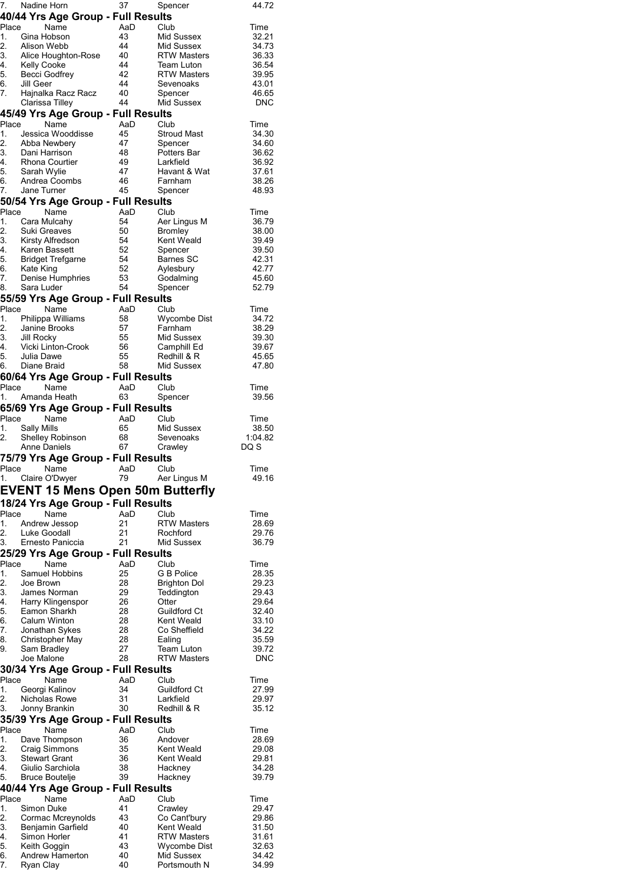|               | 7. Nadine Horn                             | 37       | Spencer                    | 44.72          |
|---------------|--------------------------------------------|----------|----------------------------|----------------|
|               | 40/44 Yrs Age Group - Full Results         |          |                            |                |
| Place         | Name                                       | AaD      | Club                       | Time           |
| 1.            | Gina Hobson                                | 43       | Mid Sussex                 | 32.21          |
| 2.<br>3.      | Alison Webb                                | 44<br>40 | Mid Sussex                 | 34.73          |
| 4.            | Alice Houghton-Rose<br>Kelly Cooke         | 44       | RTW Masters<br>Team Luton  | 36.33<br>36.54 |
| 5.            | Becci Godfrey                              | 42       | <b>RTW Masters</b>         | 39.95          |
| 6.            | Jill Geer                                  | 44       | Sevenoaks                  | 43.01          |
| 7.            | Hajnalka Racz Racz                         | 40       | Spencer                    | 46.65          |
|               | Clarissa Tilley                            | 44       | Mid Sussex                 | <b>DNC</b>     |
|               | 45/49 Yrs Age Group - Full Results         |          |                            |                |
| Place         | Name                                       | AaD      | Club                       | Time           |
| 1.            | Jessica Wooddisse                          | 45       | <b>Stroud Mast</b>         | 34.30          |
| 2.            | Abba Newbery                               | 47       | Spencer                    | 34.60          |
|               | 3. Dani Harrison                           | 48       | Potters Bar                | 36.62          |
| 4.<br>5.      | Rhona Courtier<br>Sarah Wylie              | 49<br>47 | Larkfield<br>Havant & Wat  | 36.92<br>37.61 |
| 6.            | Andrea Coombs                              | 46       | Farnham                    | 38.26          |
| 7.            | Jane Turner                                | 45       | Spencer                    | 48.93          |
|               | 50/54 Yrs Age Group - Full Results         |          |                            |                |
| Place         | Name                                       | AaD      | Club                       | Time           |
| 1.            | Cara Mulcahy                               | 54       | Aer Lingus M               | 36.79          |
| 2.            | Suki Greaves                               | 50       | Bromley                    | 38.00          |
|               |                                            | 54       | Kent Weald                 | 39.49          |
|               |                                            | 52       | Spencer                    | 39.50          |
| 5.            | Bridget Trefgarne<br>Kate King             | 54       | Barnes SC                  | 42.31          |
| 6.<br>7.      | Denise Humphries                           | 52<br>53 | Aylesbury<br>Godalming     | 42.77<br>45.60 |
| 8.            | Sara Luder                                 | 54       | Spencer                    | 52.79          |
|               | 55/59 Yrs Age Group - Full Results         |          |                            |                |
| Place         | Name                                       | AaD      | Club                       | Time           |
|               | 1. Philippa Williams                       | 58       | Wycombe Dist               | 34.72          |
| $\frac{2}{2}$ | Janine Brooks                              | 57       | Farnham                    | 38.29          |
| 3.            | Jill Rocky                                 | 55       | Mid Sussex                 | 39.30          |
| 4.            | Vicki Linton-Crook                         | 56       | Camphill Ed                | 39.67          |
| 5.            | Julia Dawe                                 | 55       | Redhill & R                | 45.65          |
| 6.            | Diane Braid                                | 58       | Mid Sussex                 | 47.80          |
|               | 60/64 Yrs Age Group - Full Results         |          |                            |                |
| Place         | Name                                       | AaD      | Club                       | Time           |
| 1.            | Amanda Heath                               | 63       | Spencer                    | 39.56          |
|               | 65/69 Yrs Age Group - Full Results         |          |                            |                |
|               | Place Name                                 | AaD      | Club                       | Time           |
|               |                                            |          |                            |                |
| 1.            | Sally Mills                                | 65       | Mid Sussex                 | 38.50          |
| 2.            | Shelley Robinson                           | 68       | Sevenoaks                  | 1:04.82        |
|               | <b>Anne Daniels</b>                        | 67       | Crawley                    | DQ S           |
|               | 75/79 Yrs Age Group - Full Results         |          |                            |                |
|               | Place Name AaD Club                        | 79       |                            | Time           |
|               | 1. Claire O'Dwyer                          |          | Aer Lingus M               | 49.16          |
|               | <b>EVENT 15 Mens Open 50m Butterfly</b>    |          |                            |                |
|               | 18/24 Yrs Age Group - Full Results         |          |                            |                |
| Place         | Name                                       | AaD      | Club                       | Time           |
| 1.            | Andrew Jessop                              | 21       | <b>RTW Masters</b>         | 28.69          |
| 2.<br>3.      | Luke Goodall<br>Ernesto Paniccia           | 21<br>21 | Rochford<br>Mid Sussex     | 29.76<br>36.79 |
|               |                                            |          |                            |                |
| Place         | 25/29 Yrs Age Group - Full Results<br>Name | AaD      | Club                       | Time           |
| 1.            | Samuel Hobbins                             | 25       | G B Police                 | 28.35          |
| 2.            | Joe Brown                                  | 28       | Brighton Dol               | 29.23          |
| 3.            | James Norman                               | 29       | Teddington                 | 29.43          |
| 4.            | Harry Klingenspor                          | 26       | Otter                      | 29.64          |
| 5.            | Eamon Sharkh                               | 28       | Guildford Ct               | 32.40          |
| 6.            | <b>Calum Winton</b>                        | 28       | Kent Weald                 | 33.10          |
| 7.<br>8.      | Jonathan Sykes                             | 28<br>28 | Co Sheffield               | 34.22          |
| 9.            | Christopher May<br>Sam Bradley             | 27       | Ealing<br>Team Luton       | 35.59<br>39.72 |
|               | Joe Malone                                 | 28       | <b>RTW Masters</b>         | <b>DNC</b>     |
|               | 30/34 Yrs Age Group - Full Results         |          |                            |                |
| Place         | Name                                       | AaD      | Club                       | Time           |
| 1.            | Georgi Kalinov                             | 34       | Guildford Ct               | 27.99          |
| 2.            | Nicholas Rowe                              | 31       | Larkfield                  | 29.97          |
| 3.            | Jonny Brankin                              | 30       | Redhill & R                | 35.12          |
|               | 35/39 Yrs Age Group - Full Results         |          |                            |                |
| Place         | Name                                       | AaD      | Club                       | Time           |
| 1.            | Dave Thompson                              | 36       | Andover                    | 28.69          |
| 2.            | Craig Simmons                              | 35       | Kent Weald                 | 29.08          |
| 3.<br>4.      | <b>Stewart Grant</b><br>Giulio Sarchiola   | 36<br>38 | Kent Weald<br>Hackney      | 29.81<br>34.28 |
| 5.            | Bruce Boutelje                             | 39       | Hackney                    | 39.79          |
|               | 40/44 Yrs Age Group - Full Results         |          |                            |                |
| Place         | Name                                       | AaD      | Club                       | Time           |
| 1.            | Simon Duke                                 | 41       | Crawley                    | 29.47          |
| 2.            | Cormac Mcreynolds                          | 43       | Co Cant'bury               | 29.86          |
| 3.            | Benjamin Garfield                          | 40       | Kent Weald                 | 31.50          |
| 4.            | Simon Horler                               | 41       | <b>RTW Masters</b>         | 31.61          |
| 5.<br>6.      | Keith Goggin<br>Andrew Hamerton            | 43<br>40 | Wycombe Dist<br>Mid Sussex | 32.63<br>34.42 |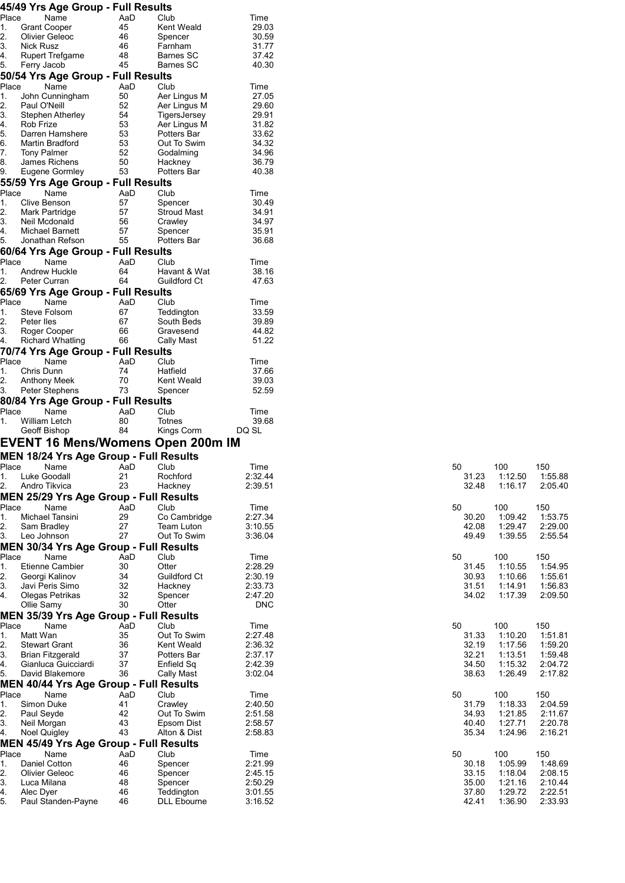|                |                     | 45/49 Yrs Age Group - Full Results            |           |                                  |                    |                |                    |                    |
|----------------|---------------------|-----------------------------------------------|-----------|----------------------------------|--------------------|----------------|--------------------|--------------------|
| Place          |                     | Name                                          | AaD       | Club                             | Time               |                |                    |                    |
| 1.<br>2.       |                     | <b>Grant Cooper</b><br>Olivier Geleoc         | 45<br>46  | Kent Weald<br>Spencer            | 29.03<br>30.59     |                |                    |                    |
| 3.             | Nick Rusz           |                                               | 46        | Farnham                          | 31.77              |                |                    |                    |
| 4.             |                     | <b>Rupert Trefgarne</b>                       | 48        | <b>Barnes SC</b>                 | 37.42              |                |                    |                    |
| 5.             | Ferry Jacob         |                                               | 45        | Barnes SC                        | 40.30              |                |                    |                    |
|                |                     | 50/54 Yrs Age Group - Full Results            |           |                                  |                    |                |                    |                    |
| Place          |                     | Name                                          | AaD       | Club                             | Time               |                |                    |                    |
| 1.<br>2.       | Paul O'Neill        | John Cunningham                               | 50<br>52  | Aer Lingus M<br>Aer Lingus M     | 27.05<br>29.60     |                |                    |                    |
| 3.             |                     | Stephen Atherley                              | 54        | TigersJersey                     | 29.91              |                |                    |                    |
| 4.             | Rob Frize           |                                               | 53        | Aer Lingus M                     | 31.82              |                |                    |                    |
| 5.             |                     | Darren Hamshere                               | 53        | Potters Bar                      | 33.62              |                |                    |                    |
| 6.             |                     | Martin Bradford                               | 53        | Out To Swim                      | 34.32              |                |                    |                    |
| 7.<br>8.       | <b>Tony Palmer</b>  | James Richens                                 | 52<br>50  | Godalming<br>Hackney             | 34.96<br>36.79     |                |                    |                    |
| 9.             |                     | Eugene Gormley                                | 53        | Potters Bar                      | 40.38              |                |                    |                    |
|                |                     | 55/59 Yrs Age Group - Full Results            |           |                                  |                    |                |                    |                    |
| Place          |                     | Name                                          | AaD       | Club                             | Time               |                |                    |                    |
| 1.             | Clive Benson        |                                               | 57        | Spencer                          | 30.49              |                |                    |                    |
| 2.             |                     | <b>Mark Partridge</b>                         | 57        | <b>Stroud Mast</b>               | 34.91              |                |                    |                    |
| 3.<br>4.       |                     | Neil Mcdonald<br><b>Michael Barnett</b>       | 56<br>57  | Crawley<br>Spencer               | 34.97<br>35.91     |                |                    |                    |
| 5.             |                     | Jonathan Refson                               | 55        | Potters Bar                      | 36.68              |                |                    |                    |
|                |                     | 60/64 Yrs Age Group - Full Results            |           |                                  |                    |                |                    |                    |
| Place          |                     | Name                                          | AaD       | Club                             | Time               |                |                    |                    |
| 1.             |                     | Andrew Huckle                                 | 64        | Havant & Wat                     | 38.16              |                |                    |                    |
| 2.             | Peter Curran        |                                               | 64        | Guildford Ct                     | 47.63              |                |                    |                    |
|                |                     | 65/69 Yrs Age Group - Full Results            |           |                                  |                    |                |                    |                    |
| Place<br>1.    |                     | Name<br>Steve Folsom                          | AaD<br>67 | Club<br>Teddington               | Time<br>33.59      |                |                    |                    |
| 2.             | Peter Iles          |                                               | 67        | South Beds                       | 39.89              |                |                    |                    |
| 3.             |                     | Roger Cooper                                  | 66        | Gravesend                        | 44.82              |                |                    |                    |
| 4.             |                     | <b>Richard Whatling</b>                       | 66        | Cally Mast                       | 51.22              |                |                    |                    |
|                |                     | 70/74 Yrs Age Group - Full Results            |           |                                  |                    |                |                    |                    |
| Place          |                     | Name                                          | AaD<br>74 | Club                             | Time<br>37.66      |                |                    |                    |
| 1.<br>2.       | Chris Dunn          | Anthony Meek                                  | 70        | Hatfield<br>Kent Weald           | 39.03              |                |                    |                    |
| 3.             |                     | Peter Stephens                                | 73        | Spencer                          | 52.59              |                |                    |                    |
|                |                     | 80/84 Yrs Age Group - Full Results            |           |                                  |                    |                |                    |                    |
| Place          |                     | Name                                          | AaD       | Club                             | Time               |                |                    |                    |
| 1.             |                     | William Letch                                 | 80        | Totnes                           | 39.68              |                |                    |                    |
|                | Geoff Bishop        |                                               | 84        | Kings Corm                       | DQ SL              |                |                    |                    |
|                |                     | <b>EVENT 16 Mens/Womens Open 200m IM</b>      |           |                                  |                    |                |                    |                    |
|                |                     | <b>MEN 18/24 Yrs Age Group - Full Results</b> |           |                                  |                    |                |                    |                    |
| Place          | <b>Luke Goodall</b> | Name AaD Club                                 |           |                                  | Time               | 50             | 100                | 150                |
| 1.<br>2.       | Andro Tikvica       |                                               | 21<br>23  | Rochford<br>Hackney              | 2:32.44<br>2:39.51 | 31.23<br>32.48 | 1:12.50<br>1:16.17 | 1:55.88<br>2:05.40 |
|                |                     | MEN 25/29 Yrs Age Group - Full Results        |           |                                  |                    |                |                    |                    |
| Place          |                     | Name                                          | AaD       | Club                             | Time               | 50             | 100                | 150                |
| 1.             |                     | Michael Tansini                               | 29        | Co Cambridge                     | 2:27.34            | 30.20          | 1:09.42            | 1:53.75            |
| 2.             | Sam Bradley         |                                               | 27        | Team Luton                       | 3:10.55            | 42.08          | 1:29.47            | 2:29.00            |
| 3.             | Leo Johnson         |                                               | 27        | Out To Swim                      | 3:36.04            | 49.49          | 1:39.55            | 2:55.54            |
| Place          |                     | <b>MEN 30/34 Yrs Age Group - Full Results</b> | AaD       | Club                             |                    |                | 100                |                    |
| 1.             |                     | Name<br><b>Etienne Cambier</b>                | 30        | Otter                            | Time<br>2:28.29    | 50<br>31.45    | 1:10.55            | 150<br>1:54.95     |
| 2.             |                     | Georgi Kalinov                                | 34        | Guildford Ct                     | 2:30.19            | 30.93          | 1:10.66            | 1:55.61            |
| 3.             |                     | Javi Peris Simo                               | 32        | Hackney                          | 2:33.73            | 31.51          | 1:14.91            | 1:56.83            |
| 4.             |                     | Olegas Petrikas                               | 32        | Spencer                          | 2:47.20            | 34.02          | 1:17.39            | 2:09.50            |
|                | Ollie Samy          | MEN 35/39 Yrs Age Group - Full Results        | 30        | Otter                            | <b>DNC</b>         |                |                    |                    |
| Place          |                     | Name                                          | AaD       | Club                             | Time               | 50             | 100                | 150                |
| 1.             | Matt Wan            |                                               | 35        | Out To Swim                      | 2:27.48            | 31.33          | 1:10.20            | 1:51.81            |
| 2.             |                     | <b>Stewart Grant</b>                          | 36        | Kent Weald                       | 2:36.32            | 32.19          | 1:17.56            | 1:59.20            |
| 3.             |                     | <b>Brian Fitzgerald</b>                       | 37        | Potters Bar                      | 2:37.17            | 32.21          | 1:13.51            | 1:59.48            |
| 4.             |                     | Gianluca Guicciardi                           | 37        | Enfield Sq                       | 2:42.39            | 34.50          | 1:15.32            | 2:04.72            |
| 5.             |                     | David Blakemore                               | 36        | <b>Cally Mast</b>                | 3:02.04            | 38.63          | 1:26.49            | 2:17.82            |
| Place          |                     |                                               |           |                                  |                    |                |                    |                    |
|                |                     | MEN 40/44 Yrs Age Group - Full Results        |           |                                  |                    |                |                    |                    |
| 1.             | Simon Duke          | Name                                          | AaD<br>41 | Club                             | Time<br>2:40.50    | 50<br>31.79    | 100<br>1:18.33     | 150                |
|                | Paul Seyde          |                                               | 42        | Crawley<br>Out To Swim           | 2:51.58            | 34.93          | 1:21.85            | 2:04.59<br>2:11.67 |
|                | Neil Morgan         |                                               | 43        | Epsom Dist                       | 2:58.57            | 40.40          | 1:27.71            | 2:20.78            |
| 2.<br>3.<br>4. | Noel Quigley        |                                               | 43        | Alton & Dist                     | 2:58.83            | 35.34          | 1:24.96            | 2:16.21            |
|                |                     | <b>MEN 45/49 Yrs Age Group - Full Results</b> |           |                                  |                    |                |                    |                    |
| Place          |                     | Name                                          | AaD       | Club                             | Time               | 50             | 100                | 150                |
| 1.<br>2.       | Daniel Cotton       | Olivier Geleoc                                | 46<br>46  | Spencer<br>Spencer               | 2:21.99<br>2:45.15 | 30.18<br>33.15 | 1:05.99<br>1:18.04 | 1:48.69<br>2:08.15 |
| 3.             | Luca Milana         |                                               | 48        | Spencer                          | 2:50.29            | 35.00          | 1:21.16            | 2:10.44            |
| 4.<br>5.       | Alec Dyer           | Paul Standen-Payne                            | 46<br>46  | Teddington<br><b>DLL Ebourne</b> | 3:01.55<br>3:16.52 | 37.80<br>42.41 | 1:29.72<br>1:36.90 | 2:22.51<br>2:33.93 |

| 50    | 100     | 150     |
|-------|---------|---------|
| 31.23 | 1:12.50 | 1:55.88 |
| 32.48 | 1:16.17 | 2:05.40 |
| 50    | 100     | 150     |
| 30.20 | 1:09.42 | 1:53.75 |
| 42.08 | 1:29.47 | 2:29.00 |
| 49.49 | 1:39.55 | 2:55.54 |
| 50    | 100     | 150     |
| 31.45 | 1:10.55 | 1:54.95 |
| 30.93 | 1:10.66 | 1:55.61 |
| 31.51 | 1:14.91 | 1:56.83 |
| 34.02 | 1:17.39 | 2:09.50 |
| 50    | 100     | 150     |
| 31.33 | 1:10.20 | 1:51.81 |
| 32.19 | 1:17.56 | 1:59.20 |
| 32.21 | 1:13.51 | 1:59.48 |
| 34.50 | 1:15.32 | 2:04.72 |
| 38.63 | 1:26.49 | 2:17.82 |
| 50    | 100     | 150     |
| 31.79 | 1:18.33 | 2:04.59 |
| 34.93 | 1:21.85 | 2:11.67 |
| 40.40 | 1:27.71 | 2:20.78 |
| 35.34 | 1:24.96 | 2:16.21 |
| 50    | 100     | 150     |
| 30.18 | 1:05.99 | 1:48.69 |
| 33.15 | 1:18.04 | 2:08.15 |
| 35.00 | 1:21.16 | 2:10.44 |
| 37.80 | 1:29.72 | 2:22.51 |
| 42.41 | 1:36.90 | 2:33.93 |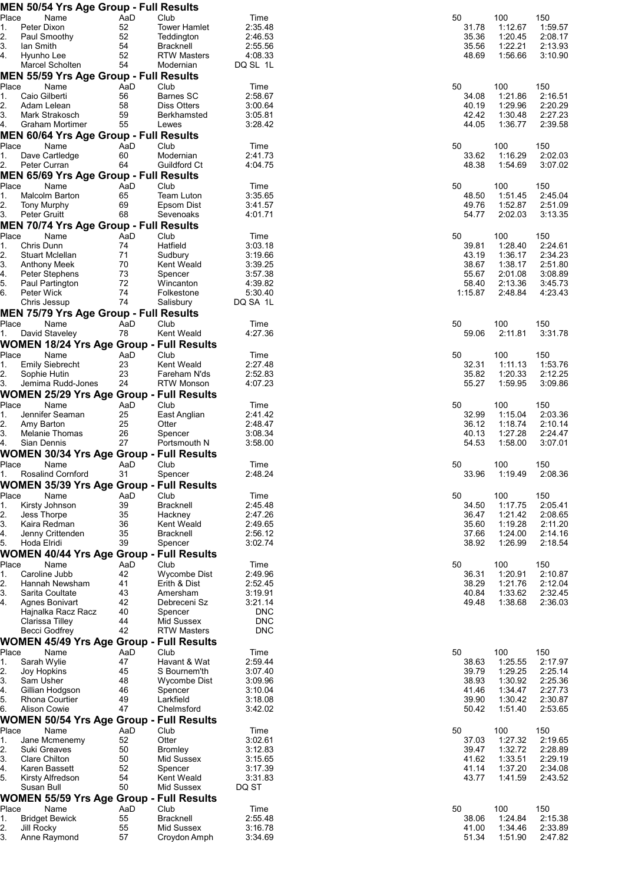|             |                            | <b>MEN 50/54 Yrs Age Group - Full Results</b> |           |                                                 |                    |         |                                      |                    |
|-------------|----------------------------|-----------------------------------------------|-----------|-------------------------------------------------|--------------------|---------|--------------------------------------|--------------------|
| Place       |                            | Name                                          | AaD       | Club                                            | Time               | 50      | 100                                  | 150                |
| 1.<br>2.    | Peter Dixon                | Paul Smoothy                                  | 52<br>52  | <b>Tower Hamlet</b><br>Teddington               | 2:35.48<br>2:46.53 |         | 31.78<br>1:12.67<br>35.36<br>1:20.45 | 1:59.57<br>2:08.17 |
| 3.          | Ian Smith                  |                                               | 54        | Bracknell                                       | 2:55.56            |         | 35.56<br>1:22.21                     | 2:13.93            |
| 4.          | Hyunho Lee                 |                                               | 52        | <b>RTW Masters</b>                              | 4:08.33            |         | 48.69<br>1:56.66                     | 3:10.90            |
|             |                            | Marcel Scholten                               | 54        | Modernian                                       | DQ SL 1L           |         |                                      |                    |
|             |                            | <b>MEN 55/59 Yrs Age Group - Full Results</b> |           |                                                 |                    |         |                                      |                    |
| Place       |                            | Name                                          | AaD       | Club                                            | Time               | 50      | 100                                  | 150                |
| 1.          |                            | Caio Gilberti                                 | 56        | Barnes SC                                       | 2:58.67            |         | 1:21.86<br>34.08                     | 2:16.51            |
| 2.<br>3.    |                            | Adam Lelean<br>Mark Strakosch                 | 58<br>59  | Diss Otters<br>Berkhamsted                      | 3:00.64<br>3:05.81 |         | 40.19<br>1:29.96<br>42.42<br>1:30.48 | 2:20.29<br>2:27.23 |
| 4.          |                            | Graham Mortimer                               | 55        | Lewes                                           | 3:28.42            |         | 44.05<br>1:36.77                     | 2:39.58            |
|             |                            | <b>MEN 60/64 Yrs Age Group - Full Results</b> |           |                                                 |                    |         |                                      |                    |
| Place       |                            | Name                                          | AaD       | Club                                            | Time               | 50      | 100                                  | 150                |
| 1.          |                            | Dave Cartledge                                | 60        | Modernian                                       | 2:41.73            |         | 1:16.29<br>33.62                     | 2:02.03            |
| 2.          |                            | Peter Curran                                  | 64        | Guildford Ct                                    | 4:04.75            |         | 48.38<br>1:54.69                     | 3:07.02            |
|             |                            | <b>MEN 65/69 Yrs Age Group - Full Results</b> |           |                                                 |                    |         |                                      |                    |
| Place       |                            | Name                                          | AaD       | Club                                            | Time               | 50      | 100                                  | 150                |
| 1.          |                            | Malcolm Barton                                | 65<br>69  | <b>Team Luton</b><br>Epsom Dist                 | 3:35.65<br>3:41.57 |         | 1:51.45<br>48.50<br>49.76<br>1:52.87 | 2:45.04            |
| 2.<br>3.    | Peter Gruitt               | <b>Tony Murphy</b>                            | 68        | Sevenoaks                                       | 4:01.71            |         | 2:02.03<br>54.77                     | 2:51.09<br>3:13.35 |
|             |                            | <b>MEN 70/74 Yrs Age Group - Full Results</b> |           |                                                 |                    |         |                                      |                    |
| Place       |                            | Name                                          | AaD       | Club                                            | Time               | 50      | 100                                  | 150                |
| 1.          | Chris Dunn                 |                                               | 74        | Hatfield                                        | 3:03.18            |         | 39.81<br>1:28.40                     | 2:24.61            |
| 2.          |                            | <b>Stuart Mclellan</b>                        | 71        | Sudbury                                         | 3:19.66            |         | 43.19<br>1:36.17                     | 2:34.23            |
| З.          |                            | Anthony Meek                                  | 70<br>73  | Kent Weald                                      | 3:39.25            |         | 38.67<br>1:38.17<br>55.67            | 2:51.80            |
| 4.<br>5.    |                            | Peter Stephens<br>Paul Partington             | 72        | Spencer<br>Wincanton                            | 3:57.38<br>4:39.82 |         | 2:01.08<br>58.40<br>2:13.36          | 3:08.89<br>3:45.73 |
| 6.          | Peter Wick                 |                                               | 74        | Folkestone                                      | 5:30.40            | 1:15.87 | 2:48.84                              | 4:23.43            |
|             |                            | Chris Jessup                                  | 74        | Salisbury                                       | DQ SA 1L           |         |                                      |                    |
|             |                            | <b>MEN 75/79 Yrs Age Group - Full Results</b> |           |                                                 |                    |         |                                      |                    |
| Place       |                            | Name                                          | AaD       | Club                                            | Time               | 50      | 100                                  | 150                |
| 1.          |                            | David Staveley                                | 78        | Kent Weald                                      | 4:27.36            |         | 2:11.81<br>59.06                     | 3:31.78            |
|             |                            |                                               |           | <b>WOMEN 18/24 Yrs Age Group - Full Results</b> |                    |         |                                      |                    |
| Place       |                            | Name                                          | AaD       | Club                                            | Time               | 50      | 100                                  | 150                |
| 1.<br>2.    |                            | <b>Emily Siebrecht</b><br>Sophie Hutin        | 23<br>23  | Kent Weald<br>Fareham N'ds                      | 2:27.48<br>2:52.83 |         | 32.31<br>1:11.13<br>35.82<br>1:20.33 | 1:53.76<br>2:12.25 |
| 3.          |                            | Jemima Rudd-Jones                             | 24        | <b>RTW Monson</b>                               | 4:07.23            | 55.27   | 1:59.95                              | 3:09.86            |
|             |                            |                                               |           | WOMEN 25/29 Yrs Age Group - Full Results        |                    |         |                                      |                    |
| Place       |                            | Name                                          | AaD       | Club                                            | Time               | 50      | 100                                  | 150                |
| 1.          |                            | Jennifer Seaman                               | 25        | East Anglian                                    | 2:41.42            |         | 32.99<br>1:15.04                     | 2:03.36            |
| 2.          | Amy Barton                 |                                               | 25        | Otter                                           | 2:48.47            |         | 36.12<br>1:18.74                     | 2:10.14            |
| 3.<br>4.    | Sian Dennis                | Melanie Thomas                                | 26<br>27  | Spencer<br>Portsmouth N                         | 3:08.34<br>3:58.00 |         | 40.13<br>1:27.28<br>54.53<br>1:58.00 | 2:24.47<br>3:07.01 |
|             |                            |                                               |           | WOMEN 30/34 Yrs Age Group - Full Results        |                    |         |                                      |                    |
| Place       |                            | Name                                          | AaD       | Club                                            | Time               | 50      | 100                                  | 150                |
| 1.          |                            | Rosalind Cornford                             | 31        | Spencer                                         | 2:48.24            |         | 1:19.49<br>33.96                     | 2:08.36            |
|             |                            |                                               |           | <b>WOMEN 35/39 Yrs Age Group - Full Results</b> |                    |         |                                      |                    |
| Place       |                            | Name                                          | AaD       | Club                                            | Time               | 50      | 100                                  | 150                |
| 1.          |                            | Kirsty Johnson                                | 39        | Bracknell                                       | 2:45.48            |         | 34.50<br>1:17.75                     | 2:05.41            |
| 2.          | Jess Thorpe                |                                               | 35        | Hackney                                         | 2:47.26            |         | 36.47<br>1:21.42                     | 2:08.65            |
| 3.<br>4.    |                            | Kaira Redman<br>Jenny Crittenden              | 36<br>35  | Kent Weald<br><b>Bracknell</b>                  | 2:49.65<br>2:56.12 |         | 1:19.28<br>35.60<br>37.66<br>1:24.00 | 2:11.20<br>2:14.16 |
| 5.          | Hoda Elridi                |                                               | 39        | Spencer                                         | 3:02.74            |         | 38.92<br>1:26.99                     | 2:18.54            |
|             |                            |                                               |           | <b>WOMEN 40/44 Yrs Age Group - Full Results</b> |                    |         |                                      |                    |
| Place       |                            | Name                                          | AaD       | Club                                            | Time               | 50      | 100                                  | 150                |
| 1.          |                            | Caroline Jubb                                 | 42        | <b>Wycombe Dist</b>                             | 2:49.96            |         | 36.31<br>1:20.91                     | 2:10.87            |
| 2.          |                            | Hannah Newsham                                | 41        | Erith & Dist                                    | 2:52.45            |         | 38.29<br>1:21.76                     | 2:12.04            |
| 3.<br>4.    |                            | Sarita Coultate<br><b>Agnes Bonivart</b>      | 43<br>42  | Amersham<br>Debreceni Sz                        | 3:19.91<br>3:21.14 |         | 40.84<br>1:33.62<br>49.48<br>1:38.68 | 2:32.45<br>2:36.03 |
|             |                            | Hajnalka Racz Racz                            | 40        | Spencer                                         | <b>DNC</b>         |         |                                      |                    |
|             |                            | Clarissa Tilley                               | 44        | Mid Sussex                                      | <b>DNC</b>         |         |                                      |                    |
|             |                            | Becci Godfrey                                 | 42        | <b>RTW Masters</b>                              | <b>DNC</b>         |         |                                      |                    |
|             |                            |                                               |           | <b>WOMEN 45/49 Yrs Age Group - Full Results</b> |                    |         |                                      |                    |
| Place       |                            | Name                                          | AaD       | Club                                            | Time               | 50      | 100                                  | 150                |
| 1.<br>2.    | Sarah Wylie<br>Joy Hopkins |                                               | 47<br>45  | Havant & Wat<br>S Bournem'th                    | 2:59.44<br>3:07.40 |         | 38.63<br>1:25.55<br>39.79<br>1:29.25 | 2:17.97<br>2:25.14 |
| 3.          | Sam Usher                  |                                               | 48        | Wycombe Dist                                    | 3:09.96            |         | 38.93<br>1:30.92                     | 2:25.36            |
| 4.          |                            | Gillian Hodgson                               | 46        | Spencer                                         | 3:10.04            |         | 41.46<br>1:34.47                     | 2:27.73            |
| 5.          |                            | <b>Rhona Courtier</b>                         | 49        | Larkfield                                       | 3:18.08            |         | 39.90<br>1:30.42                     | 2:30.87            |
| 6.          |                            | <b>Alison Cowie</b>                           | 47        | Chelmsford                                      | 3:42.02            |         | 50.42<br>1:51.40                     | 2:53.65            |
|             |                            |                                               |           | <b>WOMEN 50/54 Yrs Age Group - Full Results</b> |                    |         |                                      |                    |
| Place       |                            | Name                                          | AaD       | Club                                            | Time               | 50      | 100                                  | 150                |
| 1.<br>2.    |                            | Jane Mcmenemy<br>Suki Greaves                 | 52<br>50  | Otter<br><b>Bromley</b>                         | 3:02.61<br>3:12.83 |         | 1:27.32<br>37.03<br>39.47<br>1:32.72 | 2:19.65<br>2:28.89 |
| 3.          |                            | Clare Chilton                                 | 50        | Mid Sussex                                      | 3:15.65            |         | 41.62<br>1:33.51                     | 2:29.19            |
| 4.          |                            | Karen Bassett                                 | 52        | Spencer                                         | 3:17.39            |         | 41.14<br>1:37.20                     | 2:34.08            |
| 5.          |                            | Kirsty Alfredson                              | 54        | Kent Weald                                      | 3:31.83            |         | 43.77<br>1:41.59                     | 2:43.52            |
|             | Susan Bull                 |                                               | 50        | Mid Sussex                                      | DQ ST              |         |                                      |                    |
|             |                            |                                               |           | <b>WOMEN 55/59 Yrs Age Group - Full Results</b> |                    |         |                                      |                    |
| Place<br>1. |                            | Name<br><b>Bridget Bewick</b>                 | AaD<br>55 | Club<br>Bracknell                               | Time<br>2:55.48    | 50      | 100<br>1:24.84                       | 150<br>2:15.38     |
| 2.          | <b>Jill Rocky</b>          |                                               | 55        | Mid Sussex                                      | 3:16.78            |         | 38.06<br>41.00<br>1:34.46            | 2:33.89            |
| 3.          |                            | Anne Raymond                                  | 57        | Croydon Amph                                    | 3:34.69            |         | 51.34<br>1:51.90                     | 2:47.82            |
|             |                            |                                               |           |                                                 |                    |         |                                      |                    |

| 50      | 100     | 150     |
|---------|---------|---------|
| 31.78   | 1:12.67 | 1:59.57 |
| 35.36   | 1:20.45 | 2:08.17 |
| 35.56   | 1:22.21 | 2:13.93 |
| 48.69   | 1:56.66 | 3:10.90 |
| 50      | 100     | 150     |
| 34.08   | 1:21.86 | 2:16.51 |
| 40.19   | 1:29.96 | 2:20.29 |
| 42.42   | 1:30.48 | 2:27.23 |
| 44.05   | 1:36.77 | 2:39.58 |
| 50      | 100     | 150     |
| 33.62   | 1:16.29 | 2:02.03 |
| 48.38   | 1:54.69 | 3:07.02 |
| 50      | 100     | 150     |
| 48.50   | 1:51.45 | 2:45.04 |
| 49.76   | 1:52.87 | 2:51.09 |
| 54.77   | 2:02.03 | 3:13.35 |
| 50      | 100     | 150     |
| 39.81   | 1:28.40 | 2:24.61 |
| 43.19   | 1:36.17 | 2:34.23 |
| 38.67   | 1:38.17 | 2:51.80 |
| 55.67   | 2:01.08 | 3:08.89 |
| 58.40   | 2:13.36 | 3:45.73 |
| 1:15.87 | 2.48.84 | 4.2343  |
| 50      | 100     | 150     |
| 59.06   | 2:11.81 | 3:31.78 |
| 50      | 100     | 150     |
| 32.31   | 1:11.13 | 1:53.76 |
| 35.82   | 1:20.33 | 2:12.25 |
| 55.27   | 1:59.95 | 3:09.86 |
| 50      | 100     | 150     |
| 32.99   | 1:15.04 | 2:03.36 |
| 36.12   | 1:18.74 | 2:10.14 |
| 40.13   | 1:27.28 | 2:24.47 |
| 54.53   | 1:58.00 | 3:07.01 |
| 50      | 100     | 150     |
| 33.96   | 1:19.49 | 2:08.36 |
| 50      | 100     | 150     |
| 34.50   | 1:17.75 | 2:05.41 |
| 36.47   | 1:21.42 | 2:08.65 |
| 35.60   | 1:19.28 | 2:11.20 |
| 37.66   | 1:24.00 | 2:14.16 |
| 38.92   | 1:26.99 | 2:18.54 |
| 50      | 100     | 150     |
| 36.31   | 1:20.91 | 2:10.87 |
| 38.29   | 1:21.76 | 2:12.04 |
| 40.84   | 1:33.62 | 2:32.45 |
| 49.48   | 1:38.68 | 2:36.03 |
| 50      | 100     | 150     |
| 38.63   | 1:25.55 | 2:17.97 |
| 39.79   | 1:29.25 | 2:25.14 |
| 38.93   | 1:30.92 | 2:25.36 |
| 41.46   | 1:34.47 | 2:27.73 |
| 39.90   | 1:30.42 | 2:30.87 |
| 50.42   | 1:51.40 | 2:53.65 |
| 50      | 100     | 150     |
| 37.03   | 1:27.32 | 2:19.65 |
| 39.47   | 1:32.72 | 2:28.89 |
| 41.62   | 1:33.51 | 2:29.19 |
| 41.14   | 1:37.20 | 2:34.08 |
| 43.77   | 1:41.59 | 2:43.52 |
| 50      | 100     | 150     |
| 38.06   | 1:24.84 | 2:15.38 |
| 41.00   | 1:34.46 | 2:33.89 |
| 51.34   | 1:51.90 | 2:47.82 |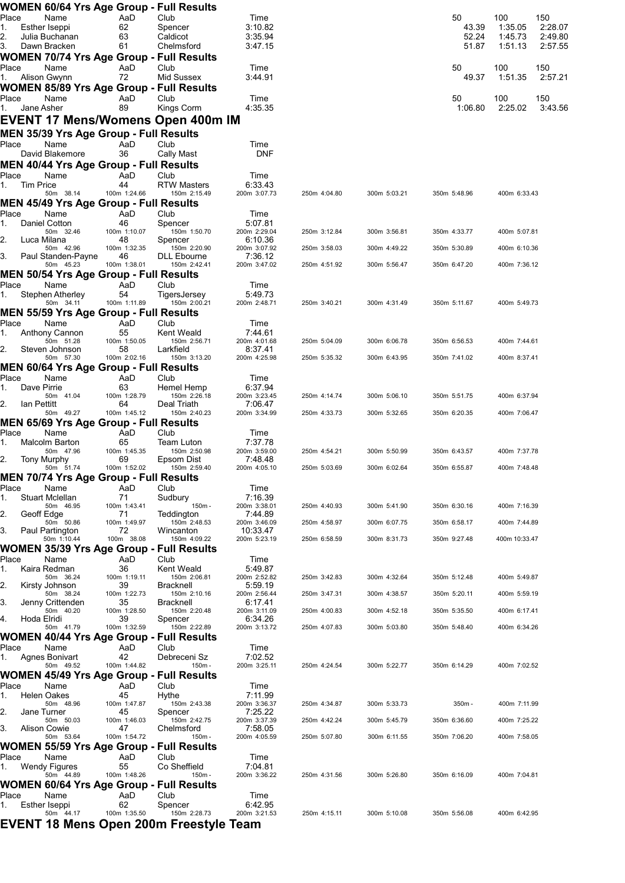|             |             |                                 |                    | WOMEN 60/64 Yrs Age Group - Full Results                      |                          |              |              |                |                    |                    |
|-------------|-------------|---------------------------------|--------------------|---------------------------------------------------------------|--------------------------|--------------|--------------|----------------|--------------------|--------------------|
| Place       |             | Name                            | AaD                | Club                                                          | Time                     |              |              | 50             | 100                | 150                |
| 1.<br>2.    |             | Esther Iseppi<br>Julia Buchanan | 62<br>63           | Spencer<br>Caldicot                                           | 3:10.82<br>3:35.94       |              |              | 43.39<br>52.24 | 1:35.05<br>1:45.73 | 2:28.07<br>2:49.80 |
| 3.          |             | Dawn Bracken                    | 61                 | Chelmsford                                                    | 3:47.15                  |              |              | 51.87          | 1:51.13            | 2:57.55            |
|             |             |                                 |                    | <b>WOMEN 70/74 Yrs Age Group - Full Results</b>               |                          |              |              |                |                    |                    |
| Place<br>1. |             | Name<br>Alison Gwynn            | AaD<br>72          | Club<br>Mid Sussex                                            | Time<br>3:44.91          |              |              | 50<br>49.37    | 100<br>1:51.35     | 150<br>2:57.21     |
|             |             |                                 |                    | <b>WOMEN 85/89 Yrs Age Group - Full Results</b>               |                          |              |              |                |                    |                    |
| Place       |             | Name                            | AaD                | Club                                                          | Time                     |              |              | 50             | 100                | 150                |
| 1.          |             | Jane Asher                      | 89                 | Kings Corm                                                    | 4:35.35                  |              |              | 1:06.80        | 2:25.02            | 3:43.56            |
|             |             |                                 |                    | EVENT 17 Mens/Womens Open 400m IM                             |                          |              |              |                |                    |                    |
|             |             |                                 |                    | MEN 35/39 Yrs Age Group - Full Results                        |                          |              |              |                |                    |                    |
| Place       |             | Name<br>David Blakemore         | AaD<br>36          | Club<br>Cally Mast                                            | Time<br><b>DNF</b>       |              |              |                |                    |                    |
|             |             |                                 |                    | <b>MEN 40/44 Yrs Age Group - Full Results</b>                 |                          |              |              |                |                    |                    |
| Place       |             | Name                            | AaD                | Club                                                          | Time                     |              |              |                |                    |                    |
| 1.          | Tim Price   | 50m 38.14                       | 44<br>100m 1:24.66 | <b>RTW Masters</b><br>150m 2:15.49                            | 6:33.43<br>200m 3:07.73  | 250m 4:04.80 | 300m 5:03.21 | 350m 5:48.96   | 400m 6:33.43       |                    |
|             |             |                                 |                    | <b>MEN 45/49 Yrs Age Group - Full Results</b>                 |                          |              |              |                |                    |                    |
| Place<br>1. |             | Name<br>Daniel Cotton           | AaD<br>46          | Club<br>Spencer                                               | Time<br>5:07.81          |              |              |                |                    |                    |
|             |             | 50m 32.46                       | 100m 1:10.07       | 150m 1:50.70                                                  | 200m 2:29.04             | 250m 3:12.84 | 300m 3:56.81 | 350m 4:33.77   | 400m 5:07.81       |                    |
| 2.          |             | Luca Milana<br>50m 42.96        | 48<br>100m 1:32.35 | Spencer<br>150m 2:20.90                                       | 6:10.36<br>200m 3:07.92  | 250m 3:58.03 | 300m 4:49.22 | 350m 5:30.89   | 400m 6:10.36       |                    |
| 3.          |             | Paul Standen-Payne              | 46                 | <b>DLL Ebourne</b>                                            | 7:36.12                  |              |              |                |                    |                    |
|             |             | 50m 45.23                       | 100m 1:38.01       | 150m 2:42.41<br><b>MEN 50/54 Yrs Age Group - Full Results</b> | 200m 3:47.02             | 250m 4:51.92 | 300m 5:56.47 | 350m 6:47.20   | 400m 7:36.12       |                    |
| Place       |             | Name                            | AaD                | Club                                                          | Time                     |              |              |                |                    |                    |
| 1.          |             | Stephen Atherley<br>50m 34.11   | 54<br>100m 1:11.89 | TigersJersey<br>150m 2:00.21                                  | 5:49.73<br>200m 2:48.71  | 250m 3:40.21 | 300m 4:31.49 | 350m 5:11.67   | 400m 5:49.73       |                    |
|             |             |                                 |                    | MEN 55/59 Yrs Age Group - Full Results                        |                          |              |              |                |                    |                    |
| Place       |             | Name                            | AaD                | Club                                                          | Time                     |              |              |                |                    |                    |
| 1.          |             | Anthony Cannon<br>50m 51.28     | 55<br>100m 1:50.05 | Kent Weald<br>150m 2:56.71                                    | 7:44.61<br>200m 4:01.68  | 250m 5:04.09 | 300m 6:06.78 | 350m 6:56.53   | 400m 7:44.61       |                    |
| 2.          |             | Steven Johnson                  | 58                 | Larkfield                                                     | 8:37.41                  |              |              |                |                    |                    |
|             |             | 50m 57.30                       | 100m 2:02.16       | 150m 3:13.20<br>MEN 60/64 Yrs Age Group - Full Results        | 200m 4:25.98             | 250m 5:35.32 | 300m 6:43.95 | 350m 7:41.02   | 400m 8:37.41       |                    |
| Place       |             | Name                            | AaD                | Club                                                          | Time                     |              |              |                |                    |                    |
| 1.          | Dave Pirrie | 50m 41.04                       | 63<br>100m 1:28.79 | Hemel Hemp<br>150m 2:26.18                                    | 6:37.94<br>200m 3:23.45  |              |              | 350m 5:51.75   |                    |                    |
| 2.          | Ian Pettitt |                                 | 64                 | Deal Triath                                                   | 7:06.47                  | 250m 4:14.74 | 300m 5:06.10 |                | 400m 6:37.94       |                    |
|             |             | 50m 49.27                       | 100m 1:45.12       | 150m 2:40.23<br>MEN 65/69 Yrs Age Group - Full Results        | 200m 3:34.99             | 250m 4:33.73 | 300m 5:32.65 | 350m 6:20.35   | 400m 7:06.47       |                    |
| Place       |             | Name                            | AaD                | Club                                                          | Time                     |              |              |                |                    |                    |
| 1.          |             | Malcolm Barton                  | 65                 | Team Luton                                                    | 7:37.78                  |              |              |                |                    |                    |
| 2.          |             | 50m 47.96<br>Tony Murphy        | 100m 1:45.35<br>69 | 150m 2:50.98<br>Epsom Dist                                    | 200m 3:59.00<br>7:48.48  | 250m 4:54.21 | 300m 5:50.99 | 350m 6:43.57   | 400m 7:37.78       |                    |
|             |             | 50m 51.74                       | 100m 1:52.02       | 150m 2:59.40                                                  | 200m 4:05.10             | 250m 5:03.69 | 300m 6:02.64 | 350m 6:55.87   | 400m 7:48.48       |                    |
| Place       |             | Name                            | AaD                | MEN 70/74 Yrs Age Group - Full Results<br>Club                | Time                     |              |              |                |                    |                    |
| 1.          |             | <b>Stuart Mclellan</b>          | 71                 | Sudbury                                                       | 7:16.39                  |              |              |                |                    |                    |
| 2.          |             | 50m 46.95<br>Geoff Edge         | 100m 1:43.41<br>71 | 150m -<br>Teddington                                          | 200m 3:38.01<br>7:44.89  | 250m 4:40.93 | 300m 5:41.90 | 350m 6:30.16   | 400m 7:16.39       |                    |
|             |             | 50m 50.86                       | 100m 1:49.97       | 150m 2:48.53                                                  | 200m 3:46.09             | 250m 4:58.97 | 300m 6:07.75 | 350m 6:58.17   | 400m 7:44.89       |                    |
| 3.          |             | Paul Partington<br>50m 1:10.44  | 72<br>100m 38.08   | Wincanton<br>150m 4:09.22                                     | 10:33.47<br>200m 5:23.19 | 250m 6:58.59 | 300m 8:31.73 | 350m 9:27.48   | 400m 10:33.47      |                    |
|             |             |                                 |                    | <b>WOMEN 35/39 Yrs Age Group - Full Results</b>               |                          |              |              |                |                    |                    |
| Place       |             | Name<br>Kaira Redman            | AaD<br>36          | Club<br>Kent Weald                                            | Time<br>5:49.87          |              |              |                |                    |                    |
| 1.          |             | 50m 36.24                       | 100m 1:19.11       | 150m 2:06.81                                                  | 200m 2:52.82             | 250m 3:42.83 | 300m 4:32.64 | 350m 5:12.48   | 400m 5:49.87       |                    |
| 2.          |             | Kirsty Johnson<br>50m 38.24     | 39<br>100m 1:22.73 | <b>Bracknell</b><br>150m 2:10.16                              | 5:59.19<br>200m 2:56.44  | 250m 3:47.31 | 300m 4:38.57 | 350m 5:20.11   | 400m 5:59.19       |                    |
| 3.          |             | Jenny Crittenden                | 35                 | Bracknell                                                     | 6:17.41                  |              |              |                |                    |                    |
| 4.          | Hoda Elridi | 50m 40.20                       | 100m 1:28.50<br>39 | 150m 2:20.48<br>Spencer                                       | 200m 3:11.09<br>6:34.26  | 250m 4:00.83 | 300m 4:52.18 | 350m 5:35.50   | 400m 6:17.41       |                    |
|             |             | 50m 41.79                       | 100m 1:32.59       | 150m 2:22.89                                                  | 200m 3:13.72             | 250m 4:07.83 | 300m 5:03.80 | 350m 5:48.40   | 400m 6:34.26       |                    |
| Place       |             | Name                            | AaD                | WOMEN 40/44 Yrs Age Group - Full Results<br>Club              | Time                     |              |              |                |                    |                    |
| 1.          |             | Agnes Bonivart                  | 42                 | Debreceni Sz                                                  | 7:02.52                  |              |              |                |                    |                    |
|             |             | 50m 49.52                       | 100m 1:44.82       | 150m -<br>WOMEN 45/49 Yrs Age Group - Full Results            | 200m 3:25.11             | 250m 4:24.54 | 300m 5:22.77 | 350m 6:14.29   | 400m 7:02.52       |                    |
| Place       |             | Name                            | AaD                | Club                                                          | Time                     |              |              |                |                    |                    |
| 1.          |             | <b>Helen Oakes</b>              | 45                 | Hythe                                                         | 7:11.99                  |              |              |                |                    |                    |
| 2.          |             | 50m 48.96<br>Jane Turner        | 100m 1:47.87<br>45 | 150m 2:43.38<br>Spencer                                       | 200m 3:36.37<br>7:25.22  | 250m 4:34.87 | 300m 5:33.73 | 350m-          | 400m 7:11.99       |                    |
| 3.          |             | 50m 50.03<br>Alison Cowie       | 100m 1:46.03<br>47 | 150m 2:42.75<br>Chelmsford                                    | 200m 3:37.39<br>7:58.05  | 250m 4:42.24 | 300m 5:45.79 | 350m 6:36.60   | 400m 7:25.22       |                    |
|             |             | 50m 53.64                       | 100m 1:54.72       | 150m -                                                        | 200m 4:05.59             | 250m 5:07.80 | 300m 6:11.55 | 350m 7:06.20   | 400m 7:58.05       |                    |
|             |             |                                 |                    | WOMEN 55/59 Yrs Age Group - Full Results                      |                          |              |              |                |                    |                    |
| Place<br>1. |             | Name<br>Wendy Figures           | AaD<br>55          | Club<br>Co Sheffield                                          | Time<br>7:04.81          |              |              |                |                    |                    |
|             |             | 50m 44.89                       | 100m 1:48.26       | 150m -                                                        | 200m 3:36.22             | 250m 4:31.56 | 300m 5:26.80 | 350m 6:16.09   | 400m 7:04.81       |                    |
|             |             |                                 |                    | WOMEN 60/64 Yrs Age Group - Full Results                      |                          |              |              |                |                    |                    |
| Place<br>1. |             | Name<br>Esther Iseppi           | AaD<br>62          | Club<br>Spencer                                               | Time<br>6:42.95          |              |              |                |                    |                    |
|             |             | 50m 44.17                       | 100m 1:35.50       | 150m 2:28.73                                                  | 200m 3:21.53             | 250m 4:15.11 | 300m 5:10.08 | 350m 5:56.08   | 400m 6:42.95       |                    |
|             |             |                                 |                    | EVENT 18 Mens Open 200m Freestyle Team                        |                          |              |              |                |                    |                    |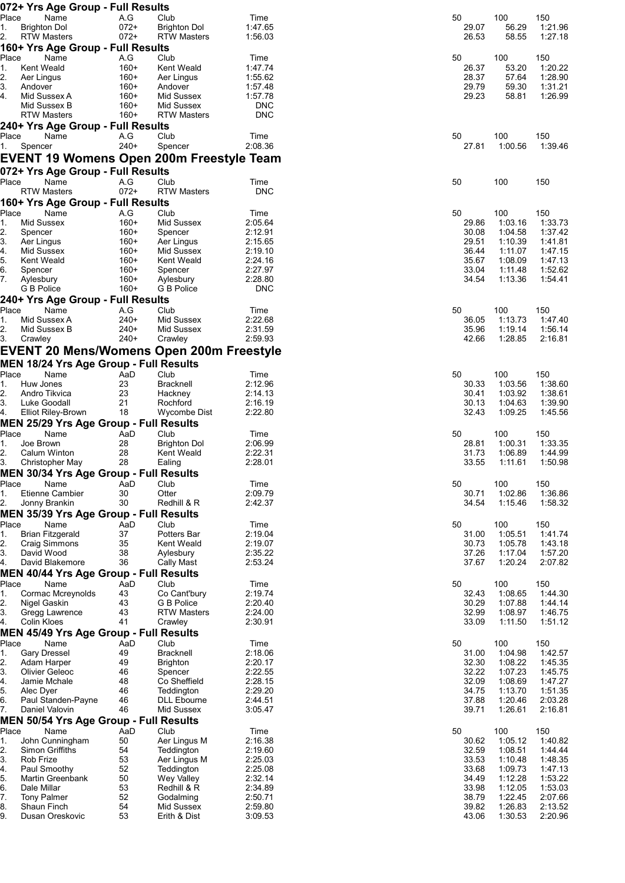|                                                                    | 072+ Yrs Age Group - Full Results             |                                                 |                       |                |                    |                    |
|--------------------------------------------------------------------|-----------------------------------------------|-------------------------------------------------|-----------------------|----------------|--------------------|--------------------|
| Place<br>Name                                                      | A.G                                           | Club                                            | Time                  | 50             | 100                | 150                |
| 1.<br><b>Brighton Dol</b><br>2.<br><b>RTW Masters</b>              | $072+$<br>$072+$                              | <b>Brighton Dol</b><br><b>RTW Masters</b>       | 1:47.65<br>1:56.03    | 29.07<br>26.53 | 56.29<br>58.55     | 1:21.96<br>1:27.18 |
|                                                                    | 160+ Yrs Age Group - Full Results             |                                                 |                       |                |                    |                    |
| Place<br>Name                                                      | A.G                                           | Club                                            | Time                  | 50             | 100                | 150                |
| 1.<br>Kent Weald                                                   | $160+$                                        | Kent Weald                                      | 1:47.74               | 26.37          | 53.20              | 1:20.22            |
| 2.<br>Aer Lingus                                                   | $160+$                                        | Aer Lingus                                      | 1:55.62               | 28.37          | 57.64              | 1:28.90            |
| 3.<br>Andover                                                      | $160+$                                        | Andover                                         | 1:57.48               | 29.79          | 59.30              | 1:31.21            |
| 4.<br>Mid Sussex A                                                 | $160+$                                        | Mid Sussex                                      | 1:57.78               | 29.23          | 58.81              | 1:26.99            |
| Mid Sussex B                                                       | $160+$                                        | Mid Sussex                                      | <b>DNC</b>            |                |                    |                    |
| <b>RTW Masters</b>                                                 | $160+$                                        | <b>RTW Masters</b>                              | <b>DNC</b>            |                |                    |                    |
|                                                                    | 240+ Yrs Age Group - Full Results             |                                                 |                       |                |                    |                    |
| Name<br>Place                                                      | A.G                                           | Club                                            | Time                  | 50             | 100                | 150                |
| Spencer<br>1.                                                      | $240+$                                        | Spencer                                         | 2:08.36               | 27.81          | 1:00.56            | 1:39.46            |
|                                                                    |                                               | <b>EVENT 19 Womens Open 200m Freestyle Team</b> |                       |                |                    |                    |
|                                                                    | 072+ Yrs Age Group - Full Results             |                                                 |                       |                |                    |                    |
| Place<br>Name                                                      | A.G                                           | Club                                            | Time                  | 50             | 100                | 150                |
| <b>RTW Masters</b>                                                 | $072+$                                        | <b>RTW Masters</b>                              | <b>DNC</b>            |                |                    |                    |
|                                                                    | 160+ Yrs Age Group - Full Results             |                                                 |                       |                |                    |                    |
| Place<br>Name                                                      | A.G                                           | Club                                            | Time                  | 50             | 100                | 150                |
| 1.<br>Mid Sussex                                                   | $160+$                                        | Mid Sussex                                      | 2:05.64               | 29.86          | 1:03.16            | 1:33.73            |
| 2.<br>Spencer                                                      | $160+$                                        | Spencer                                         | 2:12.91               | 30.08          | 1:04.58            | 1:37.42            |
| 3.<br>Aer Lingus                                                   | $160+$                                        | Aer Lingus                                      | 2:15.65               | 29.51          | 1:10.39            | 1:41.81            |
| 4.<br>Mid Sussex                                                   | $160+$                                        | Mid Sussex                                      | 2:19.10               | 36.44          | 1:11.07            | 1:47.15            |
| 5.<br><b>Kent Weald</b>                                            | $160+$                                        | Kent Weald                                      | 2:24.16               | 35.67          | 1:08.09            | 1:47.13            |
| 6.<br>Spencer<br>7.                                                | $160+$                                        | Spencer                                         | 2:27.97               | 33.04          | 1:11.48            | 1:52.62<br>1:54.41 |
| Aylesbury<br>G B Police                                            | $160+$<br>$160+$                              | Aylesbury<br>G B Police                         | 2:28.80<br><b>DNC</b> | 34.54          | 1:13.36            |                    |
|                                                                    |                                               |                                                 |                       |                |                    |                    |
|                                                                    | 240+ Yrs Age Group - Full Results             |                                                 |                       |                |                    |                    |
| Place<br>Name                                                      | A.G<br>$240+$                                 | Club                                            | Time                  | 50             | 100                | 150                |
| 1.<br>Mid Sussex A<br>2.<br>Mid Sussex B                           | $240+$                                        | Mid Sussex<br>Mid Sussex                        | 2:22.68<br>2:31.59    | 36.05<br>35.96 | 1:13.73<br>1:19.14 | 1:47.40<br>1:56.14 |
| 3.<br>Crawley                                                      | $240+$                                        | Crawley                                         | 2:59.93               | 42.66          | 1:28.85            | 2:16.81            |
|                                                                    |                                               |                                                 |                       |                |                    |                    |
|                                                                    |                                               | <b>EVENT 20 Mens/Womens Open 200m Freestyle</b> |                       |                |                    |                    |
|                                                                    | <b>MEN 18/24 Yrs Age Group - Full Results</b> |                                                 |                       |                |                    |                    |
| Place<br>Name                                                      | AaD                                           | Club                                            | Time                  | 50             | 100                | 150                |
| 1.<br>Huw Jones                                                    | 23                                            | <b>Bracknell</b>                                | 2:12.96               | 30.33          | 1:03.56            | 1:38.60            |
| 2.<br>Andro Tikvica                                                | 23                                            | Hackney                                         | 2:14.13               | 30.41          | 1:03.92            | 1:38.61            |
| 3.<br>Luke Goodall                                                 | 21                                            | Rochford                                        | 2:16.19               | 30.13          | 1:04.63            | 1:39.90            |
| <b>Elliot Riley-Brown</b><br>4.                                    | 18                                            | <b>Wycombe Dist</b>                             | 2:22.80               | 32.43          | 1:09.25            | 1:45.56            |
|                                                                    |                                               |                                                 |                       |                |                    |                    |
|                                                                    | <b>MEN 25/29 Yrs Age Group - Full Results</b> |                                                 |                       |                |                    |                    |
| Place<br>Name                                                      | AaD                                           | Club                                            | Time                  | 50             | 100                | 150                |
| Joe Brown<br>1.                                                    | 28                                            | <b>Brighton Dol</b>                             | 2:06.99               | 28.81          | 1:00.31            | 1:33.35            |
| 2.<br>Calum Winton                                                 | 28                                            | Kent Weald                                      | 2:22.31               | 31.73          | 1:06.89            | 1:44.99            |
| 3.<br>Christopher May                                              | 28                                            | Ealing                                          | 2:28.01               | 33.55          | 1:11.61            | 1:50.98            |
|                                                                    | MEN 30/34 Yrs Age Group - Full Results        |                                                 |                       |                |                    |                    |
| Place<br>Name                                                      | AaD                                           | Club                                            | Time                  | 50             | 100                | 150                |
| 1.<br>Etienne Cambier                                              | 30                                            | Otter                                           | 2:09.79               | 30.71          | 1:02.86            | 1:36.86            |
| 2.<br>Jonny Brankin                                                | 30                                            | Redhill & R                                     | 2:42.37               | 34.54          | 1:15.46            | 1:58.32            |
|                                                                    | MEN 35/39 Yrs Age Group - Full Results        |                                                 |                       |                |                    |                    |
| Place<br>Name                                                      | AaD                                           | Club                                            | Time                  | 50             | 100                | 150                |
| 1.<br><b>Brian Fitzgerald</b>                                      | 37                                            | Potters Bar                                     | 2:19.04               | 31.00          | 1:05.51            | 1:41.74            |
| 2.<br><b>Craig Simmons</b>                                         | 35                                            | Kent Weald                                      | 2:19.07               | 30.73          | 1:05.78            | 1:43.18            |
| 3.<br>David Wood                                                   | 38                                            | Aylesbury                                       | 2:35.22               | 37.26          | 1:17.04            | 1:57.20            |
| 4.<br>David Blakemore                                              | 36                                            | <b>Cally Mast</b>                               | 2:53.24               | 37.67          | 1:20.24            | 2:07.82            |
|                                                                    | MEN 40/44 Yrs Age Group - Full Results        |                                                 |                       |                |                    |                    |
| Place<br>Name                                                      | AaD                                           | Club                                            | Time                  | 50             | 100                | 150                |
| 1.<br>Cormac Mcreynolds                                            | 43                                            | Co Cant'bury                                    | 2:19.74               | 32.43          | 1:08.65            | 1:44.30            |
| 2.<br>Nigel Gaskin                                                 | 43                                            | G B Police                                      | 2:20.40               | 30.29          | 1:07.88            | 1:44.14            |
| 3.<br>Gregg Lawrence<br>4.                                         | 43<br>41                                      | <b>RTW Masters</b>                              | 2:24.00<br>2:30.91    | 32.99<br>33.09 | 1:08.97            | 1:46.75            |
| Colin Kloes                                                        |                                               | Crawley                                         |                       |                | 1:11.50            | 1:51.12            |
|                                                                    | MEN 45/49 Yrs Age Group - Full Results        |                                                 |                       |                |                    |                    |
| Place<br>Name                                                      | AaD                                           | Club                                            | Time                  | 50             | 100                | 150                |
| 1.<br><b>Gary Dressel</b>                                          | 49                                            | <b>Bracknell</b>                                | 2:18.06               | 31.00          | 1:04.98<br>1:08.22 | 1:42.57            |
| 2.<br>Adam Harper<br>3.<br><b>Olivier Geleoc</b>                   | 49<br>46                                      | <b>Brighton</b><br>Spencer                      | 2:20.17<br>2:22.55    | 32.30<br>32.22 | 1:07.23            | 1:45.35<br>1:45.75 |
| 4.<br>Jamie Mchale                                                 | 48                                            | Co Sheffield                                    | 2:28.15               | 32.09          | 1:08.69            | 1:47.27            |
| 5.<br>Alec Dyer                                                    | 46                                            | Teddington                                      | 2:29.20               | 34.75          | 1:13.70            | 1:51.35            |
| 6.<br>Paul Standen-Payne                                           | 46                                            | <b>DLL Ebourne</b>                              | 2:44.51               | 37.88          | 1:20.46            | 2:03.28            |
| 7.<br>Daniel Valovin                                               | 46                                            | Mid Sussex                                      | 3:05.47               | 39.71          | 1:26.61            | 2:16.81            |
|                                                                    | <b>MEN 50/54 Yrs Age Group - Full Results</b> |                                                 |                       |                |                    |                    |
| Place<br>Name                                                      | AaD                                           | Club                                            | Time                  | 50             | 100                | 150                |
| 1.<br>John Cunningham                                              | 50                                            | Aer Lingus M                                    | 2:16.38               | 30.62          | 1:05.12            | 1:40.82            |
| 2.<br>Simon Griffiths                                              | 54                                            | Teddington                                      | 2:19.60               | 32.59          | 1:08.51            | 1:44.44            |
| 3.<br>Rob Frize                                                    | 53                                            | Aer Lingus M                                    | 2:25.03               | 33.53          | 1:10.48            | 1:48.35            |
| Paul Smoothy                                                       | 52                                            | Teddington                                      | 2:25.08               | 33.68          | 1:09.73            | 1:47.13            |
| Martin Greenbank                                                   | 50                                            | <b>Wey Valley</b>                               | 2:32.14               | 34.49          | 1:12.28            | 1:53.22            |
| Dale Millar                                                        | 53                                            | Redhill & R                                     | 2:34.89               | 33.98          | 1:12.05            | 1:53.03            |
| <b>Tony Palmer</b>                                                 | 52                                            | Godalming                                       | 2:50.71               | 38.79          | 1:22.45            | 2:07.66            |
| 4.<br>5.<br>6.<br>7.<br>8.<br>Shaun Finch<br>9.<br>Dusan Oreskovic | 54<br>53                                      | Mid Sussex<br>Erith & Dist                      | 2:59.80<br>3:09.53    | 39.82<br>43.06 | 1:26.83<br>1:30.53 | 2:13.52<br>2:20.96 |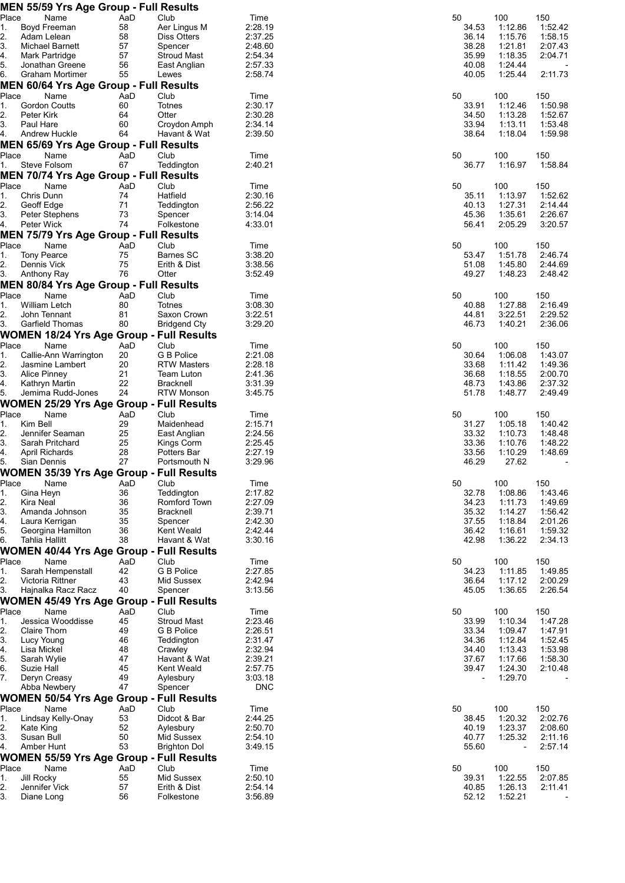|              | <b>MEN 55/59 Yrs Age Group - Full Results</b>   |           |                                  |                    |                          |                          |                    |
|--------------|-------------------------------------------------|-----------|----------------------------------|--------------------|--------------------------|--------------------------|--------------------|
| Place<br>1.  | Name                                            | AaD       | Club                             | Time               | 50                       | 100                      | 150                |
| 2.           | Boyd Freeman<br>Adam Lelean                     | 58<br>58  | Aer Lingus M<br>Diss Otters      | 2:28.19<br>2:37.25 | 34.53<br>36.14           | 1:12.86<br>1:15.76       | 1:52.42<br>1:58.15 |
| 3.           | Michael Barnett                                 | 57        | Spencer                          | 2:48.60            | 38.28                    | 1:21.81                  | 2:07.43            |
| 4.           | Mark Partridge                                  | 57        | <b>Stroud Mast</b>               | 2:54.34            | 35.99                    | 1:18.35                  | 2:04.71            |
| 5.           | Jonathan Greene                                 | 56        | East Anglian                     | 2:57.33            | 40.08                    | 1:24.44                  |                    |
| 6.           | Graham Mortimer                                 | 55        | Lewes                            | 2:58.74            | 40.05                    | 1:25.44                  | 2:11.73            |
|              | <b>MEN 60/64 Yrs Age Group - Full Results</b>   |           |                                  |                    |                          |                          |                    |
| Place        | Name                                            | AaD       | Club                             | Time               | 50                       | 100                      | 150                |
| 1.           | <b>Gordon Coutts</b>                            | 60        | Totnes                           | 2:30.17            | 33.91                    | 1:12.46                  | 1:50.98            |
| $\mathbf{2}$ | Peter Kirk                                      | 64        | Otter                            | 2:30.28            | 34.50                    | 1:13.28                  | 1:52.67            |
| 3.<br>4.     | Paul Hare<br>Andrew Huckle                      | 60<br>64  | Croydon Amph<br>Havant & Wat     | 2:34.14<br>2:39.50 | 33.94<br>38.64           | 1:13.11<br>1:18.04       | 1:53.48<br>1:59.98 |
|              | <b>MEN 65/69 Yrs Age Group - Full Results</b>   |           |                                  |                    |                          |                          |                    |
| Place        | Name                                            | AaD       | Club                             | Time               | 50                       | 100                      | 150                |
| 1.           | Steve Folsom                                    | 67        | Teddington                       | 2:40.21            | 36.77                    | 1:16.97                  | 1:58.84            |
|              | MEN 70/74 Yrs Age Group - Full Results          |           |                                  |                    |                          |                          |                    |
| Place        | Name                                            | AaD       | Club                             | Time               | 50                       | 100                      | 150                |
| 1.           | Chris Dunn                                      | 74        | Hatfield                         | 2:30.16            | 35.11                    | 1:13.97                  | 1:52.62            |
| 2.           | Geoff Edge                                      | 71        | Teddington                       | 2:56.22            | 40.13                    | 1:27.31                  | 2.14.44            |
| 3.           | Peter Stephens                                  | 73        | Spencer                          | 3:14.04            | 45.36                    | 1:35.61                  | 2:26.67            |
| 4.           | Peter Wick                                      | 74        | Folkestone                       | 4:33.01            | 56.41                    | 2:05.29                  | 3:20.57            |
| Place        | <b>MEN 75/79 Yrs Age Group - Full Results</b>   |           |                                  |                    | 50                       |                          |                    |
| 1.           | Name<br><b>Tony Pearce</b>                      | AaD<br>75 | Club<br><b>Barnes SC</b>         | Time<br>3:38.20    | 53.47                    | 100<br>1:51.78           | 150<br>2:46.74     |
| 2.           | Dennis Vick                                     | 75        | Erith & Dist                     | 3:38.56            | 51.08                    | 1:45.80                  | 2:44.69            |
| 3.           | Anthony Ray                                     | 76        | Otter                            | 3:52.49            | 49.27                    | 1:48.23                  | 2:48.42            |
|              | MEN 80/84 Yrs Age Group - Full Results          |           |                                  |                    |                          |                          |                    |
| Place        | Name                                            | AaD       | Club                             | Time               | 50                       | 100                      | 150                |
| 1.           | William Letch                                   | 80        | Totnes                           | 3:08.30            | 40.88                    | 1:27.88                  | 2:16.49            |
| 2.           | John Tennant                                    | 81        | Saxon Crown                      | 3:22.51            | 44.81                    | 3:22.51                  | 2:29.52            |
| 3.           | Garfield Thomas                                 | 80        | <b>Bridgend Cty</b>              | 3:29.20            | 46.73                    | 1:40.21                  | 2:36.06            |
|              | <b>WOMEN 18/24 Yrs Age Group - Full Results</b> |           |                                  |                    |                          |                          |                    |
| Place        | Name                                            | AaD       | Club                             | Time               | 50                       | 100                      | 150                |
| 1.<br>2.     | Callie-Ann Warrington<br>Jasmine Lambert        | 20<br>20  | G B Police<br><b>RTW Masters</b> | 2:21.08<br>2:28.18 | 30.64<br>33.68           | 1:06.08<br>1:11.42       | 1:43.07<br>1:49.36 |
| 3.           | <b>Alice Pinney</b>                             | 21        | <b>Team Luton</b>                | 2:41.36            | 36.68                    | 1:18.55                  | 2:00.70            |
| 4.           | Kathryn Martin                                  | 22        | <b>Bracknell</b>                 | 3:31.39            | 48.73                    | 1:43.86                  | 2:37.32            |
| 5.           | Jemima Rudd-Jones                               | 24        | <b>RTW Monson</b>                | 3:45.75            | 51.78                    | 1:48.77                  | 2:49.49            |
|              | <b>WOMEN 25/29 Yrs Age Group - Full Results</b> |           |                                  |                    |                          |                          |                    |
| Place        | Name                                            | AaD       | Club                             | Time               | 50                       | 100                      | 150                |
| 1.           | Kim Bell                                        | 29        | Maidenhead                       | 2:15.71            | 31.27                    | 1:05.18                  | 1:40.42            |
| 2.           | Jennifer Seaman                                 | 25        | East Anglian                     | 2:24.56            | 33.32                    | 1:10.73                  | 1:48.48            |
| 3.<br>4.     | Sarah Pritchard<br>April Richards               | 25<br>28  | Kings Corm<br>Potters Bar        | 2:25.45<br>2:27.19 | 33.36<br>33.56           | 1:10.76<br>1:10.29       | 1:48.22<br>1:48.69 |
| 5.           | Sian Dennis                                     | 27        | Portsmouth N                     | 3:29.96            | 46.29                    | 27.62                    |                    |
|              | <b>WOMEN 35/39 Yrs Age Group - Full Results</b> |           |                                  |                    |                          |                          |                    |
| Place        | Name                                            | AaD       | Club                             | Time               | 50                       | 100                      | 150                |
| 1.           | Gina Heyn                                       | 36        | Teddington                       | 2:17.82            | 32.78                    | 1:08.86                  | 1:43.46            |
| 2.           | Kira Neal                                       | 36        | Romford Town                     | 2:27.09            | 34.23                    | 1:11.73                  | 1:49.69            |
| 3.           | Amanda Johnson                                  | 35        | Bracknell                        | 2:39.71            | 35.32                    | 1:14.27                  | 1:56.42            |
| 4.           | Laura Kerrigan                                  | 35        | Spencer                          | 2:42.30            | 37.55                    | 1:18.84                  | 2:01.26            |
| 5.<br>6.     | Georgina Hamilton<br><b>Tahlia Hallitt</b>      | 36<br>38  | Kent Weald                       | 2:42.44<br>3:30.16 | 36.42<br>42.98           | 1:16.61<br>1:36.22       | 1:59.32            |
|              | <b>WOMEN 40/44 Yrs Age Group - Full Results</b> |           | Havant & Wat                     |                    |                          |                          | 2:34.13            |
| Place        | Name                                            | AaD       | Club                             | Time               | 50                       | 100                      | 150                |
| 1.           | Sarah Hempenstall                               | 42        | G B Police                       | 2:27.85            | 34.23                    | 1:11.85                  | 1:49.85            |
| 2.           | Victoria Rittner                                | 43        | Mid Sussex                       | 2:42.94            | 36.64                    | 1:17.12                  | 2:00.29            |
| 3.           | Hajnalka Racz Racz                              | 40        | Spencer                          | 3:13.56            | 45.05                    | 1:36.65                  | 2:26.54            |
|              | <b>WOMEN 45/49 Yrs Age Group - Full Results</b> |           |                                  |                    |                          |                          |                    |
| Place        | Name                                            | AaD       | Club                             | Time               | 50                       | 100                      | 150                |
| 1.           | Jessica Wooddisse                               | 45        | <b>Stroud Mast</b>               | 2:23.46            | 33.99                    | 1:10.34                  | 1:47.28            |
| 2.           | Claire Thorn                                    | 49        | G B Police                       | 2:26.51            | 33.34                    | 1:09.47                  | 1:47.91            |
| 3.           | Lucy Young                                      | 46        | Teddington                       | 2:31.47            | 34.36                    | 1:12.84                  | 1:52.45            |
| 4.<br>5.     | Lisa Mickel<br>Sarah Wylie                      | 48<br>47  | Crawley<br>Havant & Wat          | 2:32.94<br>2:39.21 | 34.40<br>37.67           | 1:13.43<br>1:17.66       | 1:53.98<br>1:58.30 |
| 6.           | Suzie Hall                                      | 45        | Kent Weald                       | 2:57.75            | 39.47                    | 1:24.30                  | 2:10.48            |
| 7.           | Deryn Creasy                                    | 49        | Aylesbury                        | 3:03.18            | $\overline{\phantom{a}}$ | 1:29.70                  |                    |
|              | Abba Newbery                                    | 47        | Spencer                          | <b>DNC</b>         |                          |                          |                    |
|              | <b>WOMEN 50/54 Yrs Age Group - Full Results</b> |           |                                  |                    |                          |                          |                    |
| Place        | Name                                            | AaD       | Club                             | Time               | 50                       | 100                      | 150                |
| 1.           | Lindsay Kelly-Onay                              | 53        | Didcot & Bar                     | 2:44.25            | 38.45                    | 1:20.32                  | 2:02.76            |
| 2.           | Kate King                                       | 52        | Aylesbury                        | 2:50.70            | 40.19                    | 1:23.37                  | 2:08.60            |
| 3.           | Susan Bull                                      | 50        | Mid Sussex                       | 2:54.10            | 40.77                    | 1:25.32                  | 2:11.16            |
| 4.           | Amber Hunt                                      | 53        | <b>Brighton Dol</b>              | 3:49.15            | 55.60                    | $\overline{\phantom{a}}$ | 2:57.14            |
| Place        | <b>WOMEN 55/59 Yrs Age Group - Full Results</b> |           |                                  |                    | 50                       | 100                      |                    |
|              | Name                                            | AaD       | Club                             | Time               |                          |                          | 150<br>2:07.85     |
|              |                                                 |           |                                  |                    |                          |                          |                    |
| 1.<br>2.     | Jill Rocky<br>Jennifer Vick                     | 55        | Mid Sussex                       | 2:50.10            | 39.31                    | 1:22.55                  |                    |
| 3.           | Diane Long                                      | 57<br>56  | Erith & Dist<br>Folkestone       | 2:54.14<br>3:56.89 | 40.85<br>52.12           | 1:26.13<br>1:52.21       | 2:11.41            |

| 50<br>34.53<br>36.14<br>38.28<br>35.99<br>40.08<br>40.05 | 100<br>1:12.86<br>1:15.76<br>1:21.81<br>1:18.35<br>1:24.44<br>1:25.44            | 150<br>1:52.42<br>1:58.15<br>2:07.43<br>2:04.71<br>2:11.73            |
|----------------------------------------------------------|----------------------------------------------------------------------------------|-----------------------------------------------------------------------|
| 50                                                       | 100                                                                              | 150                                                                   |
| 33.91                                                    | 1:12.46                                                                          | 1:50.98                                                               |
| 34.50                                                    | 1:13.28                                                                          | 1:52.67                                                               |
| 33.94                                                    | 1:13.11                                                                          | 1:53.48                                                               |
| 38.64                                                    | 1:18.04                                                                          | 1:59.98                                                               |
| 50                                                       | 100                                                                              | 150                                                                   |
| 36.77                                                    | 1:16.97                                                                          | 1:58.84                                                               |
| 50                                                       | 100                                                                              | 150                                                                   |
| 35.11                                                    | 1:13.97                                                                          | 1:52.62                                                               |
| 40.13                                                    | 1:27.31                                                                          | 2:14.44                                                               |
| 45.36                                                    | 1:35.61                                                                          | 2:26.67                                                               |
| 56.41                                                    | 2:05.29                                                                          | 3:20.57                                                               |
| 50                                                       | 100                                                                              | 150 <sub>1</sub>                                                      |
| 53.47                                                    | 1:51.78                                                                          | 2:46.74                                                               |
| 51.08                                                    | 1:45.80                                                                          | 2:44.69                                                               |
| 49.27                                                    | 1:48.23                                                                          | 2:48.42                                                               |
| 50                                                       | 100                                                                              | 150                                                                   |
| 40.88                                                    | 1:27.88                                                                          | 2:16.49                                                               |
| 44.81                                                    | 3:22.51                                                                          | 2:29.52                                                               |
| 46.73                                                    | 1:40.21                                                                          | 2:36.06                                                               |
| 50                                                       | 100                                                                              | 150                                                                   |
| 30.64                                                    | 1:06.08                                                                          | 1:43.07                                                               |
| 33.68                                                    | 1:11.42                                                                          | 1:49.36                                                               |
| 36.68                                                    | 1:18.55                                                                          | 2:00.70                                                               |
| 48.73                                                    | 1:43.86                                                                          | 2:37.32                                                               |
| 51.78                                                    | 1:48.77                                                                          | 2:49.49                                                               |
| 50<br>31.27<br>33.32<br>33.36<br>33.56<br>46.29          | 100<br>1:05.18<br>1:10.73<br>1:10.76<br>1:10.29<br>27.62                         | 150<br>1:40.42<br>1:48.48<br>1:48.22<br>1:48.69                       |
| 50                                                       | 100                                                                              | 150                                                                   |
| 32.78                                                    | 1:08.86                                                                          | 1:43.46                                                               |
| 34.23                                                    | 1:11.73                                                                          | 1:49.69                                                               |
| 35.32                                                    | 1:14.27                                                                          | 1:56.42                                                               |
| 37.55                                                    | 1:18.84                                                                          | 2:01.26                                                               |
| 36.42                                                    | 1:16.61                                                                          | 1:59.32                                                               |
| 42.98                                                    | 1:36.22                                                                          | 2:34.13                                                               |
| 50                                                       | 100                                                                              | 150                                                                   |
| 34.23                                                    | 1:11.85                                                                          | 1:49.85                                                               |
| 36.64                                                    | 1:17.12                                                                          | 2:00.29                                                               |
| 45.05                                                    | 1:36.65                                                                          | 2:26.54                                                               |
| 50<br>33.99<br>33.34<br>34.36<br>34.40<br>37.67<br>39.47 | 100<br>1:10.34<br>1:09.47<br>1:12.84<br>1:13.43<br>1:17.66<br>1:24.30<br>1:29.70 | 150<br>1:47.28<br>1:47.91<br>1:52.45<br>1:53.98<br>1:58.30<br>2:10.48 |
| 50<br>38.45<br>40.19<br>40.77<br>55.60                   | 100<br>1:20.32<br>1:23.37<br>1:25.32                                             | 150<br>2:02.76<br>2:08.60<br>2:11.16<br>2:57.14                       |
| 50<br>39.31<br>40.85<br>52.12                            | 100<br>1:22.55<br>1:26.13<br>1:52.21                                             | 150<br>2:07.85<br>2:11.41                                             |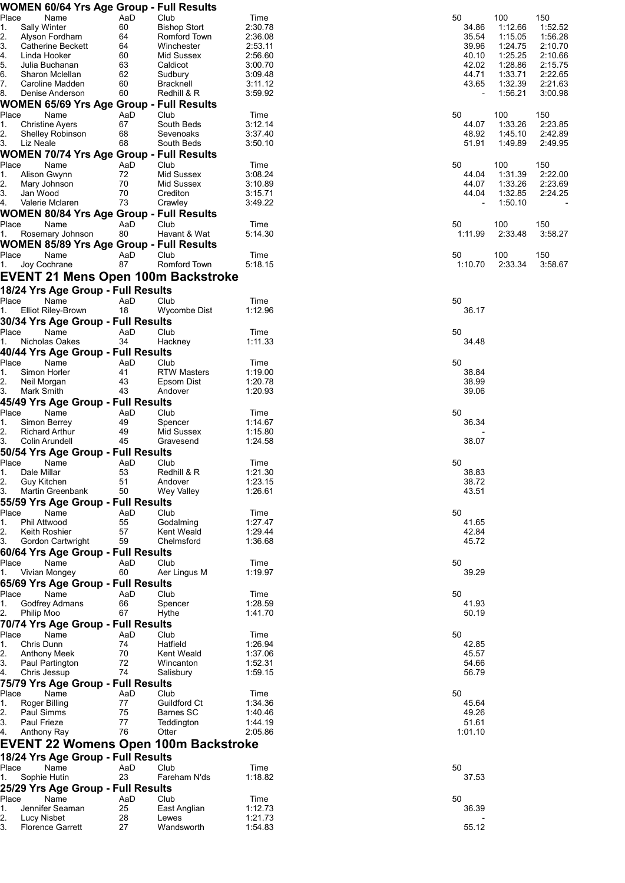|          | <b>WOMEN 60/64 Yrs Age Group - Full Results</b> |           |                         |                    |                          |                    |                    |
|----------|-------------------------------------------------|-----------|-------------------------|--------------------|--------------------------|--------------------|--------------------|
| Place    | Name                                            | AaD       | Club                    | Time               | 50                       | 100                | 150                |
| 1.       | Sally Winter                                    | 60        | <b>Bishop Stort</b>     | 2:30.78            | 34.86                    | 1:12.66            | 1:52.52            |
| 2.       | Alyson Fordham                                  | 64        | Romford Town            | 2:36.08            | 35.54                    | 1:15.05            | 1:56.28            |
| 3.       | <b>Catherine Beckett</b>                        | 64        | Winchester              | 2:53.11            | 39.96                    | 1:24.75            | 2:10.70            |
| 4.       | Linda Hooker                                    | 60        | Mid Sussex              | 2:56.60            | 40.10                    | 1:25.25            | 2:10.66            |
| 5.       | Julia Buchanan                                  | 63        | Caldicot                | 3:00.70            | 42.02                    | 1:28.86            | 2:15.75            |
| 6.<br>7. | Sharon Mclellan<br>Caroline Madden              | 62<br>60  | Sudbury<br>Bracknell    | 3:09.48<br>3:11.12 | 44.71<br>43.65           | 1:33.71<br>1:32.39 | 2:22.65<br>2:21.63 |
| 8.       | Denise Anderson                                 | 60        | Redhill & R             | 3:59.92            | $\overline{\phantom{a}}$ | 1:56.21            | 3:00.98            |
|          | <b>WOMEN 65/69 Yrs Age Group - Full Results</b> |           |                         |                    |                          |                    |                    |
| Place    | Name                                            | AaD       | Club                    | Time               | 50                       | 100                | 150                |
| 1.       | <b>Christine Ayers</b>                          | 67        | South Beds              | 3:12.14            | 44.07                    | 1:33.26            | 2:23.85            |
| 2.       | <b>Shelley Robinson</b>                         | 68        | Sevenoaks               | 3:37.40            | 48.92                    | 1:45.10            | 2:42.89            |
| 3.       | Liz Neale                                       | 68        | South Beds              | 3:50.10            | 51.91                    | 1:49.89            | 2:49.95            |
|          | <b>WOMEN 70/74 Yrs Age Group - Full Results</b> |           |                         |                    |                          |                    |                    |
| Place    | Name                                            | AaD       | Club                    | Time               | 50                       | 100                | 150                |
| 1.       | Alison Gwynn                                    | 72        | Mid Sussex              | 3:08.24            | 44.04                    | 1:31.39            | 2:22.00            |
| 2.<br>3. | Mary Johnson<br>Jan Wood                        | 70<br>70  | Mid Sussex<br>Crediton  | 3:10.89<br>3:15.71 | 44.07<br>44.04           | 1:33.26<br>1:32.85 | 2:23.69<br>2:24.25 |
| 4.       | Valerie Mclaren                                 | 73        | Crawley                 | 3:49.22            |                          | 1:50.10            |                    |
|          | <b>WOMEN 80/84 Yrs Age Group - Full Results</b> |           |                         |                    |                          |                    |                    |
| Place    | Name                                            | AaD       | Club                    | Time               | 50                       | 100                | 150                |
| 1.       | Rosemary Johnson                                | 80        | Havant & Wat            | 5:14.30            | 1:11.99                  | 2:33.48            | 3:58.27            |
|          | <b>WOMEN 85/89 Yrs Age Group - Full Results</b> |           |                         |                    |                          |                    |                    |
| Place    | Name                                            | AaD       | Club                    | Time               | 50                       | 100                | 150                |
| 1.       | Joy Cochrane                                    | 87        | Romford Town            | 5:18.15            | 1:10.70                  | 2:33.34            | 3:58.67            |
|          | EVENT 21 Mens Open 100m Backstroke              |           |                         |                    |                          |                    |                    |
|          | 18/24 Yrs Age Group - Full Results              |           |                         |                    |                          |                    |                    |
| Place    | Name                                            | AaD       | Club                    | Time               | 50                       |                    |                    |
| 1.       | <b>Elliot Riley-Brown</b>                       | 18        | Wycombe Dist            | 1:12.96            | 36.17                    |                    |                    |
|          | 30/34 Yrs Age Group - Full Results              |           |                         |                    |                          |                    |                    |
| Place    | Name                                            | AaD       | Club                    | Time               | 50                       |                    |                    |
| 1.       | Nicholas Oakes                                  | 34        | Hackney                 | 1:11.33            | 34.48                    |                    |                    |
|          | 40/44 Yrs Age Group - Full Results              |           |                         |                    |                          |                    |                    |
| Place    | Name                                            | AaD       | Club                    | Time               | 50                       |                    |                    |
| 1.       | Simon Horler                                    | 41        | <b>RTW Masters</b>      | 1:19.00            | 38.84                    |                    |                    |
| 2.       | Neil Morgan                                     | 43        | Epsom Dist              | 1:20.78            | 38.99                    |                    |                    |
| 3.       | Mark Smith                                      | 43        | Andover                 | 1:20.93            | 39.06                    |                    |                    |
|          | 45/49 Yrs Age Group - Full Results              |           |                         |                    |                          |                    |                    |
| Place    | Name                                            | AaD       | Club                    | Time               | 50                       |                    |                    |
| 1.<br>2. | Simon Berrey<br><b>Richard Arthur</b>           | 49<br>49  | Spencer<br>Mid Sussex   | 1:14.67<br>1:15.80 | 36.34                    |                    |                    |
| 3.       | Colin Arundell                                  | 45        | Gravesend               | 1:24.58            | 38.07                    |                    |                    |
|          | 50/54 Yrs Age Group - Full Results              |           |                         |                    |                          |                    |                    |
| Place    | Name                                            | AaD       | Club                    | Time               | 50                       |                    |                    |
| 1.       | Dale Millar                                     | 53        | Redhill & R             | 1:21.30            | 38.83                    |                    |                    |
| 2.       | Guy Kitchen                                     | 51        | Andover                 | 1:23.15            | 38.72                    |                    |                    |
| 3.       | Martin Greenbank                                | 50        | Wey Valley              | 1:26.61            | 43.51                    |                    |                    |
|          | 55/59 Yrs Age Group - Full Results              |           |                         |                    |                          |                    |                    |
| Place    | Name                                            | AaD       | Club                    | Time               | 50                       |                    |                    |
| 1.       | Phil Attwood                                    | 55        | Godalming               | 1:27.47            | 41.65                    |                    |                    |
| 2.<br>3. | Keith Roshier                                   | 57        | Kent Weald              | 1:29.44            | 42.84                    |                    |                    |
|          | Gordon Cartwright                               | 59        | Chelmsford              | 1:36.68            | 45.72                    |                    |                    |
| Place    | 60/64 Yrs Age Group - Full Results<br>Name      | AaD       |                         |                    | 50                       |                    |                    |
| 1.       | Vivian Mongey                                   | 60        | Club<br>Aer Lingus M    | Time<br>1:19.97    | 39.29                    |                    |                    |
|          | 65/69 Yrs Age Group - Full Results              |           |                         |                    |                          |                    |                    |
| Place    | Name                                            | AaD       | Club                    | Time               | 50                       |                    |                    |
| 1.       | Godfrey Admans                                  | 66        | Spencer                 | 1:28.59            | 41.93                    |                    |                    |
| 2.       | Philip Moo                                      | 67        | Hythe                   | 1:41.70            | 50.19                    |                    |                    |
|          | 70/74 Yrs Age Group - Full Results              |           |                         |                    |                          |                    |                    |
| Place    | Name                                            | AaD       | Club                    | Time               | 50                       |                    |                    |
| 1.       | Chris Dunn                                      | 74        | Hatfield                | 1:26.94            | 42.85                    |                    |                    |
| 2.       | <b>Anthony Meek</b>                             | 70        | Kent Weald              | 1:37.06            | 45.57                    |                    |                    |
| 3.       | Paul Partington                                 | 72        | Wincanton               | 1:52.31            | 54.66                    |                    |                    |
| 4.       | Chris Jessup                                    | 74        | Salisbury               | 1:59.15            | 56.79                    |                    |                    |
|          | 75/79 Yrs Age Group - Full Results              |           |                         |                    |                          |                    |                    |
| Place    | Name                                            | AaD       | Club                    | Time               | 50                       |                    |                    |
| 1.       | <b>Roger Billing</b>                            | 77<br>75  | Guildford Ct            | 1:34.36            | 45.64                    |                    |                    |
| 2.<br>3. | Paul Simms<br><b>Paul Frieze</b>                | 77        | Barnes SC<br>Teddington | 1:40.46<br>1:44.19 | 49.26<br>51.61           |                    |                    |
| 4.       | Anthony Ray                                     | 76        | Otter                   | 2:05.86            | 1:01.10                  |                    |                    |
|          | <b>EVENT 22 Womens Open 100m Backstroke</b>     |           |                         |                    |                          |                    |                    |
|          |                                                 |           |                         |                    |                          |                    |                    |
|          | 18/24 Yrs Age Group - Full Results              |           |                         |                    |                          |                    |                    |
| Place    | Name                                            | AaD       | Club                    | Time               | 50                       |                    |                    |
| 1.       | Sophie Hutin                                    | 23        | Fareham N'ds            | 1:18.82            | 37.53                    |                    |                    |
|          | 25/29 Yrs Age Group - Full Results              |           |                         |                    |                          |                    |                    |
| Place    | Name<br>Jennifer Seaman                         | AaD<br>25 | Club<br>East Anglian    | Time               | 50                       |                    |                    |
| 1.<br>2. | Lucy Nisbet                                     | 28        | Lewes                   | 1:12.73<br>1:21.73 | 36.39                    |                    |                    |
| 3.       | <b>Florence Garrett</b>                         | 27        | Wandsworth              | 1:54.83            | 55.12                    |                    |                    |
|          |                                                 |           |                         |                    |                          |                    |                    |

| 50<br>34.86<br>35.54<br>39.96<br>40.10<br>42.02<br>44.71<br>43.65 | 100<br>1:12.66<br>1:15.05<br>1:24.75<br>1:25.25<br>1:28.86<br>1:33.71<br>1:32.39<br>1:56.21 | 150<br>1:52.5<br>1:56.2<br>2:10.<br>2:10.0<br>2:15.<br>2:22.0<br>2:21.6<br>3:00.9 |
|-------------------------------------------------------------------|---------------------------------------------------------------------------------------------|-----------------------------------------------------------------------------------|
| 50<br>44.07<br>48.92<br>51.91                                     | 100<br>1:33.26<br>1:45.10<br>1:49.89                                                        | 150<br>2:23.8<br>2:42.8<br>2:49.9                                                 |
| 50<br>44.04<br>44.07<br>44.04                                     | 100<br>1:31.39<br>1:33.26<br>1:32.85<br>1:50.10                                             | 150<br>2:22.0<br>2:23.0<br>2:24.2                                                 |
| 50<br>1:11.99                                                     | 100<br>2:33.48                                                                              | 150<br>3:58.2                                                                     |
| 50<br>1:10.70                                                     | 100<br>2:33.34                                                                              | 150<br>3:58.0                                                                     |
| 50<br>36.17                                                       |                                                                                             |                                                                                   |
| 50<br>34.48                                                       |                                                                                             |                                                                                   |
| 50<br>38.84<br>38.99<br>39.06                                     |                                                                                             |                                                                                   |
| 50<br>36.34<br>38.07                                              |                                                                                             |                                                                                   |
| 50<br>38.83<br>38.72<br>43.51                                     |                                                                                             |                                                                                   |
| 50<br>41.65<br>42.84<br>45.72                                     |                                                                                             |                                                                                   |
| 50<br>39.29                                                       |                                                                                             |                                                                                   |
| 50<br>41.93<br>50.19                                              |                                                                                             |                                                                                   |
| 50<br>42.85<br>45.57<br>54.66<br>56.79                            |                                                                                             |                                                                                   |
| 50<br>45.64<br>49.26<br>51.61<br>1:01.10                          |                                                                                             |                                                                                   |
| 50<br>37.53                                                       |                                                                                             |                                                                                   |
| 50<br>36.39                                                       |                                                                                             |                                                                                   |
|                                                                   |                                                                                             |                                                                                   |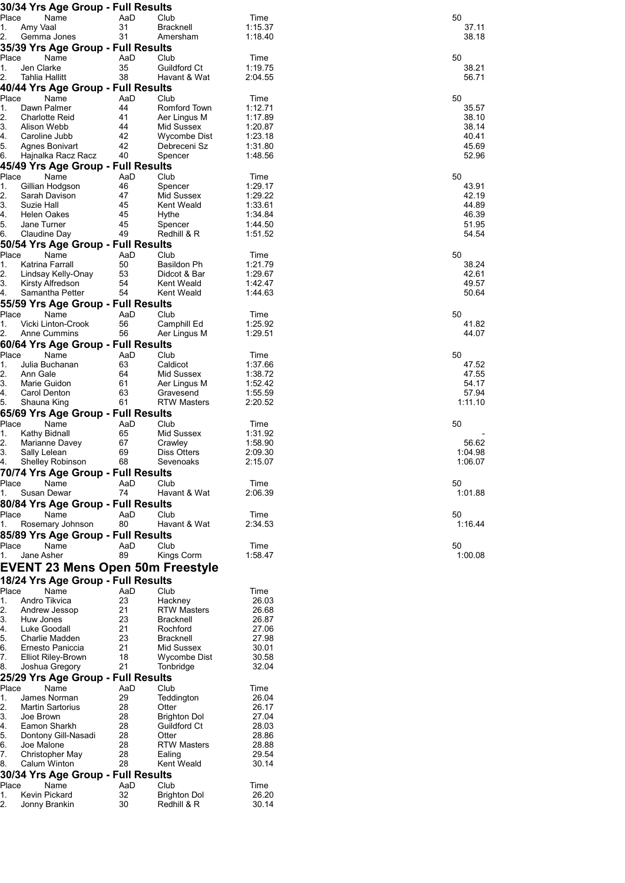| 30/34 Yrs Age Group - Full Results                                                                                                                                                                                                                                                                                                                                                                                                                                                                                                               |           |                                    |                    |                  |
|--------------------------------------------------------------------------------------------------------------------------------------------------------------------------------------------------------------------------------------------------------------------------------------------------------------------------------------------------------------------------------------------------------------------------------------------------------------------------------------------------------------------------------------------------|-----------|------------------------------------|--------------------|------------------|
| Place<br>Name<br>Amy Vaal<br>1.                                                                                                                                                                                                                                                                                                                                                                                                                                                                                                                  | AaD<br>31 | Club<br><b>Bracknell</b>           | Time<br>1:15.37    | 50<br>37.11      |
| 2.<br>Gemma Jones                                                                                                                                                                                                                                                                                                                                                                                                                                                                                                                                | 31        | Amersham                           | 1:18.40            | 38.18            |
| 35/39 Yrs Age Group - Full Results                                                                                                                                                                                                                                                                                                                                                                                                                                                                                                               |           |                                    |                    |                  |
| Place<br>Name                                                                                                                                                                                                                                                                                                                                                                                                                                                                                                                                    | AaD       | Club                               | Time               | 50               |
| 1.<br>Jen Clarke                                                                                                                                                                                                                                                                                                                                                                                                                                                                                                                                 | 35        | <b>Guildford Ct</b>                | 1:19.75            | 38.21            |
| 2.<br>Tahlia Hallitt                                                                                                                                                                                                                                                                                                                                                                                                                                                                                                                             | 38        | Havant & Wat                       | 2:04.55            | 56.71            |
| 40/44 Yrs Age Group - Full Results                                                                                                                                                                                                                                                                                                                                                                                                                                                                                                               |           |                                    |                    |                  |
| Place<br>Name<br>Dawn Palmer                                                                                                                                                                                                                                                                                                                                                                                                                                                                                                                     | AaD<br>44 | Club                               | Time               | 50               |
| 1.<br>2.<br><b>Charlotte Reid</b>                                                                                                                                                                                                                                                                                                                                                                                                                                                                                                                | 41        | Romford Town<br>Aer Lingus M       | 1:12.71<br>1:17.89 | 35.57<br>38.10   |
| 3.<br>Alison Webb                                                                                                                                                                                                                                                                                                                                                                                                                                                                                                                                | 44        | Mid Sussex                         | 1:20.87            | 38.14            |
| 4.<br>Caroline Jubb                                                                                                                                                                                                                                                                                                                                                                                                                                                                                                                              | 42        | Wycombe Dist                       | 1:23.18            | 40.41            |
| 5.<br>Agnes Bonivart                                                                                                                                                                                                                                                                                                                                                                                                                                                                                                                             | 42        | Debreceni Sz                       | 1:31.80            | 45.69            |
| 6.<br>Hajnalka Racz Racz                                                                                                                                                                                                                                                                                                                                                                                                                                                                                                                         | 40        | Spencer                            | 1:48.56            | 52.96            |
| 45/49 Yrs Age Group - Full Results                                                                                                                                                                                                                                                                                                                                                                                                                                                                                                               |           |                                    |                    |                  |
| Place<br>Name                                                                                                                                                                                                                                                                                                                                                                                                                                                                                                                                    | AaD       | Club                               | Time               | 50               |
| 1.<br>Gillian Hodgson                                                                                                                                                                                                                                                                                                                                                                                                                                                                                                                            | 46        | Spencer                            | 1:29.17            | 43.91            |
| 2.<br>Sarah Davison<br>3.<br>Suzie Hall                                                                                                                                                                                                                                                                                                                                                                                                                                                                                                          | 47<br>45  | Mid Sussex<br>Kent Weald           | 1:29.22<br>1:33.61 | 42.19<br>44.89   |
| 4.<br>Helen Oakes                                                                                                                                                                                                                                                                                                                                                                                                                                                                                                                                | 45        | Hythe                              | 1:34.84            | 46.39            |
| 5.<br>Jane Turner                                                                                                                                                                                                                                                                                                                                                                                                                                                                                                                                | 45        | Spencer                            | 1:44.50            | 51.95            |
| 6.<br>Claudine Day                                                                                                                                                                                                                                                                                                                                                                                                                                                                                                                               | 49        | Redhill & R                        | 1:51.52            | 54.54            |
| 50/54 Yrs Age Group - Full Results                                                                                                                                                                                                                                                                                                                                                                                                                                                                                                               |           |                                    |                    |                  |
| Place<br>Name                                                                                                                                                                                                                                                                                                                                                                                                                                                                                                                                    | AaD       | Club                               | Time               | 50               |
| 1.<br>Katrina Farrall                                                                                                                                                                                                                                                                                                                                                                                                                                                                                                                            | 50        | Basildon Ph                        | 1:21.79            | 38.24            |
| 2.<br>Lindsay Kelly-Onay                                                                                                                                                                                                                                                                                                                                                                                                                                                                                                                         | 53        | Didcot & Bar                       | 1:29.67            | 42.61            |
| 3.<br>Kirsty Alfredson<br>4.<br>Samantha Petter                                                                                                                                                                                                                                                                                                                                                                                                                                                                                                  | 54<br>54  | Kent Weald<br>Kent Weald           | 1:42.47<br>1:44.63 | 49.57<br>50.64   |
| 55/59 Yrs Age Group - Full Results                                                                                                                                                                                                                                                                                                                                                                                                                                                                                                               |           |                                    |                    |                  |
| Place<br>Name                                                                                                                                                                                                                                                                                                                                                                                                                                                                                                                                    | AaD       | Club                               | Time               | 50               |
| 1.<br>Vicki Linton-Crook                                                                                                                                                                                                                                                                                                                                                                                                                                                                                                                         | 56        | Camphill Ed                        | 1:25.92            | 41.82            |
| 2.<br><b>Anne Cummins</b>                                                                                                                                                                                                                                                                                                                                                                                                                                                                                                                        | 56        | Aer Lingus M                       | 1:29.51            | 44.07            |
| 60/64 Yrs Age Group - Full Results                                                                                                                                                                                                                                                                                                                                                                                                                                                                                                               |           |                                    |                    |                  |
| Place<br>Name                                                                                                                                                                                                                                                                                                                                                                                                                                                                                                                                    | AaD       | Club                               | Time               | 50               |
| 1.<br>Julia Buchanan                                                                                                                                                                                                                                                                                                                                                                                                                                                                                                                             | 63        | Caldicot                           | 1:37.66            | 47.52            |
| 2.<br>Ann Gale                                                                                                                                                                                                                                                                                                                                                                                                                                                                                                                                   | 64        | Mid Sussex                         | 1:38.72            | 47.55            |
| 3.<br>Marie Guidon                                                                                                                                                                                                                                                                                                                                                                                                                                                                                                                               | 61        | Aer Lingus M                       | 1:52.42            | 54.17            |
| 4.<br>Carol Denton<br>5.<br>Shauna King                                                                                                                                                                                                                                                                                                                                                                                                                                                                                                          | 63<br>61  | Gravesend<br><b>RTW Masters</b>    | 1:55.59<br>2:20.52 | 57.94<br>1:11.10 |
|                                                                                                                                                                                                                                                                                                                                                                                                                                                                                                                                                  |           |                                    |                    |                  |
|                                                                                                                                                                                                                                                                                                                                                                                                                                                                                                                                                  |           |                                    |                    |                  |
|                                                                                                                                                                                                                                                                                                                                                                                                                                                                                                                                                  |           |                                    |                    |                  |
| Name<br>Kathy Bidnall                                                                                                                                                                                                                                                                                                                                                                                                                                                                                                                            | AaD<br>65 | Club<br>Mid Sussex                 | Time<br>1:31.92    | 50               |
| Marianne Davey                                                                                                                                                                                                                                                                                                                                                                                                                                                                                                                                   | 67        | Crawley                            | 1:58.90            | 56.62            |
| Sally Lelean                                                                                                                                                                                                                                                                                                                                                                                                                                                                                                                                     | 69        | Diss Otters                        | 2:09.30            | 1:04.98          |
| Shelley Robinson                                                                                                                                                                                                                                                                                                                                                                                                                                                                                                                                 | 68        | Sevenoaks                          | 2:15.07            | 1:06.07          |
|                                                                                                                                                                                                                                                                                                                                                                                                                                                                                                                                                  |           |                                    |                    |                  |
| Name                                                                                                                                                                                                                                                                                                                                                                                                                                                                                                                                             | AaD       | Club                               | Time               | 50               |
| Susan Dewar                                                                                                                                                                                                                                                                                                                                                                                                                                                                                                                                      | 74        | Havant & Wat                       | 2:06.39            | 1:01.88          |
|                                                                                                                                                                                                                                                                                                                                                                                                                                                                                                                                                  |           |                                    |                    |                  |
| Name                                                                                                                                                                                                                                                                                                                                                                                                                                                                                                                                             | AaD       | Club                               | Time               | 50               |
| Rosemary Johnson                                                                                                                                                                                                                                                                                                                                                                                                                                                                                                                                 | 80        | Havant & Wat                       | 2:34.53            | 1:16.44          |
|                                                                                                                                                                                                                                                                                                                                                                                                                                                                                                                                                  |           |                                    |                    |                  |
| Name<br>Jane Asher                                                                                                                                                                                                                                                                                                                                                                                                                                                                                                                               | AaD<br>89 | Club                               | Time<br>1:58.47    | 50<br>1:00.08    |
|                                                                                                                                                                                                                                                                                                                                                                                                                                                                                                                                                  |           | Kings Corm                         |                    |                  |
|                                                                                                                                                                                                                                                                                                                                                                                                                                                                                                                                                  |           |                                    |                    |                  |
|                                                                                                                                                                                                                                                                                                                                                                                                                                                                                                                                                  |           |                                    |                    |                  |
| Name                                                                                                                                                                                                                                                                                                                                                                                                                                                                                                                                             | AaD       | Club                               | Time               |                  |
| Andro Tikvica                                                                                                                                                                                                                                                                                                                                                                                                                                                                                                                                    | 23        | Hackney                            | 26.03              |                  |
| Andrew Jessop<br>Huw Jones                                                                                                                                                                                                                                                                                                                                                                                                                                                                                                                       | 21<br>23  | <b>RTW Masters</b><br>Bracknell    | 26.68<br>26.87     |                  |
| Luke Goodall                                                                                                                                                                                                                                                                                                                                                                                                                                                                                                                                     | 21        | Rochford                           | 27.06              |                  |
| Charlie Madden                                                                                                                                                                                                                                                                                                                                                                                                                                                                                                                                   | 23        | <b>Bracknell</b>                   | 27.98              |                  |
| Ernesto Paniccia                                                                                                                                                                                                                                                                                                                                                                                                                                                                                                                                 | 21        | Mid Sussex                         | 30.01              |                  |
| <b>Elliot Riley-Brown</b>                                                                                                                                                                                                                                                                                                                                                                                                                                                                                                                        | 18        | Wycombe Dist                       | 30.58              |                  |
| Joshua Gregory                                                                                                                                                                                                                                                                                                                                                                                                                                                                                                                                   | 21        | Tonbridge                          | 32.04              |                  |
|                                                                                                                                                                                                                                                                                                                                                                                                                                                                                                                                                  |           |                                    |                    |                  |
| Name                                                                                                                                                                                                                                                                                                                                                                                                                                                                                                                                             | AaD       | Club                               | Time               |                  |
| James Norman<br><b>Martin Sartorius</b>                                                                                                                                                                                                                                                                                                                                                                                                                                                                                                          | 29<br>28  | Teddington<br>Otter                | 26.04              |                  |
| Joe Brown                                                                                                                                                                                                                                                                                                                                                                                                                                                                                                                                        | 28        | <b>Brighton Dol</b>                | 26.17<br>27.04     |                  |
| Eamon Sharkh                                                                                                                                                                                                                                                                                                                                                                                                                                                                                                                                     | 28        | Guildford Ct                       | 28.03              |                  |
| Dontony Gill-Nasadi                                                                                                                                                                                                                                                                                                                                                                                                                                                                                                                              | 28        | Otter                              | 28.86              |                  |
| Joe Malone                                                                                                                                                                                                                                                                                                                                                                                                                                                                                                                                       | 28        | <b>RTW Masters</b>                 | 28.88              |                  |
| Christopher May                                                                                                                                                                                                                                                                                                                                                                                                                                                                                                                                  | 28        | Ealing                             | 29.54              |                  |
| Calum Winton                                                                                                                                                                                                                                                                                                                                                                                                                                                                                                                                     | 28        | Kent Weald                         | 30.14              |                  |
|                                                                                                                                                                                                                                                                                                                                                                                                                                                                                                                                                  |           |                                    |                    |                  |
| Name<br>Kevin Pickard                                                                                                                                                                                                                                                                                                                                                                                                                                                                                                                            | AaD<br>32 | Club                               | Time<br>26.20      |                  |
| 65/69 Yrs Age Group - Full Results<br>Place<br>1.<br>2.<br>3.<br>4.<br>70/74 Yrs Age Group - Full Results<br>Place<br>1.<br>80/84 Yrs Age Group - Full Results<br>Place<br>1.<br>85/89 Yrs Age Group - Full Results<br>Place<br>1.<br>EVENT 23 Mens Open 50m Freestyle<br>18/24 Yrs Age Group - Full Results<br>Place<br>1.<br>2.<br>3.<br>4.<br>5.<br>6.<br>7.<br>8.<br>25/29 Yrs Age Group - Full Results<br>Place<br>1.<br>2.<br>3.<br>4.<br>5.<br>6.<br>7.<br>8.<br>30/34 Yrs Age Group - Full Results<br>Place<br>1.<br>2.<br>Jonny Brankin | 30        | <b>Brighton Dol</b><br>Redhill & R | 30.14              |                  |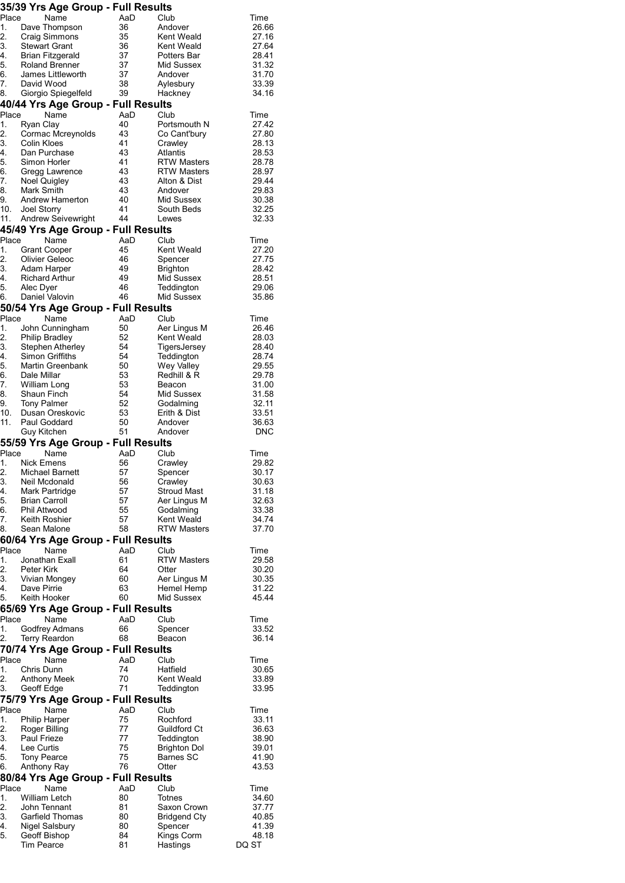|            | 35/39 Yrs Age Group - Full Results         |          |                                    |                |
|------------|--------------------------------------------|----------|------------------------------------|----------------|
| Place      | Name                                       | AaD      | Club                               | Time           |
| 1.         | Dave Thompson                              | 36       | Andover                            | 26.66          |
| 2.         | <b>Craig Simmons</b>                       | 35       | Kent Weald                         | 27.16          |
| 3.         | <b>Stewart Grant</b>                       | 36       | Kent Weald                         | 27.64          |
| 4.<br>5.   | Brian Fitzgerald<br><b>Roland Brenner</b>  | 37<br>37 | Potters Bar<br>Mid Sussex          | 28.41<br>31.32 |
| 6.         | James Littleworth                          | 37       | Andover                            | 31.70          |
| 7.         | David Wood                                 | 38       | Aylesbury                          | 33.39          |
| 8.         | Giorgio Spiegelfeld                        | 39       | Hackney                            | 34.16          |
|            | 40/44 Yrs Age Group - Full Results         |          |                                    |                |
| Place      | Name                                       | AaD      | Club                               | Time           |
| 1.         | Ryan Clay                                  | 40       | Portsmouth N                       | 27.42          |
| 2.         | Cormac Mcreynolds                          | 43       | Co Cant'bury                       | 27.80          |
| 3.         | Colin Kloes                                | 41       | Crawley                            | 28.13          |
| 4.         | Dan Purchase                               | 43       | Atlantis                           | 28.53          |
| 5.         | Simon Horler                               | 41       | <b>RTW Masters</b>                 | 28.78          |
| 6.<br>7.   | Gregg Lawrence<br>Noel Quigley             | 43<br>43 | <b>RTW Masters</b><br>Alton & Dist | 28.97<br>29.44 |
| 8.         | Mark Smith                                 | 43       | Andover                            | 29.83          |
| 9.         | Andrew Hamerton                            | 40       | Mid Sussex                         | 30.38          |
| 10.        | <b>Joel Storry</b>                         | 41       | South Beds                         | 32.25          |
| 11.        | <b>Andrew Seivewright</b>                  | 44       | Lewes                              | 32.33          |
|            | 45/49 Yrs Age Group - Full Results         |          |                                    |                |
| Place      | Name                                       | AaD      | Club                               | Time           |
| 1.         | <b>Grant Cooper</b>                        | 45       | Kent Weald                         | 27.20          |
| 2.         | Olivier Geleoc                             | 46       | Spencer                            | 27.75          |
| 3.         | Adam Harper                                | 49       | <b>Brighton</b>                    | 28.42          |
| 4.         | <b>Richard Arthur</b>                      | 49       | Mid Sussex                         | 28.51          |
| 5.<br>6.   | Alec Dyer<br>Daniel Valovin                | 46<br>46 | Teddington<br>Mid Sussex           | 29.06<br>35.86 |
|            |                                            |          |                                    |                |
| Place      | 50/54 Yrs Age Group - Full Results<br>Name | AaD      |                                    | Time           |
| 1.         | John Cunningham                            | 50       | Club<br>Aer Lingus M               | 26.46          |
| 2.         | <b>Philip Bradley</b>                      | 52       | Kent Weald                         | 28.03          |
| 3.         | Stephen Atherley                           | 54       | TigersJersey                       | 28.40          |
| 4.         | Simon Griffiths                            | 54       | Teddington                         | 28.74          |
| 5.         | Martin Greenbank                           | 50       | <b>Wey Valley</b>                  | 29.55          |
| 6.         | Dale Millar                                | 53       | Redhill & R                        | 29.78          |
| 7.         | William Long                               | 53       | Beacon                             | 31.00          |
| 8.         | Shaun Finch                                | 54       | Mid Sussex                         | 31.58          |
| 9.         | <b>Tony Palmer</b>                         | 52       | Godalming                          | 32.11          |
| 10.<br>11. | Dusan Oreskovic<br>Paul Goddard            | 53<br>50 | Erith & Dist<br>Andover            | 33.51<br>36.63 |
|            | Guy Kitchen                                | 51       | Andover                            | <b>DNC</b>     |
|            | 55/59 Yrs Age Group - Full Results         |          |                                    |                |
| Place      | Name                                       | AaD      | Club                               | Time           |
| 1.         | <b>Nick Emens</b>                          | 56       | Crawley                            | 29.82          |
| 2.         | Michael Barnett                            | 57       | Spencer                            | 30.17          |
| 3.         | Neil Mcdonald                              | 56       | Crawley                            | 30.63          |
| 4.         | Mark Partridge                             | 57       | <b>Stroud Mast</b>                 | 31.18          |
| 5.         | <b>Brian Carroll</b>                       | 57       | Aer Lingus M                       | 32.63          |
| 6.         | <b>Phil Attwood</b>                        | 55       | Godalming                          | 33.38          |
| 7.<br>8.   | Keith Roshier<br>Sean Malone               | 57<br>58 | Kent Weald<br><b>RTW Masters</b>   | 34.74<br>37.70 |
|            | 60/64 Yrs Age Group - Full Results         |          |                                    |                |
| Place      | Name                                       | AaD      | Club                               | Time           |
| 1.         | Jonathan Exall                             | 61       | <b>RTW Masters</b>                 | 29.58          |
| 2.         | Peter Kirk                                 | 64       | Otter                              | 30.20          |
| 3.         | Vivian Mongey                              | 60       | Aer Lingus M                       | 30.35          |
| 4.         | Dave Pirrie                                | 63       | Hemel Hemp                         | 31.22          |
| 5.         | Keith Hooker                               | 60       | Mid Sussex                         | 45.44          |
|            | 65/69 Yrs Age Group - Full Results         |          |                                    |                |
| Place      | Name                                       | AaD      | Club                               | Time           |
| 1.         | Godfrey Admans                             | 66       | Spencer                            | 33.52          |
| 2.         | <b>Terry Reardon</b>                       | 68       | Beacon                             | 36.14          |
| Place      | 70/74 Yrs Age Group - Full Results<br>Name | AaD      | Club                               |                |
| 1.         | Chris Dunn                                 | 74       | Hatfield                           | Time<br>30.65  |
| 2.         | Anthony Meek                               | 70       | Kent Weald                         | 33.89          |
| 3.         | Geoff Edge                                 | 71       | Teddington                         | 33.95          |
|            | 75/79 Yrs Age Group - Full Results         |          |                                    |                |
| Place      | Name                                       | AaD      | Club                               | Time           |
| 1.         | <b>Philip Harper</b>                       | 75       | Rochford                           | 33.11          |
| 2.         | Roger Billing                              | 77       | Guildford Ct                       | 36.63          |
| 3.         | Paul Frieze                                | 77       | Teddington                         | 38.90          |
| 4.         | Lee Curtis                                 | 75       | <b>Brighton Dol</b>                | 39.01          |
| 5.         | <b>Tony Pearce</b>                         | 75       | Barnes SC                          | 41.90          |
| 6.         | Anthony Ray                                | 76       | Otter                              | 43.53          |
| Place      | 80/84 Yrs Age Group - Full Results<br>Name | AaD      | Club                               |                |
| 1.         | William Letch                              | 80       | Totnes                             | Time<br>34.60  |
| 2.         | John Tennant                               | 81       | Saxon Crown                        | 37.77          |
| 3.         | Garfield Thomas                            | 80       | <b>Bridgend Cty</b>                | 40.85          |
| 4.         | <b>Nigel Salsbury</b>                      | 80       | Spencer                            | 41.39          |
| 5.         | Geoff Bishop                               | 84       | Kings Corm                         | 48.18          |
|            | <b>Tim Pearce</b>                          | 81       | Hastings                           | DQ ST          |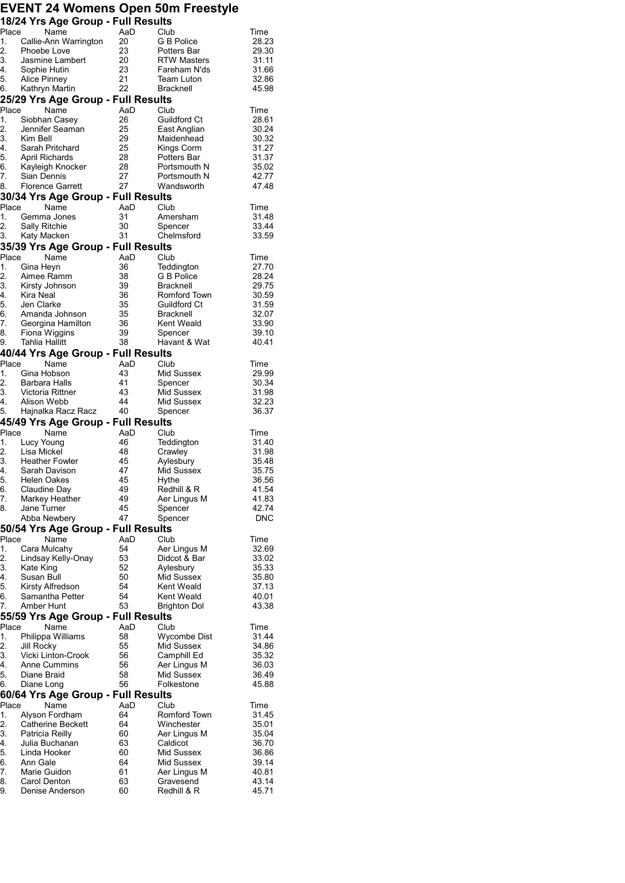## **EVENT 24 Womens Open 50m Freestyle 18/24 Yrs Age Group - Full Results**

|                                                 | <b>POIL TO Age Order - I am Results</b><br>Place<br>Name                                  | AaD                                     | Club                                     | Time           |
|-------------------------------------------------|-------------------------------------------------------------------------------------------|-----------------------------------------|------------------------------------------|----------------|
|                                                 | 1. Callie-Ann Warrington                                                                  | 20                                      | G B Police                               | 28.23          |
|                                                 | 2. Phoebe Lov <mark>e</mark><br>3. Jasmine Lam                                            | 23                                      | Potters Bar                              | 29.30          |
|                                                 | Jasmine Lambert                                                                           | 20                                      | RTW Masters                              | 31.11          |
| 4.                                              | Sophie Hutin                                                                              | $\begin{array}{c} 23 \\ 21 \end{array}$ | Fareham N'ds                             | 31.66          |
| 5.<br>6.                                        | Alice Pinney<br>Kathryn Martin                                                            | 22                                      | <b>Team Luton</b><br><b>Bracknell</b>    | 32.86<br>45.98 |
|                                                 | 25/29 Yrs Age Group - Full Results                                                        |                                         |                                          |                |
| Place                                           | Name                                                                                      | AaD                                     | Club                                     | Time           |
| 1.                                              | Siobhan Casey                                                                             | 26                                      | Guildford Ct                             | 28.61          |
| 2.                                              | Jennifer Seaman                                                                           | 25                                      | East Anglian                             | 30.24          |
|                                                 | 3. Kim Bel <mark>l</mark><br>4. Sarah Pr                                                  | 29                                      | Maidenhead                               | 30.32          |
|                                                 | Sarah Pritchard                                                                           | 25                                      | Kings Corm                               | 31.27          |
| 5.                                              | -<br>April Richards<br>Kayleigh Knocker                                                   | 28                                      | Potters Bar                              | 31.37          |
| 6.<br>7.                                        | Sian Dennis                                                                               | 28<br>27                                | Portsmouth N<br>Portsmouth N             | 35.02<br>42.77 |
| 8.                                              | Florence Garrett                                                                          | 27                                      | Wandsworth                               | 47.48          |
|                                                 | 30/34 Yrs Age Group - Full Results                                                        |                                         |                                          |                |
|                                                 | Place<br>Name                                                                             | AaD                                     | Club                                     | Time           |
| 1.                                              | Gemma Jones                                                                               | 31                                      | Amersham                                 | 31.48          |
| 2.                                              | Sally Ritchie                                                                             | 30                                      | Spencer                                  | 33.44          |
|                                                 | 3. Katy Macken                                                                            | 31                                      | Chelmsford                               | 33.59          |
|                                                 | 35/39 Yrs Age Group - Full Results                                                        |                                         |                                          |                |
| Place                                           | Name                                                                                      | AaD                                     | Club                                     | Time           |
|                                                 | 1. Gina Heyn                                                                              | 36<br>38                                | Teddington<br>G B Police                 | 27.70<br>28.24 |
|                                                 |                                                                                           | 39                                      | Bracknell                                | 29.75          |
|                                                 | 2. Aimee Ramm<br>3. Kirsty Johnson<br>4. Kira Neal<br>5. Jen Clarke                       | 36                                      | Romford Town                             | 30.59          |
|                                                 |                                                                                           | 35                                      | <b>Guildford Ct</b>                      | 31.59          |
|                                                 |                                                                                           | $\frac{35}{3}$                          | Bracknell                                | 32.07          |
|                                                 | 5. Jeri Grame<br>6. Amanda Johnson<br>7. Georgina Hamilton<br>Eliste Wiggins              | 36                                      | Kent Weald                               | 33.90          |
|                                                 | Fiona Wiggins                                                                             | 39                                      | Spencer                                  | 39.10          |
| 9.                                              | Tahlia Hallitt                                                                            | 38                                      | Havant & Wat                             | 40.41          |
| Place                                           | 40/44 Yrs Age Group - Full Results<br>Name                                                |                                         |                                          |                |
| 1.                                              | Gina Hobson                                                                               | AaD<br>43                               | Club<br>Mid Sussex                       | Time<br>29.99  |
|                                                 |                                                                                           | -41                                     | Spencer                                  | 30.34          |
|                                                 | 2. Barbara Halls<br>3. Victoria Rittner                                                   | - 43                                    | Mid Sussex                               | 31.98          |
| 4.                                              | Alison Webb                                                                               | 44                                      | Mid Sussex                               | 32.23          |
| 5.                                              | Hajnalka Racz Racz 40                                                                     |                                         | Spencer                                  | 36.37          |
|                                                 | 45/49 Yrs Age Group - Full Results                                                        |                                         |                                          |                |
| Place                                           | Name                                                                                      | AaD                                     | Club                                     | Time           |
|                                                 | 1. Lucy Young                                                                             | 46<br>48                                | Teddington                               | 31.40          |
|                                                 |                                                                                           | 45                                      | Crawley<br>Aylesbury                     | 31.98<br>35.48 |
|                                                 |                                                                                           |                                         | Mid Sussex                               |                |
|                                                 |                                                                                           |                                         |                                          |                |
|                                                 |                                                                                           | 47<br>45                                | Hythe                                    | 35.75<br>36.56 |
|                                                 | 2. Lisa Mickel<br>3. Heather Fowler<br>4. Sarah Davison<br>5. Helen Oakes<br>Claudine Day | 49                                      | Redhill & R                              | 41.54          |
|                                                 | Markey Heather                                                                            | 49                                      | Aer Lingus M                             | 41.83          |
|                                                 | Jane Turner                                                                               | 45                                      | Spencer                                  | 42.74          |
| 6.<br>7.<br>8.                                  | Abba Newbery                                                                              | 47                                      | Spencer                                  | DNC            |
|                                                 | 50/54 Yrs Age Group - Full Results                                                        |                                         |                                          |                |
|                                                 | Name                                                                                      | AaD                                     | Club                                     | Time           |
|                                                 | Cara Mulcahy                                                                              | 54                                      | Aer Lingus M                             | 32.69          |
|                                                 | Lindsay Kelly-Onay<br>Kate King                                                           | 53                                      | Didcot & Bar                             | 33.02          |
|                                                 | Susan Bull                                                                                | 52<br>50                                | Aylesbury<br>Mid Sussex                  | 35.33<br>35.80 |
|                                                 | Kirsty Alfredson                                                                          | 54                                      | Kent Weald                               | 37.13          |
|                                                 | Samantha Petter                                                                           | 54                                      | Kent Weald                               | 40.01          |
| Place<br>1.<br>2.<br>3.<br>4.<br>5.<br>6.<br>7. | Amber Hunt                                                                                | 53                                      | Brighton Dol                             | 43.38          |
|                                                 | 55/59 Yrs Age Group - Full Results                                                        |                                         |                                          |                |
| Place                                           | Name                                                                                      | AaD                                     | Club                                     | Time           |
| 1.                                              | Philippa Williams                                                                         | 58                                      | Wycombe Dist                             | 31.44          |
| 2.                                              | Jill Rocky                                                                                | 55                                      | Mid Sussex                               | 34.86          |
| 3.<br>4.                                        | Vicki Linton-Crook<br>Anne Cummins                                                        | 56<br>56                                | Camphill Ed                              | 35.32          |
| 5.                                              | Diane Braid                                                                               | 58                                      | Aer Lingus M<br>Mid Sussex               | 36.03<br>36.49 |
| 6.                                              | Diane Long                                                                                | 56                                      | Folkestone                               | 45.88          |
|                                                 | 60/64 Yrs Age Group - Full Results                                                        |                                         |                                          |                |
| Place                                           | Name                                                                                      | AaD                                     | Club                                     | Time           |
| 1.                                              | Alyson Fordham                                                                            | 64                                      | Romford Town                             | 31.45          |
| 2.                                              | Catherine Beckett                                                                         | 64                                      | Winchester                               | 35.01          |
| 3.                                              | Patricia Reilly                                                                           | 60                                      | Aer Lingus M                             | 35.04          |
| 4.                                              | Julia Buchanan                                                                            | 63                                      | Caldicot                                 | 36.70          |
| 5.                                              | Linda Hooker                                                                              | 60                                      | Mid Sussex                               | 36.86          |
| 6.<br>7.                                        | Ann Gale<br>Marie Guidon                                                                  | 64<br>61                                | Mid Sussex                               | 39.14<br>40.81 |
| 8.                                              | Carol Denton                                                                              | 63                                      | Aer Lingus M<br>Gravesend<br>Redhill & R | 43.14          |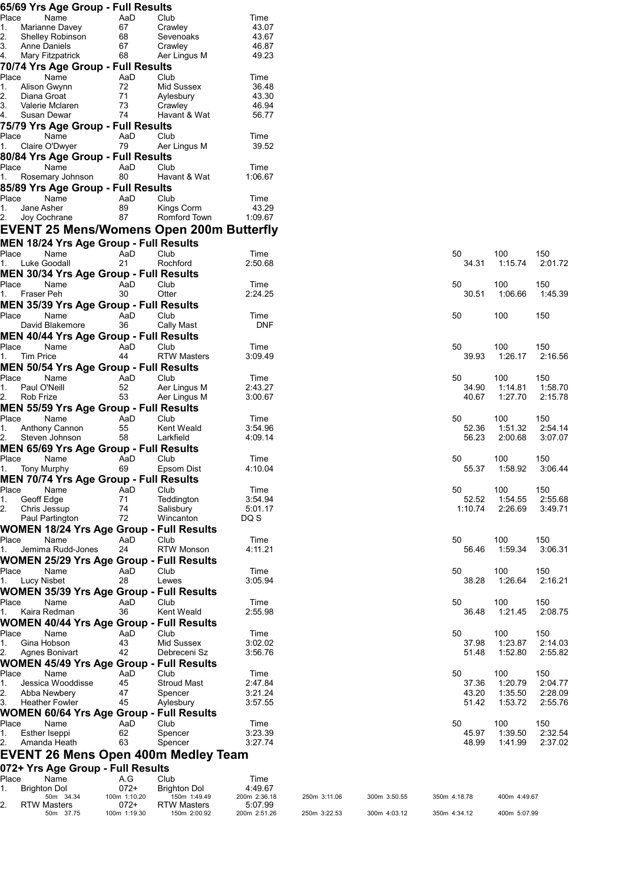|             |                                           | 65/69 Yrs Age Group - Full Results            |        |                                                 |                         |              |              |                |                    |                    |
|-------------|-------------------------------------------|-----------------------------------------------|--------|-------------------------------------------------|-------------------------|--------------|--------------|----------------|--------------------|--------------------|
| Place       | Name                                      | AaD                                           |        | Club                                            | Time                    |              |              |                |                    |                    |
| 1.<br>2.    | Marianne Davey<br><b>Shelley Robinson</b> | 67<br>68                                      |        | Crawley<br>Sevenoaks                            | 43.07<br>43.67          |              |              |                |                    |                    |
| 3.          | Anne Daniels                              | 67                                            |        | Crawley                                         | 46.87                   |              |              |                |                    |                    |
| 4.          | Mary Fitzpatrick                          | 68                                            |        | Aer Lingus M                                    | 49.23                   |              |              |                |                    |                    |
|             |                                           | 70/74 Yrs Age Group - Full Results            |        |                                                 |                         |              |              |                |                    |                    |
| Place       | Name                                      | AaD                                           |        | Club                                            | Time                    |              |              |                |                    |                    |
| 1.<br>2.    | Alison Gwynn<br>Diana Groat               | 72<br>71                                      |        | Mid Sussex                                      | 36.48<br>43.30          |              |              |                |                    |                    |
| 3.          | Valerie Mclaren                           | 73                                            |        | Aylesbury<br>Crawley                            | 46.94                   |              |              |                |                    |                    |
| 4.          | Susan Dewar                               | 74                                            |        | Havant & Wat                                    | 56.77                   |              |              |                |                    |                    |
|             |                                           | 75/79 Yrs Age Group - Full Results            |        |                                                 |                         |              |              |                |                    |                    |
| Place       | Name                                      | AaD                                           |        | Club                                            | Time                    |              |              |                |                    |                    |
| 1.          | Claire O'Dwyer                            | 79                                            |        | Aer Lingus M                                    | 39.52                   |              |              |                |                    |                    |
|             |                                           | 80/84 Yrs Age Group - Full Results            |        |                                                 |                         |              |              |                |                    |                    |
| Place       | Name                                      | AaD                                           |        | Club                                            | Time                    |              |              |                |                    |                    |
| 1.          | Rosemary Johnson                          | 80                                            |        | Havant & Wat                                    | 1:06.67                 |              |              |                |                    |                    |
| Place       | Name                                      | 85/89 Yrs Age Group - Full Results<br>AaD     |        | Club                                            | Time                    |              |              |                |                    |                    |
| 1.          | Jane Asher                                | 89                                            |        | Kings Corm                                      | 43.29                   |              |              |                |                    |                    |
| 2.          | Joy Cochrane                              | 87                                            |        | Romford Town                                    | 1:09.67                 |              |              |                |                    |                    |
|             |                                           |                                               |        | EVENT 25 Mens/Womens Open 200m Butterfly        |                         |              |              |                |                    |                    |
|             |                                           | MEN 18/24 Yrs Age Group - Full Results        |        |                                                 |                         |              |              |                |                    |                    |
| Place       | Name                                      | AaD                                           |        | Club                                            | Time                    |              |              | 50             | 100                | 150                |
| 1.          | Luke Goodall                              | 21                                            |        | Rochford                                        | 2:50.68                 |              |              | 34.31          | 1:15.74            | 2:01.72            |
|             |                                           | <b>MEN 30/34 Yrs Age Group - Full Results</b> |        |                                                 |                         |              |              |                |                    |                    |
| Place       | Name                                      | AaD                                           |        | Club                                            | Time                    |              |              | 50             | 100                | 150                |
| 1.          | Fraser Peh                                | 30                                            |        | Otter                                           | 2:24.25                 |              |              | 30.51          | 1:06.66            | 1:45.39            |
|             |                                           | MEN 35/39 Yrs Age Group - Full Results        |        |                                                 |                         |              |              |                |                    |                    |
| Place       | Name<br>David Blakemore                   | AaD<br>36                                     |        | Club<br>Cally Mast                              | Time<br><b>DNF</b>      |              |              | 50             | 100                | 150                |
|             |                                           | <b>MEN 40/44 Yrs Age Group - Full Results</b> |        |                                                 |                         |              |              |                |                    |                    |
| Place       | Name                                      | AaD                                           |        | Club                                            | Time                    |              |              | 50             | 100                | 150                |
| 1.          | <b>Tim Price</b>                          | 44                                            |        | <b>RTW Masters</b>                              | 3:09.49                 |              |              | 39.93          | 1:26.17            | 2:16.56            |
|             |                                           | <b>MEN 50/54 Yrs Age Group - Full Results</b> |        |                                                 |                         |              |              |                |                    |                    |
| Place       | Name                                      | AaD                                           |        | Club                                            | Time                    |              |              | 50             | 100                | 150                |
| 1.          | Paul O'Neill                              | 52                                            |        | Aer Lingus M                                    | 2:43.27                 |              |              | 34.90          | 1:14.81            | 1:58.70            |
| 2.          | Rob Frize                                 | 53                                            |        | Aer Lingus M                                    | 3:00.67                 |              |              | 40.67          | 1:27.70            | 2:15.78            |
| Place       | Name                                      | MEN 55/59 Yrs Age Group - Full Results<br>AaD |        |                                                 | Time                    |              |              | 50             | 100                |                    |
| 1.          | Anthony Cannon                            | 55                                            |        | Club<br>Kent Weald                              | 3:54.96                 |              |              | 52.36          | 1:51.32            | 150<br>2:54.14     |
| 2.          | Steven Johnson                            | 58                                            |        | Larkfield                                       | 4:09.14                 |              |              | 56.23          | 2:00.68            | 3:07.07            |
|             |                                           | <b>MEN 65/69 Yrs Age Group - Full Results</b> |        |                                                 |                         |              |              |                |                    |                    |
| Place       | Name                                      | AaD                                           |        | Club                                            | Time                    |              |              | 50             | 100                | 150                |
| п.          | Tony Murphy                               | 69                                            |        | Epsom Dist                                      | 4:10.04                 |              |              | 55.37          | 1:58.92            | 3:06.44            |
|             |                                           | MEN 70/74 Yrs Age Group - Full Results        |        |                                                 |                         |              |              |                |                    |                    |
| Place<br>1. | Name<br>Geoff Edge                        | AaD<br>71                                     |        | Club<br>Teddington                              | Time<br>3:54.94         |              |              | 50<br>52.52    | 100<br>1:54.55     | 150<br>2:55.68     |
| 2.          | Chris Jessup                              | 74                                            |        | Salisbury                                       | 5:01.17                 |              |              | 1:10.74        | 2:26.69            | 3:49.71            |
|             | Paul Partington                           | 72                                            |        | Wincanton                                       | DQ S                    |              |              |                |                    |                    |
|             |                                           |                                               |        | <b>WOMEN 18/24 Yrs Age Group - Full Results</b> |                         |              |              |                |                    |                    |
| Place       | Name                                      | AaD                                           |        | Club                                            | Time                    |              |              | 50             | 100                | 150                |
| 1.          | Jemima Rudd-Jones                         | 24                                            |        | <b>RTW Monson</b>                               | 4:11.21                 |              |              | 56.46          | 1:59.34            | 3:06.31            |
|             |                                           |                                               |        | <b>WOMEN 25/29 Yrs Age Group - Full Results</b> |                         |              |              |                |                    |                    |
| Place       | Name                                      | AaD                                           |        | Club                                            | Time                    |              |              | 50             | 100                | 150                |
| 1.          | Lucy Nisbet                               | 28                                            |        | Lewes                                           | 3:05.94                 |              |              | 38.28          | 1:26.64            | 2:16.21            |
|             |                                           |                                               |        | <b>WOMEN 35/39 Yrs Age Group - Full Results</b> |                         |              |              |                |                    |                    |
| Place<br>1. | Name<br>Kaira Redman                      | AaD<br>36                                     |        | Club<br>Kent Weald                              | Time<br>2:55.98         |              |              | 50<br>36.48    | 100<br>1:21.45     | 150<br>2:08.75     |
|             |                                           |                                               |        | <b>WOMEN 40/44 Yrs Age Group - Full Results</b> |                         |              |              |                |                    |                    |
| Place       | Name                                      | AaD                                           |        | Club                                            | Time                    |              |              | 50             | 100                | 150                |
| 1.          | Gina Hobson                               | 43                                            |        | Mid Sussex                                      | 3:02.02                 |              |              | 37.98          | 1:23.87            | 2:14.03            |
| 2.          | Agnes Bonivart                            | 42                                            |        | Debreceni Sz                                    | 3:56.76                 |              |              | 51.48          | 1:52.80            | 2:55.82            |
|             |                                           |                                               |        | <b>WOMEN 45/49 Yrs Age Group - Full Results</b> |                         |              |              |                |                    |                    |
| Place       | Name                                      | AaD                                           |        | Club                                            | Time                    |              |              | 50             | 100                | 150                |
| 1.          | Jessica Wooddisse                         | 45                                            |        | <b>Stroud Mast</b>                              | 2:47.84                 |              |              | 37.36          | 1:20.79            | 2:04.77            |
| 2.<br>3.    | Abba Newbery<br><b>Heather Fowler</b>     | 47<br>45                                      |        | Spencer<br>Aylesbury                            | 3:21.24<br>3:57.55      |              |              | 43.20<br>51.42 | 1:35.50<br>1:53.72 | 2:28.09<br>2:55.76 |
|             |                                           |                                               |        | <b>WOMEN 60/64 Yrs Age Group - Full Results</b> |                         |              |              |                |                    |                    |
| Place       | Name                                      | AaD                                           |        | Club                                            | Time                    |              |              | 50             | 100                | 150                |
| 1.          | Esther Iseppi                             | 62                                            |        | Spencer                                         | 3:23.39                 |              |              | 45.97          | 1:39.50            | 2:32.54            |
| 2.          | Amanda Heath                              | 63                                            |        | Spencer                                         | 3:27.74                 |              |              | 48.99          | 1:41.99            | 2:37.02            |
|             |                                           |                                               |        | <b>EVENT 26 Mens Open 400m Medley Team</b>      |                         |              |              |                |                    |                    |
|             |                                           | 072+ Yrs Age Group - Full Results             |        |                                                 |                         |              |              |                |                    |                    |
| Place       | Name                                      | A.G                                           |        | Club                                            | Time                    |              |              |                |                    |                    |
| 1.          | <b>Brighton Dol</b>                       |                                               | $072+$ | <b>Brighton Dol</b>                             | 4:49.67                 |              |              |                |                    |                    |
| 2.          | 50m 34.34<br><b>RTW Masters</b>           | 100m 1:10.20                                  | 072+   | 150m 1:49.49<br><b>RTW Masters</b>              | 200m 2:36.18<br>5:07.99 | 250m 3:11.06 | 300m 3:50.55 | 350m 4:18.78   | 400m 4:49.67       |                    |
|             | 50m 37.75                                 | 100m 1:19.30                                  |        | 150m 2:00.92                                    | 200m 2:51.26            | 250m 3:22.53 | 300m 4:03.12 | 350m 4:34.12   | 400m 5:07.99       |                    |

| 50      | 100     | 150     |
|---------|---------|---------|
| 34.31   | 1:15.74 | 2:01.72 |
| 50      | 100     | 150     |
| 30.51   | 1:06.66 | 1:45.39 |
| 50      | 100     | 150     |
| 50      | 100     | 150     |
| 39.93   | 1:26.17 | 2:16.56 |
| 50      | 100     | 150     |
| 34.90   | 1:14.81 | 1:58.70 |
| 40.67   | 1:27.70 | 2:15.78 |
| 50      | 100     | 150     |
| 52.36   | 1:51.32 | 2:54.14 |
| 56.23   | 2:00.68 | 3:07.07 |
| 50      | 100     | 150     |
| 55.37   | 1:58.92 | 3:06.44 |
| 50      | 100     | 150     |
| 52.52   | 1:54.55 | 2:55.68 |
| 1:10.74 | 2:26.69 | 3:49.71 |
|         |         |         |
| 50      | 100     | 150     |
| 56.46   | 1:59.34 | 3:06.31 |
| 50      | 100     | 150     |
| 38.28   | 1:26.64 | 2:16.21 |
| 50      | 100     | 150     |
| 36.48   | 1:21.45 | 2:08.75 |
| 50      | 100     | 150     |
| 37.98   | 1:23.87 | 2:14.03 |
| 51.48   | 1:52.80 | 2:55.82 |
| 50      | 100     | 150     |
| 37.36   | 1:20.79 | 2:04.77 |
| 43.20   | 1:35.50 | 2:28.09 |
| 51.42   | 1:53.72 | 2:55.76 |
| 50      | 100     | 150     |
| 45.97   | 1:39.50 | 2:32.54 |
| 48.99   | 1:41.99 | 2:37.02 |

50m 37.75 100m 1:19.30 150m 2:00.92 200m 2:51.26 250m 3:22.53 300m 4:03.12 350m 4:34.12 400m 5:07.99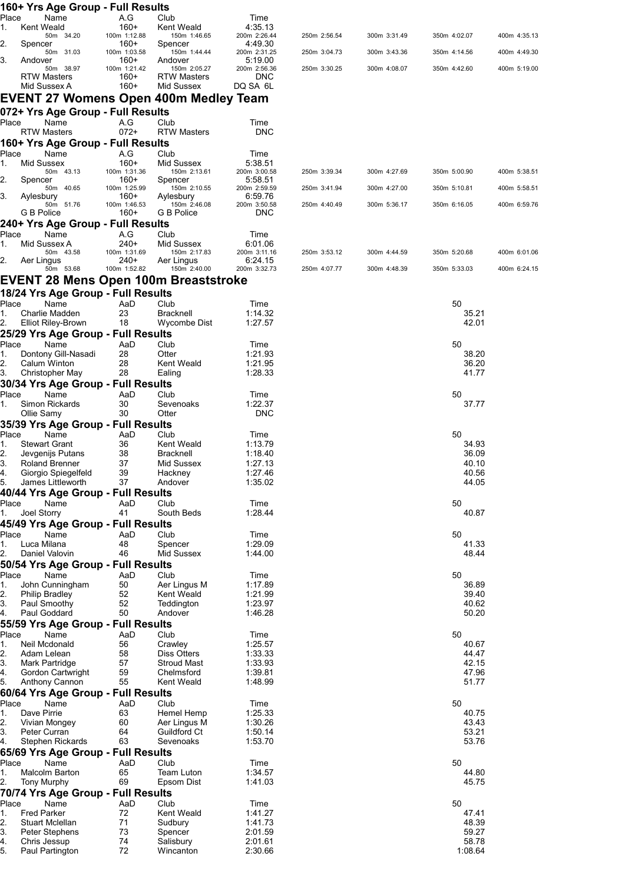|             |                    | 160+ Yrs Age Group - Full Results        |                      |                                         |                         |              |              |                |              |
|-------------|--------------------|------------------------------------------|----------------------|-----------------------------------------|-------------------------|--------------|--------------|----------------|--------------|
| Place       | Kent Weald         | Name                                     | A.G<br>$160+$        | Club                                    | Time                    |              |              |                |              |
| 1.          |                    | 50m 34.20                                | 100m 1:12.88         | Kent Weald<br>150m 1:46.65              | 4:35.13<br>200m 2:26.44 | 250m 2:56.54 | 300m 3:31.49 | 350m 4:02.07   | 400m 4:35.13 |
| 2.          | Spencer            |                                          | $160+$               | Spencer                                 | 4:49.30                 |              |              |                |              |
| 3.          | Andover            | 50m 31.03                                | 100m 1:03.58<br>160+ | 150m 1:44.44<br>Andover                 | 200m 2:31.25<br>5:19.00 | 250m 3:04.73 | 300m 3:43.36 | 350m 4:14.56   | 400m 4:49.30 |
|             |                    | 50m 38.97                                | 100m 1:21.42         | 150m 2:05.27                            | 200m 2:56.36            | 250m 3:30.25 | 300m 4:08.07 | 350m 4:42.60   | 400m 5:19.00 |
|             |                    | <b>RTW Masters</b>                       | 160+                 | <b>RTW Masters</b>                      | <b>DNC</b>              |              |              |                |              |
|             | Mid Sussex A       |                                          | $160+$               | Mid Sussex                              | DQ SA 6L                |              |              |                |              |
|             |                    |                                          |                      | EVENT 27 Womens Open 400m Medley Team   |                         |              |              |                |              |
|             |                    | 072+ Yrs Age Group - Full Results        |                      |                                         |                         |              |              |                |              |
| Place       |                    | Name                                     | A.G                  | Club                                    | Time                    |              |              |                |              |
|             |                    | <b>RTW Masters</b>                       | $072+$               | <b>RTW Masters</b>                      | <b>DNC</b>              |              |              |                |              |
| Place       |                    | 160+ Yrs Age Group - Full Results        |                      |                                         |                         |              |              |                |              |
| 1.          | Mid Sussex         | Name                                     | A.G<br>$160+$        | Club<br>Mid Sussex                      | Time<br>5:38.51         |              |              |                |              |
|             |                    | 50m 43.13                                | 100m 1:31.36         | 150m 2:13.61                            | 200m 3:00.58            | 250m 3:39.34 | 300m 4:27.69 | 350m 5:00.90   | 400m 5:38.51 |
| 2.          | Spencer            |                                          | $160+$               | Spencer                                 | 5:58.51                 |              |              |                |              |
| 3.          | Aylesbury          | 50m 40.65                                | 100m 1:25.99<br>160+ | 150m 2:10.55<br>Aylesbury               | 200m 2:59.59<br>6:59.76 | 250m 3:41.94 | 300m 4:27.00 | 350m 5:10.81   | 400m 5:58.51 |
|             |                    | 50m 51.76                                | 100m 1:46.53         | 150m 2:46.08                            | 200m 3:50.58            | 250m 4:40.49 | 300m 5:36.17 | 350m 6:16.05   | 400m 6:59.76 |
|             | G B Police         |                                          | $160+$               | G B Police                              | <b>DNC</b>              |              |              |                |              |
|             |                    | 240+ Yrs Age Group - Full Results        |                      |                                         |                         |              |              |                |              |
| Place       |                    | Name                                     | A.G                  | Club                                    | Time                    |              |              |                |              |
| 1.          | Mid Sussex A       | 50m 43.58                                | 240+<br>100m 1:31.69 | Mid Sussex<br>150m 2:17.83              | 6:01.06<br>200m 3:11.16 | 250m 3:53.12 | 300m 4:44.59 | 350m 5:20.68   | 400m 6:01.06 |
| 2.          | Aer Lingus         |                                          | $240+$               | Aer Lingus                              | 6:24.15                 |              |              |                |              |
|             |                    | 50m 53.68                                | 100m 1:52.82         | 150m 2:40.00                            | 200m 3:32.73            | 250m 4:07.77 | 300m 4:48.39 | 350m 5:33.03   | 400m 6:24.15 |
|             |                    |                                          |                      | EVENT 28 Mens Open 100m Breaststroke    |                         |              |              |                |              |
|             |                    | 18/24 Yrs Age Group - Full Results       |                      |                                         |                         |              |              |                |              |
| Place       |                    | Name                                     | AaD                  | Club                                    | Time                    |              |              | 50             |              |
| 1.<br>2.    |                    | Charlie Madden<br>Elliot Riley-Brown     | 23<br>18             | <b>Bracknell</b><br><b>Wycombe Dist</b> | 1:14.32<br>1:27.57      |              |              | 35.21<br>42.01 |              |
|             |                    | 25/29 Yrs Age Group - Full Results       |                      |                                         |                         |              |              |                |              |
| Place       |                    | Name                                     | AaD                  | Club                                    | Time                    |              |              | 50             |              |
| 1.          |                    | Dontony Gill-Nasadi                      | 28                   | Otter                                   | 1:21.93                 |              |              | 38.20          |              |
| 2.          |                    | Calum Winton                             | 28                   | Kent Weald                              | 1:21.95                 |              |              | 36.20          |              |
| 3.          |                    | Christopher May                          | 28                   | Ealing                                  | 1:28.33                 |              |              | 41.77          |              |
|             |                    | 30/34 Yrs Age Group - Full Results       |                      |                                         |                         |              |              |                |              |
| Place       |                    | Name                                     | AaD                  | Club                                    | Time                    |              |              | 50             |              |
| 1.          | Ollie Samy         | Simon Rickards                           | 30<br>30             | Sevenoaks<br>Otter                      | 1:22.37<br><b>DNC</b>   |              |              | 37.77          |              |
|             |                    | 35/39 Yrs Age Group - Full Results       |                      |                                         |                         |              |              |                |              |
| Place       |                    | Name                                     | AaD                  | Club                                    | Time                    |              |              | 50             |              |
| 1.          |                    | <b>Stewart Grant</b>                     | 36                   | Kent Weald                              | 1:13.79                 |              |              | 34.93          |              |
| 2.          |                    | Jevgenijs Putans                         | 38                   | <b>Bracknell</b>                        | 1:18.40                 |              |              | 36.09          |              |
| 3.          |                    | <b>Roland Brenner</b>                    | 37                   | Mid Sussex                              | 1:27.13                 |              |              | 40.10          |              |
| 4.<br>5.    |                    | Giorgio Spiegelfeld<br>James Littleworth | 39<br>37             | Hackney<br>Andover                      | 1:27.46<br>1:35.02      |              |              | 40.56<br>44.05 |              |
|             |                    | 40/44 Yrs Age Group - Full Results       |                      |                                         |                         |              |              |                |              |
| Place       |                    | Name                                     | AaD                  | Club                                    | Time                    |              |              | 50             |              |
| 1.          | Joel Storry        |                                          | 41                   | South Beds                              | 1:28.44                 |              |              | 40.87          |              |
|             |                    | 45/49 Yrs Age Group - Full Results       |                      |                                         |                         |              |              |                |              |
| Place       |                    | Name                                     | AaD                  | Club                                    | Time                    |              |              | 50             |              |
| 1.          | Luca Milana        |                                          | 48                   | Spencer                                 | 1:29.09                 |              |              | 41.33          |              |
| 2.          |                    | Daniel Valovin                           | 46                   | Mid Sussex                              | 1:44.00                 |              |              | 48.44          |              |
|             |                    | 50/54 Yrs Age Group - Full Results       |                      |                                         |                         |              |              |                |              |
| Place<br>1. |                    | Name<br>John Cunningham                  | AaD<br>50            | Club<br>Aer Lingus M                    | Time<br>1:17.89         |              |              | 50<br>36.89    |              |
| 2.          |                    | Philip Bradley                           | 52                   | Kent Weald                              | 1:21.99                 |              |              | 39.40          |              |
| 3.          |                    | Paul Smoothy                             | 52                   | Teddington                              | 1:23.97                 |              |              | 40.62          |              |
| 4.          |                    | Paul Goddard                             | 50                   | Andover                                 | 1:46.28                 |              |              | 50.20          |              |
|             |                    | 55/59 Yrs Age Group - Full Results       |                      |                                         |                         |              |              |                |              |
| Place       |                    | Name                                     | AaD                  | Club                                    | Time                    |              |              | 50             |              |
| 1.<br>2.    | Adam Lelean        | Neil Mcdonald                            | 56<br>58             | Crawley<br><b>Diss Otters</b>           | 1:25.57<br>1:33.33      |              |              | 40.67<br>44.47 |              |
| 3.          |                    | Mark Partridge                           | 57                   | <b>Stroud Mast</b>                      | 1:33.93                 |              |              | 42.15          |              |
| 4.          |                    | Gordon Cartwright                        | 59                   | Chelmsford                              | 1:39.81                 |              |              | 47.96          |              |
| 5.          |                    | Anthony Cannon                           | 55                   | Kent Weald                              | 1:48.99                 |              |              | 51.77          |              |
|             |                    | 60/64 Yrs Age Group - Full Results       |                      |                                         |                         |              |              |                |              |
| Place       |                    | Name                                     | AaD                  | Club                                    | Time                    |              |              | 50             |              |
| 1.<br>2.    | Dave Pirrie        | Vivian Mongey                            | 63<br>60             | Hemel Hemp<br>Aer Lingus M              | 1:25.33<br>1:30.26      |              |              | 40.75<br>43.43 |              |
| 3.          | Peter Curran       |                                          | 64                   | Guildford Ct                            | 1:50.14                 |              |              | 53.21          |              |
| 4.          |                    | Stephen Rickards                         | 63                   | Sevenoaks                               | 1:53.70                 |              |              | 53.76          |              |
|             |                    | 65/69 Yrs Age Group - Full Results       |                      |                                         |                         |              |              |                |              |
| Place       |                    | Name                                     | AaD                  | Club                                    | Time                    |              |              | 50             |              |
| 1.          |                    | Malcolm Barton                           | 65                   | Team Luton                              | 1:34.57                 |              |              | 44.80          |              |
| 2.          | <b>Tony Murphy</b> |                                          | 69                   | Epsom Dist                              | 1:41.03                 |              |              | 45.75          |              |
|             |                    | 70/74 Yrs Age Group - Full Results       |                      |                                         |                         |              |              |                |              |
| Place<br>1. | <b>Fred Parker</b> | Name                                     | AaD<br>72            | Club<br>Kent Weald                      | Time<br>1:41.27         |              |              | 50<br>47.41    |              |
| 2.          |                    | <b>Stuart Mclellan</b>                   | 71                   | Sudbury                                 | 1:41.73                 |              |              | 48.39          |              |
| 3.          |                    | Peter Stephens                           | 73                   | Spencer                                 | 2:01.59                 |              |              | 59.27          |              |
| 4.          | Chris Jessup       |                                          | 74                   | Salisbury                               | 2:01.61                 |              |              | 58.78          |              |
| 5.          |                    | Paul Partington                          | 72                   | Wincanton                               | 2:30.66                 |              |              | 1:08.64        |              |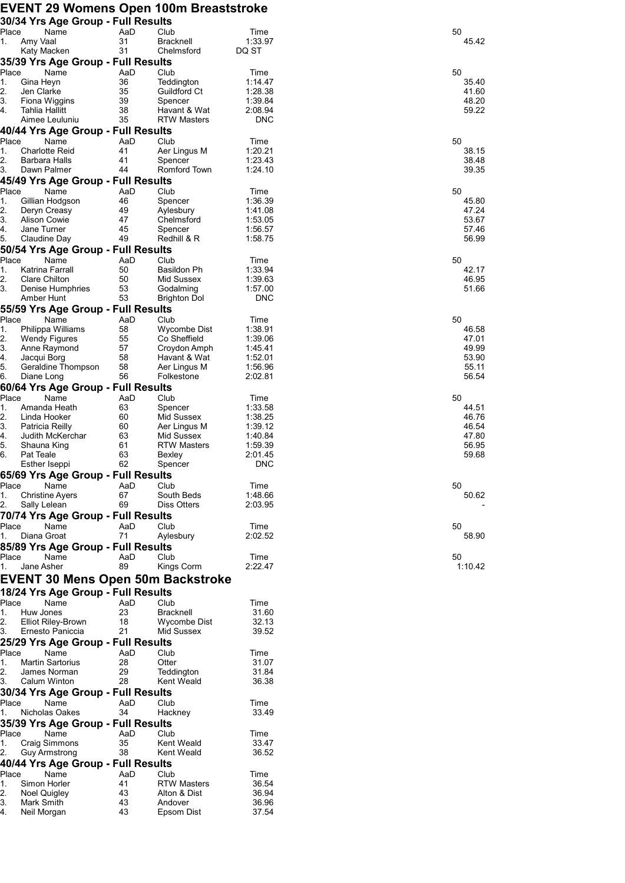## **EVENT 29 Womens Open 100m Breaststroke**

| 30/34 Yrs Age Group - Full Results                  |           |                              |                    |                |
|-----------------------------------------------------|-----------|------------------------------|--------------------|----------------|
| Place<br>Name<br>Amy Vaal<br>1.                     | AaD<br>31 | Club<br>Bracknell            | Time<br>1:33.97    | 50<br>45.42    |
| Katy Macken                                         | 31        | Chelmsford                   | DQ ST              |                |
| 35/39 Yrs Age Group - Full Results                  |           |                              |                    |                |
| Place<br>Name                                       | AaD       | Club                         | Time               | 50             |
| 1.<br>Gina Heyn                                     | 36        | Teddington                   | 1:14.47            | 35.40          |
| 2.<br>Jen Clarke                                    | 35        | Guildford Ct                 | 1:28.38            | 41.60          |
| 3.<br>Fiona Wiggins                                 | 39        | Spencer                      | 1:39.84            | 48.20          |
| 4.<br>Tahlia Hallitt                                | 38<br>35  | Havant & Wat                 | 2:08.94            | 59.22          |
| Aimee Leuluniu                                      |           | <b>RTW Masters</b>           | <b>DNC</b>         |                |
| 40/44 Yrs Age Group - Full Results<br>Place<br>Name | AaD       | Club                         | Time               | 50             |
| 1.<br><b>Charlotte Reid</b>                         | 41        | Aer Lingus M                 | 1:20.21            | 38.15          |
| 2.<br><b>Barbara Halls</b>                          | 41        | Spencer                      | 1:23.43            | 38.48          |
| 3.<br>Dawn Palmer                                   | 44        | Romford Town                 | 1:24.10            | 39.35          |
| 45/49 Yrs Age Group - Full Results                  |           |                              |                    |                |
| Place<br>Name                                       | AaD       | Club                         | Time               | 50             |
| Gillian Hodgson<br>1.                               | 46        | Spencer                      | 1:36.39            | 45.80          |
| 2.<br>Deryn Creasy                                  | 49        | Aylesbury                    | 1:41.08            | 47.24          |
| 3.<br><b>Alison Cowie</b><br>4.                     | 47<br>45  | Chelmsford                   | 1:53.05            | 53.67          |
| Jane Turner<br>5.<br>Claudine Day                   | 49        | Spencer<br>Redhill & R       | 1:56.57<br>1:58.75 | 57.46<br>56.99 |
| 50/54 Yrs Age Group - Full Results                  |           |                              |                    |                |
| Place<br>Name                                       | AaD       | Club                         | Time               | 50             |
| Katrina Farrall<br>1.                               | 50        | <b>Basildon Ph</b>           | 1:33.94            | 42.17          |
| 2.<br>Clare Chilton                                 | 50        | Mid Sussex                   | 1:39.63            | 46.95          |
| 3.<br>Denise Humphries                              | 53        | Godalming                    | 1:57.00            | 51.66          |
| Amber Hunt                                          | 53        | <b>Brighton Dol</b>          | <b>DNC</b>         |                |
| 55/59 Yrs Age Group - Full Results                  |           |                              |                    |                |
| Name<br>Place                                       | AaD       | Club                         | Time               | 50             |
| Philippa Williams<br>1.                             | 58        | Wycombe Dist                 | 1:38.91            | 46.58          |
| 2.<br><b>Wendy Figures</b><br>3.                    | 55        | Co Sheffield                 | 1:39.06            | 47.01          |
| Anne Raymond<br>4.<br>Jacqui Borg                   | 57<br>58  | Croydon Amph<br>Havant & Wat | 1:45.41<br>1:52.01 | 49.99<br>53.90 |
| 5.<br>Geraldine Thompson                            | 58        | Aer Lingus M                 | 1:56.96            | 55.11          |
| 6.<br>Diane Long                                    | 56        | Folkestone                   | 2:02.81            | 56.54          |
| 60/64 Yrs Age Group - Full Results                  |           |                              |                    |                |
| Place<br>Name                                       | AaD       | Club                         | Time               | 50             |
| 1.<br>Amanda Heath                                  | 63        | Spencer                      | 1:33.58            | 44.51          |
| 2.<br>Linda Hooker                                  | 60        | Mid Sussex                   | 1:38.25            | 46.76          |
| 3.<br>Patricia Reilly                               | 60        | Aer Lingus M                 | 1:39.12            | 46.54          |
| 4.<br>Judith McKerchar                              | 63        | Mid Sussex                   | 1:40.84            | 47.80          |
| 5.<br>Shauna King<br>6.<br><b>Pat Teale</b>         | 61<br>63  | <b>RTW Masters</b><br>Bexley | 1:59.39<br>2:01.45 | 56.95<br>59.68 |
| Esther Iseppi                                       | 62        | Spencer                      | <b>DNC</b>         |                |
| 65/69 Yrs Age Group - Full Results                  |           |                              |                    |                |
| Place<br>Name                                       | AaD       | Club                         | Time               | 50             |
| 1.<br><b>Christine Ayers</b>                        | 67        | South Beds                   | 1:48.66            | 50.62          |
| 2.<br>Sally Lelean                                  | 69        | Diss Otters                  | 2:03.95            |                |
| 70/74 Yrs Age Group - Full Results                  |           |                              |                    |                |
| Place<br>Name                                       | AaD       | Club                         | Time               | 50             |
| 1.<br>Diana Groat                                   | 71        | Aylesbury                    | 2:02.52            | 58.90          |
| 85/89 Yrs Age Group - Full Results                  |           |                              |                    |                |
| Place<br>Name                                       | AaD       | Club                         | Time               | 50             |
| 1.<br>Jane Asher                                    | 89        | Kings Corm                   | 2:22.47            | 1:10.42        |
| <b>EVENT 30 Mens Open 50m Backstroke</b>            |           |                              |                    |                |
| 18/24 Yrs Age Group - Full Results                  |           |                              |                    |                |
| Place<br>Name                                       | AaD       | Club                         | Time               |                |
| Huw Jones<br>1.                                     | 23        | <b>Bracknell</b>             | 31.60              |                |
| 2.<br>Elliot Riley-Brown                            | 18        | Wycombe Dist                 | 32.13              |                |
| 3.<br>Ernesto Paniccia                              | 21        | Mid Sussex                   | 39.52              |                |
| 25/29 Yrs Age Group - Full Results                  |           |                              |                    |                |
| Name<br>Place                                       | AaD       | Club                         | Time               |                |
| 1.<br><b>Martin Sartorius</b>                       | 28        | Otter                        | 31.07              |                |
| James Norman<br>2.                                  | 29        | Teddington                   | 31.84              |                |
| 3.<br>Calum Winton                                  | 28        | Kent Weald                   | 36.38              |                |
| 30/34 Yrs Age Group - Full Results                  |           |                              |                    |                |
| Place<br>Name<br>1.<br>Nicholas Oakes               | AaD<br>34 | Club                         | Time<br>33.49      |                |
|                                                     |           | Hackney                      |                    |                |
| 35/39 Yrs Age Group - Full Results                  |           |                              |                    |                |
| Place<br>Name<br>1.<br>Craig Simmons                | AaD<br>35 | Club<br>Kent Weald           | Time<br>33.47      |                |
| 2.<br>Guy Armstrong                                 | 38        | Kent Weald                   | 36.52              |                |
| 40/44 Yrs Age Group - Full Results                  |           |                              |                    |                |
| Place<br>Name                                       | AaD       | Club                         | Time               |                |
| 1.<br>Simon Horler                                  | 41        | <b>RTW Masters</b>           | 36.54              |                |
| 2.<br>Noel Quigley                                  | 43        | Alton & Dist                 | 36.94              |                |
| 3.<br>Mark Smith                                    | 43        | Andover                      | 36.96              |                |
| 4.<br>Neil Morgan                                   | 43        | Epsom Dist                   | 37.54              |                |
|                                                     |           |                              |                    |                |

| 50 | 45<br>.42                                          |  |
|----|----------------------------------------------------|--|
| 50 | 35.40<br>41.60<br>48.20<br>59.22                   |  |
| 50 | 38.15<br>38.48<br>39.35                            |  |
| 50 | 45.80<br>47.24<br>53.67<br>57.46<br>56.99          |  |
| 50 | 42.17<br>46.95<br>51.66                            |  |
| 50 | 46.58<br>47.01<br>49.99<br>53.90<br>55.11<br>56.54 |  |
| 50 | 44.51<br>46.76<br>46.54<br>47.80<br>56.95<br>59.68 |  |
| 50 | 50.62                                              |  |
| 50 | 58.90                                              |  |
|    | 50<br>1:10.42                                      |  |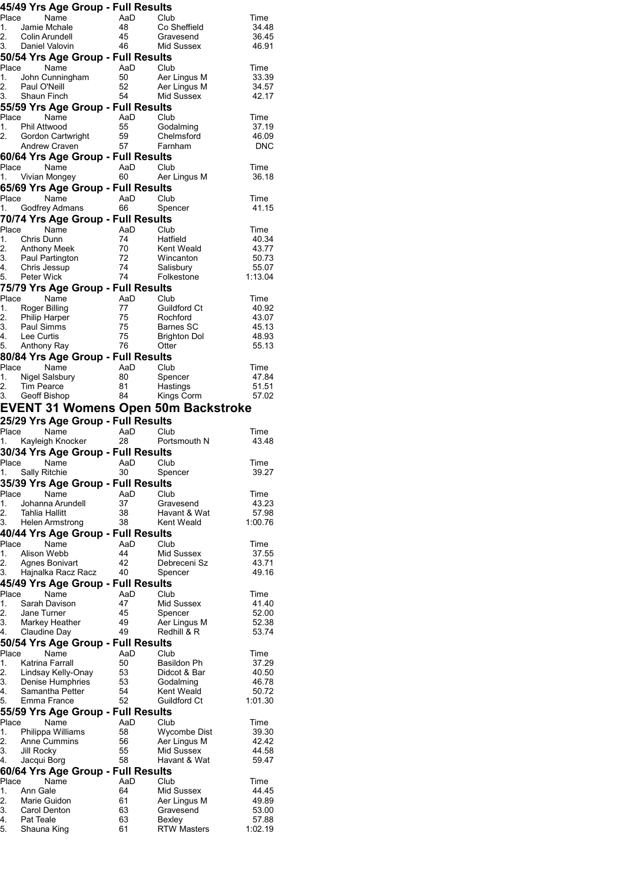|                | 45/49 Yrs Age Group - Full Results                        |                |                              |                           |
|----------------|-----------------------------------------------------------|----------------|------------------------------|---------------------------|
| Place          | Name                                                      | AaD            | Club                         | Time                      |
| 1.<br>2.       | Jamie Mchale<br>Colin Arundell                            | 48<br>45       | Co Sheffield<br>Gravesend    | 34.48<br>36.45            |
|                | 3. Daniel Valovin                                         | 46             | Mid Sussex                   | 46.91                     |
|                | 50/54 Yrs Age Group - Full Results                        |                |                              |                           |
| 1.             | Place Name                                                | AaD Club       |                              | Time                      |
| 2.             | John Cunningham<br>Paul O'Neill                           | 50<br>52       | Aer Lingus M<br>Aer Lingus M | 33.39<br>34.57            |
|                | 3. Shaun Finch                                            | 54             | Mid Sussex                   | 42.17                     |
|                | 55/59 Yrs Age Group - Full Results                        |                |                              |                           |
| 1.             | Place<br>Name<br>Phil Attwood                             | AaD Club<br>55 | Godalming                    | Time<br>37.19             |
| 2.             | Gordon Cartwright                                         | 59             | Chelmsford                   | 46.09                     |
|                | <b>Andrew Craven</b>                                      | 57             | Farnham                      | <b>DNC</b>                |
|                | 60/64 Yrs Age Group - Full Results                        |                |                              |                           |
| Place          | Name<br>1. Vivian Mongey                                  | AaD<br>60      | Club<br>Aer Lingus M         | Time<br>36.18             |
|                | 65/69 Yrs Age Group - Full Results                        |                |                              |                           |
| Place          | Name                                                      | AaD            | Club                         | Time                      |
|                | 1. Godfrey Admans                                         | 66             | Spencer                      | 41.15                     |
| Place          | 70/74 Yrs Age Group - Full Results<br>Name                | AaD            | Club                         | Time                      |
| 1.             | Chris Dunn                                                | 74             | Hatfield                     | 40.34                     |
|                |                                                           | 70             | Kent Weald                   | 43.77                     |
|                |                                                           | 72<br>74       | Wincanton<br>Salisbury       | 50.73<br>55.07            |
| 5.             | Peter Wick                                                | 74             | Folkestone                   | 1:13.04                   |
|                | 75/79 Yrs Age Group - Full Results                        |                |                              |                           |
|                | Place<br>Name                                             | AaD            | Club                         | Time                      |
|                | 1. Roger Billing                                          | 77<br>75       | Guildford Ct<br>Rochford     | 40.92<br>43.07            |
|                | 2. Philip Harper<br>3. Paul Simms                         | 75             | Barnes SC                    | 45.13                     |
| 4.             | Lee Curtis<br>5. Anthony Ray                              | 75<br>76       | <b>Brighton Dol</b><br>Otter | 48.93<br>55.13            |
|                | 80/84 Yrs Age Group - Full Results                        |                |                              |                           |
|                | Place<br>Name                                             | AaD Club       |                              | Time                      |
| 1.             | Nigel Salsbury                                            | 80             | Spencer                      | 47.84                     |
| 2.             | <b>Tim Pearce</b><br>3. Geoff Bishop                      | 81<br>84       | Hastings<br>Kings Corm       | 51.51<br>57.02            |
|                | <b>EVENT 31 Womens Open 50m Backstroke</b>                |                |                              |                           |
|                |                                                           |                |                              |                           |
|                |                                                           |                |                              |                           |
| Place          | 25/29 Yrs Age Group - Full Results<br>Name                | AaD            | Club                         | Time                      |
|                | 1. Kayleigh Knocker                                       | 28             | Portsmouth N                 | 43.48                     |
|                | 30/34 Yrs Age Group - Full Results<br>Place Name AaD Club |                |                              |                           |
| 1.             | Sally Ritchie                                             | 30             | Spencer                      | Time<br>39.27             |
|                | 35/39 Yrs Age Group - Full Results                        |                |                              |                           |
| Place          | Name                                                      | AaD            | Club                         | Time                      |
| 1.<br>2.       | Johanna Arundell<br>Tahlia Hallitt                        | 37<br>38       | Gravesend<br>Havant & Wat    | 43.23<br>57.98            |
| 3.             | Helen Armstrong                                           | 38             | Kent Weald                   | 1:00.76                   |
|                | 40/44 Yrs Age Group - Full Results                        |                |                              |                           |
| Place          | Name                                                      | AaD<br>44      | Club                         | Time                      |
| 1.<br>2.       | Alison Webb<br>Agnes Bonivart                             | 42             | Mid Sussex<br>Debreceni Sz   | 37.55<br>43.71            |
| 3.             | Hajnalka Racz Racz                                        | 40             | Spencer                      | 49.16                     |
|                | 45/49 Yrs Age Group - Full Results                        |                |                              |                           |
| Place<br>1.    | Name<br>Sarah Davison                                     | AaD<br>47      | Club<br>Mid Sussex           | Time<br>41.40             |
| 2.             | Jane Turner                                               | 45             | Spencer                      | 52.00                     |
| 3.             | Markey Heather                                            | 49             | Aer Lingus M                 | 52.38                     |
| 4.             | Claudine Day                                              | 49             | Redhill & R                  | 53.74                     |
| Place          | 50/54 Yrs Age Group - Full Results<br>Name                | AaD            | Club                         | Time                      |
| 1.             | Katrina Farrall                                           | 50             | Basildon Ph                  | 37.29                     |
| 2.             | Lindsay Kelly-Onay                                        | 53             | Didcot & Bar                 | 40.50                     |
| 3.<br>4.       | Denise Humphries<br>Samantha Petter<br>Samantha Petter    | 53<br>54       | Godalming<br>Kent Weald      | 46.78<br>50.72            |
| 5.             | Emma France                                               | 52             | Guildford Ct                 | 1:01.30                   |
|                | 55/59 Yrs Age Group - Full Results                        |                |                              |                           |
| Place<br>1.    | Name<br>Philippa Williams                                 | AaD<br>58      | Club<br>Wycombe Dist         | Time<br>39.30             |
| 2.             | Anne Cummins                                              | 56             | Aer Lingus M                 | 42.42                     |
| 3.             | Jill Rocky                                                | 55             | Mid Sussex                   | 44.58                     |
| 4.             | Jacqui Borg                                               | 58             | Havant & Wat                 | 59.47                     |
| Place          | 60/64 Yrs Age Group - Full Results<br>Name                | AaD            | Club                         | Time                      |
| 1.             | Ann Gale                                                  | 64             | Mid Sussex                   | 44.45                     |
| 2.             | Marie Guidon<br><b>Carol Denton</b>                       | 61             | Aer Lingus M<br>Gravesend    | 49.89                     |
| 3.<br>4.<br>5. | Pat Teale<br>Shauna King                                  | 63<br>63<br>61 | Bexley<br><b>RTW Masters</b> | 53.00<br>57.88<br>1:02.19 |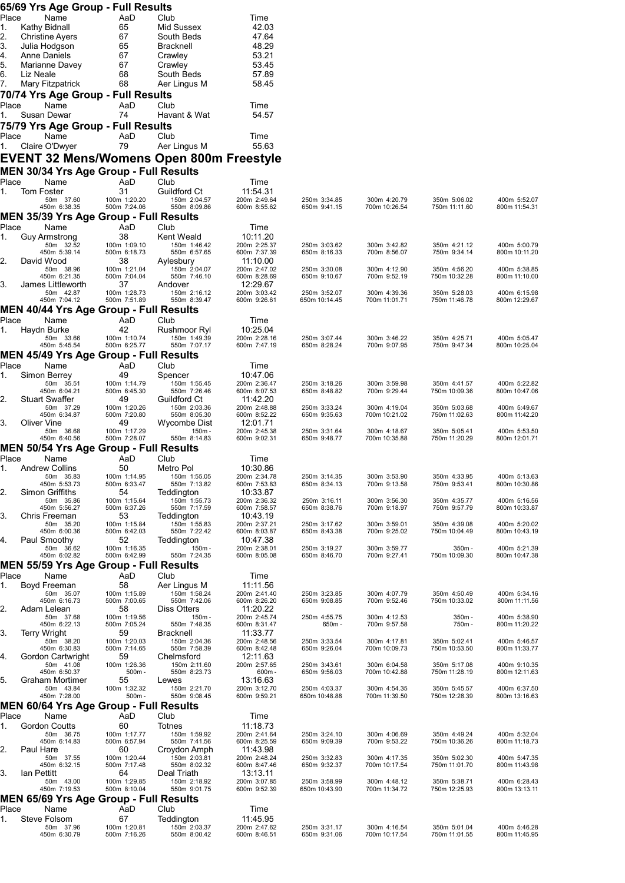|             | 65/69 Yrs Age Group - Full Results                            |                              |                              |                              |                               |                               |                               |                               |
|-------------|---------------------------------------------------------------|------------------------------|------------------------------|------------------------------|-------------------------------|-------------------------------|-------------------------------|-------------------------------|
| Place<br>1. | Name<br>Kathy Bidnall                                         | AaD<br>65                    | Club<br>Mid Sussex           | Time<br>42.03                |                               |                               |                               |                               |
| 2.          | <b>Christine Ayers</b>                                        | 67                           | South Beds                   | 47.64                        |                               |                               |                               |                               |
| 3.          | Julia Hodgson                                                 | 65                           | Bracknell                    | 48.29                        |                               |                               |                               |                               |
| 4.<br>5.    | <b>Anne Daniels</b><br>Marianne Davey                         | 67<br>67                     | Crawley<br>Crawley           | 53.21<br>53.45               |                               |                               |                               |                               |
| 6.          | Liz Neale                                                     | 68                           | South Beds                   | 57.89                        |                               |                               |                               |                               |
| 7.          | Mary Fitzpatrick                                              | 68                           | Aer Lingus M                 | 58.45                        |                               |                               |                               |                               |
| Place       | 70/74 Yrs Age Group - Full Results<br>Name                    | AaD                          | Club                         | Time                         |                               |                               |                               |                               |
| 1.          | Susan Dewar                                                   | 74                           | Havant & Wat                 | 54.57                        |                               |                               |                               |                               |
| Place       | 75/79 Yrs Age Group - Full Results<br>Name                    | AaD                          | Club                         | Time                         |                               |                               |                               |                               |
| 1.          | Claire O'Dwyer                                                | 79                           | Aer Lingus M                 | 55.63                        |                               |                               |                               |                               |
|             | <b>EVENT 32 Mens/Womens Open 800m Freestyle</b>               |                              |                              |                              |                               |                               |                               |                               |
|             | <b>MEN 30/34 Yrs Age Group - Full Results</b>                 |                              |                              |                              |                               |                               |                               |                               |
| Place<br>1. | Name<br><b>Tom Foster</b>                                     | AaD<br>31                    | Club<br>Guildford Ct         | Time<br>11:54.31             |                               |                               |                               |                               |
|             | 50m 37.60<br>450m 6:38.35                                     | 100m 1:20.20<br>500m 7:24.06 | 150m 2:04.57<br>550m 8:09.86 | 200m 2:49.64<br>600m 8:55.62 | 250m 3:34.85<br>650m 9:41.15  | 300m 4:20.79<br>700m 10:26.54 | 350m 5:06.02<br>750m 11:11.60 | 400m 5:52.07<br>800m 11:54.31 |
|             | MEN 35/39 Yrs Age Group - Full Results                        |                              |                              |                              |                               |                               |                               |                               |
| Place       | Name                                                          | AaD<br>38                    | Club<br>Kent Weald           | Time<br>10:11.20             |                               |                               |                               |                               |
| 1.          | <b>Guy Armstrong</b><br>50m 32.52                             | 100m 1:09.10                 | 150m 1:46.42                 | 200m 2:25.37                 | 250m 3:03.62                  | 300m 3:42.82                  | 350m 4:21.12                  | 400m 5:00.79                  |
| 2.          | 450m 5:39.14<br>David Wood                                    | 500m 6:18.73<br>38           | 550m 6:57.65<br>Aylesbury    | 600m 7:37.39<br>11:10.00     | 650m 8:16.33                  | 700m 8:56.07                  | 750m 9:34.14                  | 800m 10:11.20                 |
|             | 50m 38.96<br>450m 6:21.35                                     | 100m 1:21.04<br>500m 7:04.04 | 150m 2:04.07<br>550m 7:46.10 | 200m 2:47.02<br>600m 8:28.69 | 250m 3:30.08<br>650m 9:10.67  | 300m 4:12.90<br>700m 9:52.19  | 350m 4:56.20<br>750m 10:32.28 | 400m 5:38.85<br>800m 11:10.00 |
| 3.          | James Littleworth<br>50m 42.87                                | 37<br>100m 1:28.73           | Andover<br>150m 2:16.12      | 12:29.67<br>200m 3:03.42     | 250m 3:52.07                  | 300m 4:39.36                  | 350m 5:28.03                  | 400m 6:15.98                  |
|             | 450m 7:04.12                                                  | 500m 7:51.89                 | 550m 8:39.47                 | 600m 9:26.61                 | 650m 10:14.45                 | 700m 11:01.71                 | 750m 11:46.78                 | 800m 12:29.67                 |
| Place       | <b>MEN 40/44 Yrs Age Group - Full Results</b><br>Name         | AaD                          | Club                         | Time                         |                               |                               |                               |                               |
| 1.          | Haydn Burke                                                   | 42                           | Rushmoor Ryl                 | 10:25.04                     |                               |                               |                               |                               |
|             | 50m 33.66<br>450m 5:45.54                                     | 100m 1:10.74<br>500m 6:25.77 | 150m 1:49.39<br>550m 7:07.17 | 200m 2:28.16<br>600m 7:47.19 | 250m 3:07.44<br>650m 8:28.24  | 300m 3:46.22<br>700m 9:07.95  | 350m 4:25.71<br>750m 9:47.34  | 400m 5:05.47<br>800m 10:25.04 |
| Place       | MEN 45/49 Yrs Age Group - Full Results<br>Name                |                              | Club                         |                              |                               |                               |                               |                               |
| 1.          | Simon Berrey                                                  | AaD<br>49                    | Spencer                      | Time<br>10:47.06             |                               |                               |                               |                               |
|             | 50m 35.51<br>450m 6:04.21                                     | 100m 1:14.79<br>500m 6:45.30 | 150m 1:55.45<br>550m 7:26.46 | 200m 2:36.47<br>600m 8:07.53 | 250m 3:18.26<br>650m 8:48.82  | 300m 3:59.98<br>700m 9:29.44  | 350m 4:41.57<br>750m 10:09.36 | 400m 5:22.82<br>800m 10:47.06 |
| 2.          | <b>Stuart Swaffer</b><br>50m 37.29                            | 49<br>100m 1:20.26           | Guildford Ct<br>150m 2:03.36 | 11:42.20<br>200m 2:48.88     | 250m 3:33.24                  | 300m 4:19.04                  | 350m 5:03.68                  | 400m 5:49.67                  |
| 3.          | 450m 6:34.87                                                  | 500m 7:20.80                 | 550m 8:05.30                 | 600m 8:52.22                 | 650m 9:35.63                  | 700m 10:21.02                 | 750m 11:02.63                 | 800m 11:42.20                 |
|             | Oliver Vine<br>50m 36.68                                      | 49<br>100m 1:17.29           | Wycombe Dist<br>$150m -$     | 12:01.71<br>200m 2:45.38     | 250m 3:31.64                  | 300m 4:18.67                  | 350m 5:05.41                  | 400m 5:53.50                  |
|             | 450m 6:40.56<br><b>MEN 50/54 Yrs Age Group - Full Results</b> | 500m 7:28.07                 | 550m 8:14.83                 | 600m 9:02.31                 | 650m 9:48.77                  | 700m 10:35.88                 | 750m 11:20.29                 | 800m 12:01.71                 |
| Place       | Name                                                          | AaD                          | Club                         | Time                         |                               |                               |                               |                               |
|             | <b>Andrew Collins</b><br>50m 35.83                            | 50<br>100m 1:14.95           | Metro Pol<br>150m 1:55.05    | 10:30.86<br>200m 2:34.78     | 250m 3:14.35                  | 300m 3:53.90                  | 350m 4:33.95                  | 400m 5:13.63                  |
| 2.          | 450m 5:53.73<br>Simon Griffiths                               | 500m 6:33.47<br>54           | 550m 7:13.82<br>Teddington   | 600m 7:53.83<br>10:33.87     | 650m 8:34.13                  | 700m 9:13.58                  | 750m 9:53.41                  | 800m 10:30.86                 |
|             | 50m 35.86<br>450m 5:56.27                                     | 100m 1:15.64<br>500m 6:37.26 | 150m 1:55.73<br>550m 7:17.59 | 200m 2:36.32<br>600m 7:58.57 | 250m 3:16.11<br>650m 8:38.76  | 300m 3:56.30<br>700m 9:18.97  | 350m 4:35.77<br>750m 9:57.79  | 400m 5:16.56<br>800m 10:33.87 |
| 3.          | Chris Freeman                                                 | 53                           | Teddington                   | 10:43.19                     |                               |                               |                               |                               |
|             | 50m 35.20<br>450m 6:00.36                                     | 100m 1:15.84<br>500m 6:42.03 | 150m 1:55.83<br>550m 7:22.42 | 200m 2:37.21<br>600m 8:03.87 | 250m 3:17.62<br>650m 8:43.38  | 300m 3:59.01<br>700m 9:25.02  | 350m 4:39.08<br>750m 10:04.49 | 400m 5:20.02<br>800m 10:43.19 |
| 4.          | Paul Smoothy<br>50m 36.62                                     | 52<br>100m 1:16.35           | Teddington<br>$150m -$       | 10:47.38<br>200m 2:38.01     | 250m 3:19.27                  | 300m 3:59.77                  | 350m-                         | 400m 5:21.39                  |
|             | 450m 6:02.82<br><b>MEN 55/59 Yrs Age Group - Full Results</b> | 500m 6:42.99                 | 550m 7:24.35                 | 600m 8:05.08                 | 650m 8:46.70                  | 700m 9:27.41                  | 750m 10:09.30                 | 800m 10:47.38                 |
| Place       | Name                                                          | AaD                          | Club                         | Time                         |                               |                               |                               |                               |
| 1.          | Boyd Freeman<br>50m 35.07                                     | 58<br>100m 1:15.89           | Aer Lingus M<br>150m 1:58.24 | 11:11.56<br>200m 2:41.40     | 250m 3:23.85                  | 300m 4:07.79                  | 350m 4:50.49                  | 400m 5:34.16                  |
| 2.          | 450m 6:16.73<br>Adam Lelean                                   | 500m 7:00.65<br>58           | 550m 7:42.06<br>Diss Otters  | 600m 8:26.20<br>11:20.22     | 650m 9:08.85                  | 700m 9:52.46                  | 750m 10:33.02                 | 800m 11:11.56                 |
|             | 50m 37.68<br>450m 6:22.13                                     | 100m 1:19.56<br>500m 7:05.24 | $150m -$<br>550m 7:48.35     | 200m 2:45.74                 | 250m 4:55.75<br>650m-         | 300m 4:12.53<br>700m 9:57.58  | 350m-<br>750m-                | 400m 5:38.90<br>800m 11:20.22 |
| 3.          | Terry Wright                                                  | 59                           | <b>Bracknell</b>             | 600m 8:31.47<br>11:33.77     |                               |                               |                               |                               |
|             | 50m 38.20<br>450m 6:30.83                                     | 100m 1:20.03<br>500m 7:14.65 | 150m 2:04.36<br>550m 7:58.39 | 200m 2:48.56<br>600m 8:42.48 | 250m 3:33.54<br>650m 9:26.04  | 300m 4:17.81<br>700m 10:09.73 | 350m 5:02.41<br>750m 10:53.50 | 400m 5:46.57<br>800m 11:33.77 |
| 4.          | Gordon Cartwright<br>50m 41.08                                | 59<br>100m 1:26.36           | Chelmsford<br>150m 2:11.60   | 12:11.63<br>200m 2:57.65     | 250m 3:43.61                  | 300m 6:04.58                  | 350m 5:17.08                  | 400m 9:10.35                  |
| 5.          | 450m 6:50.37<br>Graham Mortimer                               | $500m -$<br>55               | 550m 8:23.73<br>Lewes        | 600m-<br>13:16.63            | 650m 9:56.03                  | 700m 10:42.88                 | 750m 11:28.19                 | 800m 12:11.63                 |
|             | 50m 43.84                                                     | 100m 1:32.32                 | 150m 2:21.70                 | 200m 3:12.70                 | 250m 4:03.37                  | 300m 4:54.35                  | 350m 5:45.57                  | 400m 6:37.50                  |
|             | 450m 7:28.00<br><b>MEN 60/64 Yrs Age Group - Full Results</b> | $500m -$                     | 550m 9:08.45                 | 600m 9:59.21                 | 650m 10:48.88                 | 700m 11:39.50                 | 750m 12:28.39                 | 800m 13:16.63                 |
| Place       | Name                                                          | AaD                          | Club                         | Time                         |                               |                               |                               |                               |
| 1.          | Gordon Coutts<br>50m 36.75                                    | 60<br>100m 1:17.77           | Totnes<br>150m 1:59.92       | 11:18.73<br>200m 2:41.64     | 250m 3:24.10                  | 300m 4:06.69                  | 350m 4:49.24                  | 400m 5:32.04                  |
| 2.          | 450m 6:14.83<br>Paul Hare                                     | 500m 6:57.94<br>60           | 550m 7:41.56<br>Croydon Amph | 600m 8:25.59<br>11:43.98     | 650m 9:09.39                  | 700m 9:53.22                  | 750m 10:36.26                 | 800m 11:18.73                 |
|             | 50m 37.55<br>450m 6:32.15                                     | 100m 1:20.44<br>500m 7:17.48 | 150m 2:03.81<br>550m 8:02.32 | 200m 2:48.24<br>600m 8:47.46 | 250m 3:32.83<br>650m 9:32.37  | 300m 4:17.35<br>700m 10:17.54 | 350m 5:02.30<br>750m 11:01.70 | 400m 5:47.35<br>800m 11:43.98 |
| 3.          | Ian Pettitt                                                   | 64                           | Deal Triath                  | 13:13.11                     |                               |                               |                               |                               |
|             | 50m 43.00<br>450m 7:19.53                                     | 100m 1:29.85<br>500m 8:10.04 | 150m 2:18.92<br>550m 9:01.75 | 200m 3:07.85<br>600m 9:52.39 | 250m 3:58.99<br>650m 10:43.90 | 300m 4:48.12<br>700m 11:34.72 | 350m 5:38.71<br>750m 12:25.93 | 400m 6:28.43<br>800m 13:13.11 |
| Place       | <b>MEN 65/69 Yrs Age Group - Full Results</b><br>Name         | AaD                          | Club                         | Time                         |                               |                               |                               |                               |
| 1.          | Steve Folsom                                                  | 67                           | Teddington                   | 11:45.95                     |                               |                               |                               |                               |
|             | 50m 37.96<br>450m 6:30.79                                     | 100m 1:20.81<br>500m 7:16.26 | 150m 2:03.37<br>550m 8:00.42 | 200m 2:47.62<br>600m 8:46.51 | 250m 3:31.17<br>650m 9:31.06  | 300m 4:16.54<br>700m 10:17.54 | 350m 5:01.04<br>750m 11:01.55 | 400m 5:46.28<br>800m 11:45.95 |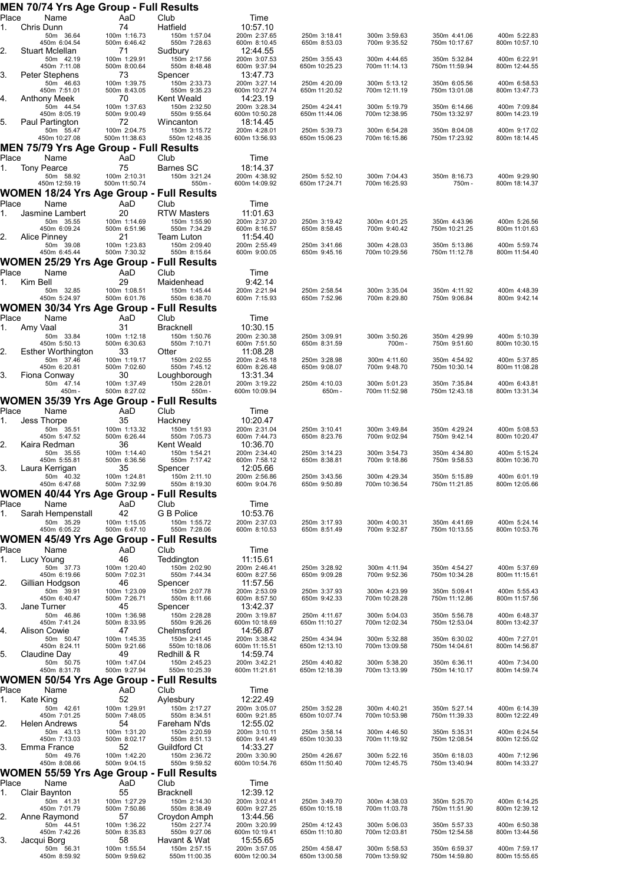| Place       |           | MEN 70/74 Yrs Age Group - Full Results<br>Name                  | AaD                                 | Club                                                                     | Time                                      |                               |                               |                               |                               |
|-------------|-----------|-----------------------------------------------------------------|-------------------------------------|--------------------------------------------------------------------------|-------------------------------------------|-------------------------------|-------------------------------|-------------------------------|-------------------------------|
| 1.          |           | Chris Dunn                                                      | 74                                  | Hatfield                                                                 | 10:57.10<br>200m 2:37.65                  |                               |                               |                               |                               |
| 2.          |           | 50m 36.64<br>450m 6:04.54<br>Stuart Mclellan                    | 100m 1:16.73<br>500m 6:46.42<br>71  | 150m 1:57.04<br>550m 7:28.63<br>Sudbury                                  | 600m 8:10.45<br>12:44.55                  | 250m 3:18.41<br>650m 8:53.03  | 300m 3:59.63<br>700m 9:35.52  | 350m 4:41.06<br>750m 10:17.67 | 400m 5:22.83<br>800m 10:57.10 |
|             |           | 50m 42.19<br>450m 7:11.08                                       | 100m 1:29.91<br>500m 8:00.64        | 150m 2:17.56<br>550m 8:48.48                                             | 200m 3:07.53<br>600m 9:37.94              | 250m 3:55.43<br>650m 10:25.23 | 300m 4:44.65<br>700m 11:14.13 | 350m 5:32.84<br>750m 11:59.94 | 400m 6:22.91<br>800m 12:44.55 |
| 3.          |           | Peter Stephens<br>50m 46.63<br>450m 7:51.01                     | 73<br>100m 1:39.75<br>500m 8:43.05  | Spencer<br>150m 2:33.73<br>550m 9:35.23                                  | 13:47.73<br>200m 3:27.14<br>600m 10:27.74 | 250m 4:20.09<br>650m 11:20.52 | 300m 5:13.12<br>700m 12:11.19 | 350m 6:05.56<br>750m 13:01.08 | 400m 6:58.53<br>800m 13:47.73 |
| 4.          |           | Anthony Meek<br>50m 44.54<br>450m 8:05.19                       | 70<br>100m 1:37.63<br>500m 9:00.49  | Kent Weald<br>150m 2:32.50<br>550m 9:55.64                               | 14:23.19<br>200m 3:28.34<br>600m 10:50.28 | 250m 4:24.41<br>650m 11:44.06 | 300m 5:19.79<br>700m 12:38.95 | 350m 6:14.66<br>750m 13:32.97 | 400m 7:09.84<br>800m 14:23.19 |
| 5.          |           | Paul Partington<br>50m 55.47<br>450m 10:27.08                   | 72<br>100m 2:04.75<br>500m 11:38.63 | Wincanton<br>150m 3:15.72<br>550m 12:48.35                               | 18:14.45<br>200m 4:28.01<br>600m 13:56.93 | 250m 5:39.73<br>650m 15:06.23 | 300m 6:54.28<br>700m 16:15.86 | 350m 8:04.08<br>750m 17:23.92 | 400m 9:17.02<br>800m 18:14.45 |
| Place       |           | MEN 75/79 Yrs Age Group - Full Results<br>Name                  | AaD                                 | Club                                                                     | Time                                      |                               |                               |                               |                               |
| 1.          |           | <b>Tony Pearce</b><br>50m 58.92<br>450m 12:59.19                | 75<br>100m 2:10.31<br>500m 11:50.74 | Barnes SC<br>150m 3:21.24<br>$550m -$                                    | 18:14.37<br>200m 4:38.92<br>600m 14:09.92 | 250m 5:52.10<br>650m 17:24.71 | 300m 7:04.43<br>700m 16:25.93 | 350m 8:16.73<br>750m-         | 400m 9:29.90<br>800m 18:14.37 |
|             |           |                                                                 |                                     | <b>WOMEN 18/24 Yrs Age Group - Full Results</b>                          |                                           |                               |                               |                               |                               |
| Place<br>1. |           | Name<br>Jasmine Lambert                                         | AaD<br>20                           | Club<br><b>RTW Masters</b>                                               | Time<br>11:01.63                          |                               |                               |                               |                               |
|             |           | 50m 35.55<br>450m 6:09.24                                       | 100m 1:14.69<br>500m 6:51.96        | 150m 1:55.90<br>550m 7:34.29                                             | 200m 2:37.20<br>600m 8:16.57              | 250m 3:19.42<br>650m 8:58.45  | 300m 4:01.25<br>700m 9:40.42  | 350m 4:43.96<br>750m 10:21.25 | 400m 5:26.56<br>800m 11:01.63 |
| 2.          |           | <b>Alice Pinney</b><br>50m 39.08<br>450m 6:45.44                | 21<br>100m 1:23.83<br>500m 7:30.32  | Team Luton<br>150m 2:09.40<br>550m 8:15.64                               | 11:54.40<br>200m 2:55.49<br>600m 9:00.05  | 250m 3:41.66<br>650m 9:45.16  | 300m 4:28.03<br>700m 10:29.56 | 350m 5:13.86<br>750m 11:12.78 | 400m 5:59.74<br>800m 11:54.40 |
| Place       |           | Name                                                            | AaD                                 | <b>WOMEN 25/29 Yrs Age Group - Full Results</b><br>Club                  | Time                                      |                               |                               |                               |                               |
| 1.          | Kim Bell  | 50m 32.85                                                       | 29                                  | Maidenhead                                                               | 9:42.14                                   |                               |                               |                               |                               |
|             |           | 450m 5:24.97                                                    | 100m 1:08.51<br>500m 6:01.76        | 150m 1:45.44<br>550m 6:38.70<br>WOMEN 30/34 Yrs Age Group - Full Results | 200m 2:21.94<br>600m 7:15.93              | 250m 2:58.54<br>650m 7:52.96  | 300m 3:35.04<br>700m 8:29.80  | 350m 4:11.92<br>750m 9:06.84  | 400m 4:48.39<br>800m 9:42.14  |
| Place       |           | Name                                                            | AaD                                 | Club                                                                     | Time                                      |                               |                               |                               |                               |
| 1.          | Amy Vaal  | 50m 33.84<br>450m 5:50.13                                       | 31<br>100m 1:12.18<br>500m 6:30.63  | <b>Bracknell</b><br>150m 1:50.76<br>550m 7:10.71                         | 10:30.15<br>200m 2:30.38<br>600m 7:51.50  | 250m 3:09.91<br>650m 8:31.59  | 300m 3:50.26<br>700m-         | 350m 4:29.99<br>750m 9:51.60  | 400m 5:10.39<br>800m 10:30.15 |
| 2.          |           | <b>Esther Worthington</b><br>50m 37.46                          | 33<br>100m 1:19.17                  | Otter<br>150m 2:02.55                                                    | 11:08.28<br>200m 2:45.18                  | 250m 3:28.98                  | 300m 4:11.60                  | 350m 4:54.92                  | 400m 5:37.85                  |
| 3.          |           | 450m 6:20.81<br>Fiona Conway<br>50m 47.14                       | 500m 7:02.60<br>30<br>100m 1:37.49  | 550m 7:45.12<br>Loughborough<br>150m 2:28.01                             | 600m 8:26.48<br>13:31.34<br>200m 3:19.22  | 650m 9:08.07                  | 700m 9:48.70                  | 750m 10:30.14                 | 800m 11:08.28                 |
|             |           | 450m-                                                           | 500m 8:27.02                        | 550m -<br><b>WOMEN 35/39 Yrs Age Group - Full Results</b>                | 600m 10:09.94                             | 250m 4:10.03<br>650m-         | 300m 5:01.23<br>700m 11:52.98 | 350m 7:35.84<br>750m 12:43.18 | 400m 6:43.81<br>800m 13:31.34 |
| Place       |           | Name                                                            | AaD                                 | Club                                                                     | Time                                      |                               |                               |                               |                               |
| 1.          |           | Jess Thorpe<br>50m 35.51<br>450m 5:47.52                        | 35<br>100m 1:13.32<br>500m 6:26.44  | Hackney<br>150m 1:51.93<br>550m 7:05.73                                  | 10:20.47<br>200m 2:31.04<br>600m 7:44.73  | 250m 3:10.41<br>650m 8:23.76  | 300m 3:49.84<br>700m 9:02.94  | 350m 4:29.24<br>750m 9:42.14  | 400m 5:08.53<br>800m 10:20.47 |
| 2.          |           | Kaira Redman<br>50m 35.55                                       | 36<br>100m 1:14.40                  | Kent Weald<br>150m 1:54.21                                               | 10:36.70<br>200m 2:34.40                  | 250m 3:14.23                  | 300m 3:54.73                  | 350m 4:34.80                  | 400m 5:15.24                  |
| 3.          |           | 450m 5:55.81<br>Laura Kerrigan<br>50m 40.32                     | 500m 6:36.56<br>35<br>100m 1:24.81  | 550m 7:17.42<br>Spencer<br>150m 2:11.10                                  | 600m 7:58.12<br>12:05.66<br>200m 2:56.86  | 650m 8:38.81<br>250m 3:43.56  | 700m 9:18.86<br>300m 4:29.34  | 750m 9:58.53<br>350m 5:15.89  | 800m 10:36.70<br>400m 6:01.19 |
|             |           | 450m 6:47.68                                                    | 500m 7:32.99                        | 550m 8:19.30<br>WOMEN 40/44 Yrs Age Group - Full Results                 | 600m 9:04.76                              | 650m 9:50.89                  | 700m 10:36.54                 | 750m 11:21.85                 | 800m 12:05.66                 |
| Place       |           | Name                                                            | AaD                                 | Club                                                                     | Time                                      |                               |                               |                               |                               |
| 1.          |           | Sarah Hempenstall<br>50m 35.29<br>450m 6:05.22                  | 42<br>100m 1:15.05<br>500m 6:47.10  | G B Police<br>150m 1:55.72<br>550m 7:28.06                               | 10:53.76<br>200m 2:37.03<br>600m 8:10.53  | 250m 3:17.93<br>650m 8:51.49  | 300m 4:00.31<br>700m 9:32.87  | 350m 4:41.69<br>750m 10:13.55 | 400m 5:24.14<br>800m 10:53.76 |
|             |           |                                                                 |                                     | <b>WOMEN 45/49 Yrs Age Group - Full Results</b>                          |                                           |                               |                               |                               |                               |
| Place<br>1. |           | Name<br>Lucy Young                                              | AaD<br>46                           | Club<br>Teddington                                                       | Time<br>11:15.61                          |                               |                               |                               |                               |
|             |           | 50m 37.73<br>450m 6:19.66                                       | 100m 1:20.40<br>500m 7:02.31        | 150m 2:02.90<br>550m 7:44.34                                             | 200m 2:46.41<br>600m 8:27.56              | 250m 3:28.92<br>650m 9:09.28  | 300m 4:11.94<br>700m 9:52.36  | 350m 4:54.27<br>750m 10:34.28 | 400m 5:37.69<br>800m 11:15.61 |
| 2.          |           | Gillian Hodgson<br>50m 39.91<br>450m 6:40.47                    | 46<br>100m 1:23.09<br>500m 7:26.71  | Spencer<br>150m 2:07.78<br>550m 8:11.66                                  | 11:57.56<br>200m 2:53.09<br>600m 8:57.50  | 250m 3:37.93<br>650m 9:42.33  | 300m 4:23.99<br>700m 10:28.28 | 350m 5:09.41<br>750m 11:12.86 | 400m 5:55.43<br>800m 11:57.56 |
| 3.          |           | Jane Turner<br>50m 46.86<br>450m 7:41.24                        | 45<br>100m 1:36.98<br>500m 8:33.95  | Spencer<br>150m 2:28.28<br>550m 9:26.26                                  | 13:42.37<br>200m 3:19.87<br>600m 10:18.69 | 250m 4:11.67<br>650m 11:10.27 | 300m 5:04.03<br>700m 12:02.34 | 350m 5:56.78<br>750m 12:53.04 | 400m 6:48.37<br>800m 13:42.37 |
| 4.          |           | <b>Alison Cowie</b><br>50m 50.47                                | 47<br>100m 1:45.35                  | Chelmsford<br>150m 2:41.45                                               | 14:56.87<br>200m 3:38.42                  | 250m 4:34.94                  | 300m 5:32.88                  | 350m 6:30.02                  | 400m 7:27.01                  |
| 5.          |           | 450m 8:24.11<br>Claudine Day                                    | 500m 9:21.66<br>49                  | 550m 10:18.06<br>Redhill & R                                             | 600m 11:15.51<br>14:59.74                 | 650m 12:13.10                 | 700m 13:09.58                 | 750m 14:04.61                 | 800m 14:56.87                 |
|             |           | 50m 50.75<br>450m 8:31.78<br><b>WOMEN 50/54 Yrs Age Group -</b> | 100m 1:47.04<br>500m 9:27.94        | 150m 2:45.23<br>550m 10:25.39<br><b>Full Results</b>                     | 200m 3:42.21<br>600m 11:21.61             | 250m 4:40.82<br>650m 12:18.39 | 300m 5:38.20<br>700m 13:13.99 | 350m 6:36.11<br>750m 14:10.17 | 400m 7:34.00<br>800m 14:59.74 |
| Place       |           | Name                                                            | AaD                                 | Club                                                                     | Time                                      |                               |                               |                               |                               |
| 1.          | Kate King | 50m 42.61                                                       | 52<br>100m 1:29.91                  | Aylesbury<br>150m 2:17.27                                                | 12:22.49<br>200m 3:05.07                  | 250m 3:52.28                  | 300m 4:40.21                  | 350m 5:27.14                  | 400m 6:14.39                  |
| 2.          |           | 450m 7:01.25<br><b>Helen Andrews</b><br>50m 43.13               | 500m 7:48.05<br>54                  | 550m 8:34.51<br>Fareham N'ds<br>150m 2:20.59                             | 600m 9:21.85<br>12:55.02                  | 650m 10:07.74                 | 700m 10:53.98                 | 750m 11:39.33                 | 800m 12:22.49                 |
| 3.          |           | 450m 7:13.03<br>Emma France                                     | 100m 1:31.20<br>500m 8:02.17<br>52  | 550m 8:51.13<br>Guildford Ct                                             | 200m 3:10.11<br>600m 9:41.49<br>14:33.27  | 250m 3:58.14<br>650m 10:30.33 | 300m 4:46.50<br>700m 11:19.92 | 350m 5:35.31<br>750m 12:08.54 | 400m 6:24.54<br>800m 12:55.02 |
|             |           | 50m 49.76<br>450m 8:08.66                                       | 100m 1:42.20<br>500m 9:04.15        | 150m 2:36.72<br>550m 9:59.52                                             | 200m 3:30.90<br>600m 10:54.76             | 250m 4:26.67<br>650m 11:50.40 | 300m 5:22.16<br>700m 12:45.75 | 350m 6:18.03<br>750m 13:40.94 | 400m 7:12.96<br>800m 14:33.27 |
| Place       |           | Name                                                            | AaD                                 | WOMEN 55/59 Yrs Age Group - Full Results<br>Club                         | Time                                      |                               |                               |                               |                               |
| 1.          |           | Clair Baynton<br>50m 41.31<br>450m 7:01.79                      | 55<br>100m 1:27.29<br>500m 7:50.86  | Bracknell<br>150m 2:14.30<br>550m 8:38.49                                | 12:39.12<br>200m 3:02.41<br>600m 9:27.25  | 250m 3:49.70<br>650m 10:15.18 | 300m 4:38.03<br>700m 11:03.78 | 350m 5:25.70<br>750m 11:51.90 | 400m 6:14.25<br>800m 12:39.12 |
| 2.          |           | Anne Raymond<br>50m 44.51                                       | 57<br>100m 1:36.22                  | Croydon Amph<br>150m 2:27.74                                             | 13:44.56<br>200m 3:20.99                  | 250m 4:12.43                  | 300m 5:06.03                  | 350m 5:57.33                  | 400m 6:50.38                  |
| 3.          |           | 450m 7:42.26<br>Jacqui Borg                                     | 500m 8:35.83<br>58                  | 550m 9:27.06<br>Havant & Wat                                             | 600m 10:19.41<br>15:55.65                 | 650m 11:10.80                 | 700m 12:03.81                 | 750m 12:54.58                 | 800m 13:44.56                 |
|             |           | 50m 56.31<br>450m 8:59.92                                       | 100m 1:55.54<br>500m 9:59.62        | 150m 2:57.15<br>550m 11:00.35                                            | 200m 3:57.05<br>600m 12:00.34             | 250m 4:58.47<br>650m 13:00.58 | 300m 5:58.53<br>700m 13:59.92 | 350m 6:59.37<br>750m 14:59.80 | 400m 7:59.17<br>800m 15:55.65 |